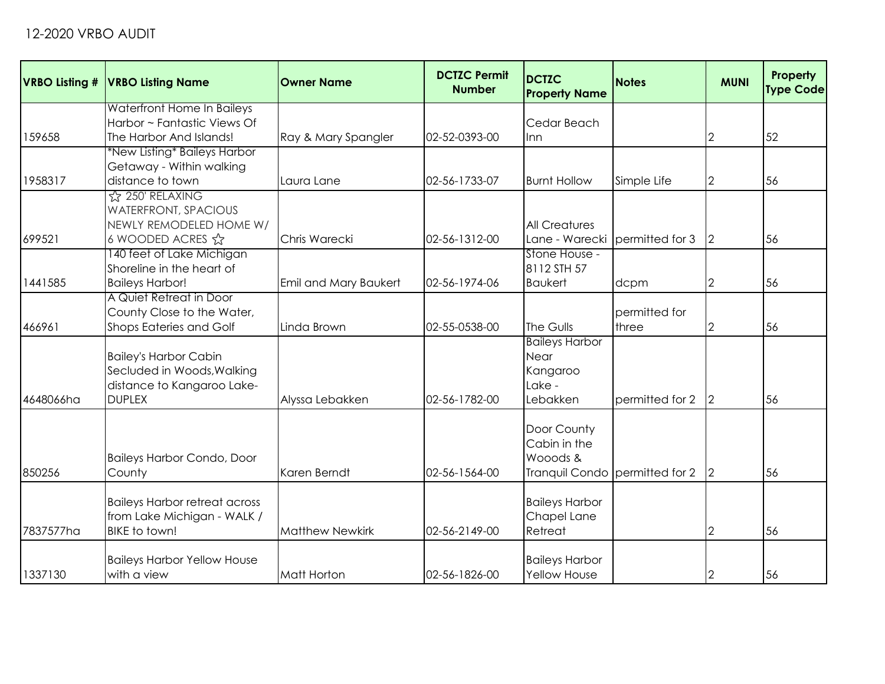| <b>VRBO Listing #</b> | <b>VRBO Listing Name</b>                                 | <b>Owner Name</b>      | <b>DCTZC Permit</b><br><b>Number</b> | <b>DCTZC</b><br><b>Property Name</b> | <b>Notes</b>                   | <b>MUNI</b>    | Property<br><b>Type Code</b> |
|-----------------------|----------------------------------------------------------|------------------------|--------------------------------------|--------------------------------------|--------------------------------|----------------|------------------------------|
|                       | Waterfront Home In Baileys                               |                        |                                      |                                      |                                |                |                              |
|                       | Harbor ~ Fantastic Views Of                              |                        |                                      | Cedar Beach                          |                                |                |                              |
| 159658                | The Harbor And Islands!                                  | Ray & Mary Spangler    | 02-52-0393-00                        | <b>Inn</b>                           |                                | 2              | 52                           |
|                       | *New Listing* Baileys Harbor                             |                        |                                      |                                      |                                |                |                              |
|                       | Getaway - Within walking                                 |                        |                                      |                                      |                                |                |                              |
| 1958317               | distance to town                                         | Laura Lane             | 02-56-1733-07                        | <b>Burnt Hollow</b>                  | Simple Life                    | $\overline{2}$ | 56                           |
|                       | ☆ 250' RELAXING                                          |                        |                                      |                                      |                                |                |                              |
|                       | <b>WATERFRONT, SPACIOUS</b>                              |                        |                                      |                                      |                                |                |                              |
|                       | NEWLY REMODELED HOME W/                                  |                        |                                      | <b>All Creatures</b>                 |                                |                |                              |
| 699521                | 6 WOODED ACRES ☆                                         | <b>Chris Warecki</b>   | 02-56-1312-00                        | Lane - Warecki                       | permitted for 3                | 2              | 56                           |
|                       | 140 feet of Lake Michigan                                |                        |                                      | Stone House -                        |                                |                |                              |
|                       | Shoreline in the heart of                                |                        |                                      | 8112 STH 57                          |                                |                |                              |
| 1441585               | <b>Baileys Harbor!</b>                                   | Emil and Mary Baukert  | 02-56-1974-06                        | <b>Baukert</b>                       | dcpm                           | $\overline{2}$ | 56                           |
|                       | A Quiet Retreat in Door                                  |                        |                                      |                                      |                                |                |                              |
|                       | County Close to the Water,                               |                        |                                      |                                      | permitted for                  |                |                              |
| 466961                | Shops Eateries and Golf                                  | Linda Brown            | 02-55-0538-00                        | The Gulls                            | three                          | 2              | 56                           |
|                       |                                                          |                        |                                      | <b>Baileys Harbor</b>                |                                |                |                              |
|                       | <b>Bailey's Harbor Cabin</b>                             |                        |                                      | Near                                 |                                |                |                              |
|                       | Secluded in Woods, Walking<br>distance to Kangaroo Lake- |                        |                                      | Kangaroo<br>Lake -                   |                                |                |                              |
| 4648066ha             | <b>DUPLEX</b>                                            |                        | 02-56-1782-00                        | Lebakken                             | permitted for 2                |                | 56                           |
|                       |                                                          | Alyssa Lebakken        |                                      |                                      |                                | $\overline{2}$ |                              |
|                       |                                                          |                        |                                      | Door County                          |                                |                |                              |
|                       |                                                          |                        |                                      | Cabin in the                         |                                |                |                              |
|                       |                                                          |                        |                                      | Wooods &                             |                                |                |                              |
| 850256                | <b>Baileys Harbor Condo, Door</b><br>County              | Karen Berndt           | 02-56-1564-00                        |                                      | Tranquil Condo permitted for 2 | 2              | 56                           |
|                       |                                                          |                        |                                      |                                      |                                |                |                              |
|                       | <b>Baileys Harbor retreat across</b>                     |                        |                                      | <b>Baileys Harbor</b>                |                                |                |                              |
|                       | from Lake Michigan - WALK /                              |                        |                                      | Chapel Lane                          |                                |                |                              |
| 7837577ha             | <b>BIKE</b> to town!                                     | <b>Matthew Newkirk</b> | 02-56-2149-00                        | Retreat                              |                                | $\overline{2}$ | 56                           |
|                       |                                                          |                        |                                      |                                      |                                |                |                              |
|                       | <b>Baileys Harbor Yellow House</b>                       |                        |                                      | <b>Baileys Harbor</b>                |                                |                |                              |
| 1337130               | with a view                                              | <b>Matt Horton</b>     | 02-56-1826-00                        | Yellow House                         |                                | $\overline{2}$ | 56                           |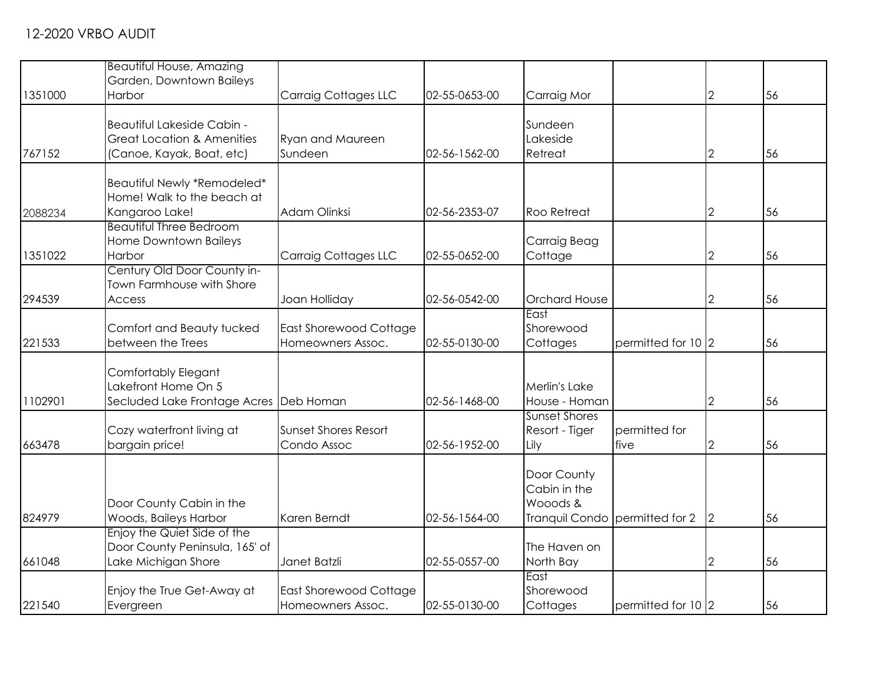|         | <b>Beautiful House, Amazing</b>                               |                                             |               |                                |                    |                |    |
|---------|---------------------------------------------------------------|---------------------------------------------|---------------|--------------------------------|--------------------|----------------|----|
|         | Garden, Downtown Baileys                                      |                                             |               |                                |                    |                |    |
| 1351000 | Harbor                                                        | <b>Carraig Cottages LLC</b>                 | 02-55-0653-00 | Carraig Mor                    |                    | $\overline{2}$ | 56 |
|         |                                                               |                                             |               |                                |                    |                |    |
|         | Beautiful Lakeside Cabin -                                    |                                             |               | Sundeen                        |                    |                |    |
|         | <b>Great Location &amp; Amenities</b>                         | <b>Ryan and Maureen</b>                     |               | Lakeside                       |                    |                |    |
| 767152  | (Canoe, Kayak, Boat, etc)                                     | Sundeen                                     | 02-56-1562-00 | Retreat                        |                    | $\mathbf 2$    | 56 |
|         | Beautiful Newly *Remodeled*                                   |                                             |               |                                |                    |                |    |
|         | Home! Walk to the beach at                                    |                                             |               |                                |                    |                |    |
| 2088234 | Kangaroo Lake!                                                | Adam Olinksi                                | 02-56-2353-07 | <b>Roo Retreat</b>             |                    | 2              | 56 |
|         | <b>Beautiful Three Bedroom</b>                                |                                             |               |                                |                    |                |    |
|         | Home Downtown Baileys                                         |                                             |               | Carraig Beag                   |                    |                |    |
| 1351022 | Harbor                                                        | <b>Carraig Cottages LLC</b>                 | 02-55-0652-00 | Cottage                        |                    | 2              | 56 |
|         | Century Old Door County in-                                   |                                             |               |                                |                    |                |    |
|         | Town Farmhouse with Shore                                     |                                             |               |                                |                    |                |    |
| 294539  | Access                                                        | Joan Holliday                               | 02-56-0542-00 | <b>Orchard House</b><br>East   |                    | $\overline{2}$ | 56 |
|         | Comfort and Beauty tucked                                     |                                             |               | Shorewood                      |                    |                |    |
| 221533  | between the Trees                                             | East Shorewood Cottage<br>Homeowners Assoc. | 02-55-0130-00 | Cottages                       | permitted for 10 2 |                | 56 |
|         |                                                               |                                             |               |                                |                    |                |    |
|         | Comfortably Elegant                                           |                                             |               |                                |                    |                |    |
|         | Lakefront Home On 5                                           |                                             |               | Merlin's Lake                  |                    |                |    |
| 1102901 | Secluded Lake Frontage Acres Deb Homan                        |                                             | 02-56-1468-00 | House - Homan                  |                    | $\mathbf{2}$   | 56 |
|         |                                                               |                                             |               | <b>Sunset Shores</b>           |                    |                |    |
|         | Cozy waterfront living at                                     | Sunset Shores Resort                        |               | Resort - Tiger                 | permitted for      |                |    |
| 663478  | bargain price!                                                | Condo Assoc                                 | 02-56-1952-00 | Lily                           | five               | 2              | 56 |
|         |                                                               |                                             |               |                                |                    |                |    |
|         |                                                               |                                             |               | Door County                    |                    |                |    |
|         |                                                               |                                             |               | Cabin in the                   |                    |                |    |
|         | Door County Cabin in the                                      |                                             |               | Wooods &                       |                    |                |    |
| 824979  | Woods, Baileys Harbor                                         | Karen Berndt                                | 02-56-1564-00 | Tranquil Condo permitted for 2 |                    | 2              | 56 |
|         | Enjoy the Quiet Side of the<br>Door County Peninsula, 165' of |                                             |               | The Haven on                   |                    |                |    |
|         |                                                               |                                             | 02-55-0557-00 |                                |                    |                |    |
| 661048  | Lake Michigan Shore                                           | Janet Batzli                                |               | North Bay<br>East              |                    | $\mathbf{2}$   | 56 |
|         | Enjoy the True Get-Away at                                    | East Shorewood Cottage                      |               | Shorewood                      |                    |                |    |
| 221540  | Evergreen                                                     | Homeowners Assoc.                           | 02-55-0130-00 | Cottages                       | permitted for 10 2 |                | 56 |
|         |                                                               |                                             |               |                                |                    |                |    |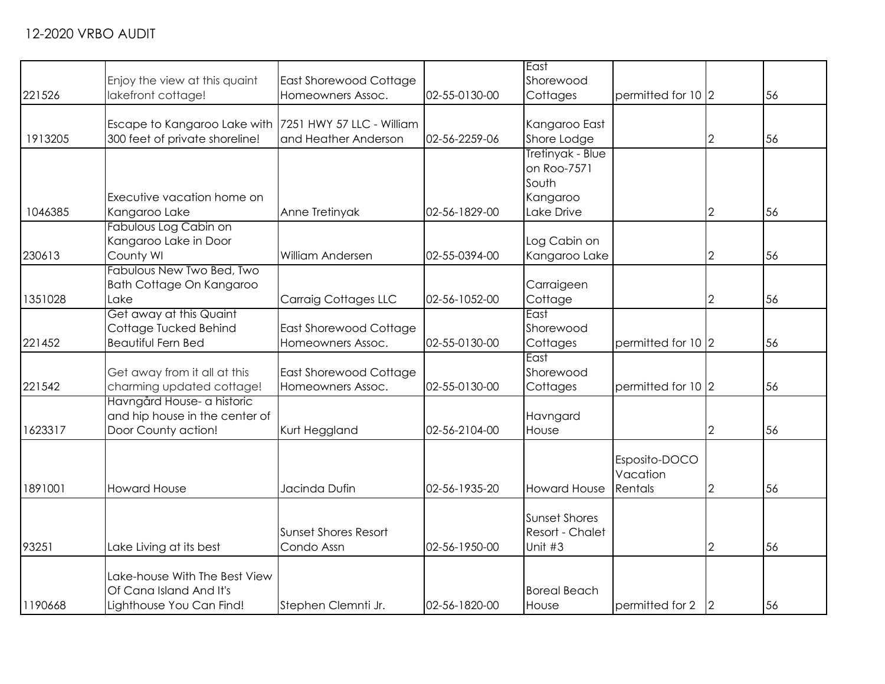| 221526  | Enjoy the view at this quaint<br>lakefront cottage!                                      | East Shorewood Cottage<br>Homeowners Assoc. | 02-55-0130-00 | East<br>Shorewood<br>Cottages                                      | permitted for 10 2                   |                | 56 |
|---------|------------------------------------------------------------------------------------------|---------------------------------------------|---------------|--------------------------------------------------------------------|--------------------------------------|----------------|----|
| 1913205 | Escape to Kangaroo Lake with 7251 HWY 57 LLC - William<br>300 feet of private shoreline! | and Heather Anderson                        | 02-56-2259-06 | Kangaroo East<br>Shore Lodge                                       |                                      | $\overline{2}$ | 56 |
| 1046385 | Executive vacation home on<br>Kangaroo Lake                                              | Anne Tretinyak                              | 02-56-1829-00 | Tretinyak - Blue<br>on Roo-7571<br>South<br>Kangaroo<br>Lake Drive |                                      | $\mathbf{2}$   | 56 |
| 230613  | Fabulous Log Cabin on<br>Kangaroo Lake in Door<br>County WI                              | William Andersen                            | 02-55-0394-00 | Log Cabin on<br>Kangaroo Lake                                      |                                      | 2              | 56 |
| 1351028 | Fabulous New Two Bed, Two<br>Bath Cottage On Kangaroo<br>Lake                            | Carraig Cottages LLC                        | 02-56-1052-00 | Carraigeen<br>Cottage                                              |                                      | 2              | 56 |
| 221452  | Get away at this Quaint<br>Cottage Tucked Behind<br><b>Beautiful Fern Bed</b>            | East Shorewood Cottage<br>Homeowners Assoc. | 02-55-0130-00 | East<br>Shorewood<br>Cottages                                      | permitted for 10 2                   |                | 56 |
| 221542  | Get away from it all at this<br>charming updated cottage!                                | East Shorewood Cottage<br>Homeowners Assoc. | 02-55-0130-00 | East<br>Shorewood<br>Cottages                                      | permitted for 10 2                   |                | 56 |
| 1623317 | Havngård House- a historic<br>and hip house in the center of<br>Door County action!      | Kurt Heggland                               | 02-56-2104-00 | Havngard<br>House                                                  |                                      | 2              | 56 |
| 1891001 | <b>Howard House</b>                                                                      | Jacinda Dufin                               | 02-56-1935-20 | <b>Howard House</b>                                                | Esposito-DOCO<br>Vacation<br>Rentals | 2              | 56 |
| 93251   | Lake Living at its best                                                                  | <b>Sunset Shores Resort</b><br>Condo Assn   | 02-56-1950-00 | <b>Sunset Shores</b><br>Resort - Chalet<br>Unit #3                 |                                      | $\mathbf{2}$   | 56 |
| 1190668 | Lake-house With The Best View<br>Of Cana Island And It's<br>Lighthouse You Can Find!     | Stephen Clemnti Jr.                         | 02-56-1820-00 | <b>Boreal Beach</b><br>House                                       | permitted for 2                      | 2              | 56 |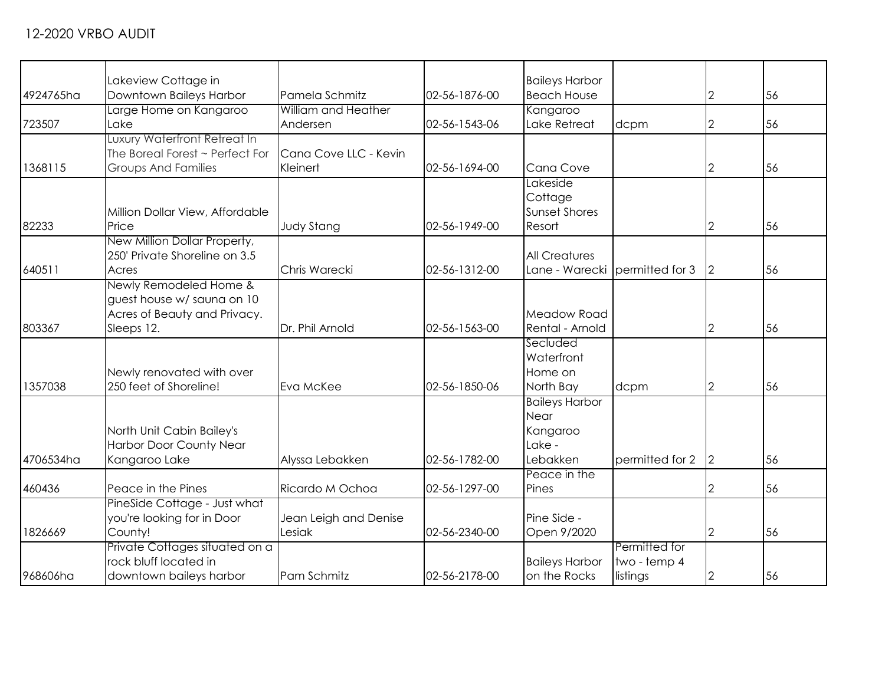|           | Lakeview Cottage in             |                       |               | <b>Baileys Harbor</b>          |                 |                |    |
|-----------|---------------------------------|-----------------------|---------------|--------------------------------|-----------------|----------------|----|
| 4924765ha | Downtown Baileys Harbor         | Pamela Schmitz        | 02-56-1876-00 | <b>Beach House</b>             |                 | $\overline{2}$ | 56 |
|           | Large Home on Kangaroo          | William and Heather   |               | Kangaroo                       |                 |                |    |
| 723507    | Lake                            | Andersen              | 02-56-1543-06 | Lake Retreat                   | dcpm            | 2              | 56 |
|           | Luxury Waterfront Retreat In    |                       |               |                                |                 |                |    |
|           | The Boreal Forest ~ Perfect For | Cana Cove LLC - Kevin |               |                                |                 |                |    |
| 1368115   | <b>Groups And Families</b>      | Kleinert              | 02-56-1694-00 | Cana Cove                      |                 | 2              | 56 |
|           |                                 |                       |               | Lakeside                       |                 |                |    |
|           |                                 |                       |               | Cottage                        |                 |                |    |
|           | Million Dollar View, Affordable |                       |               | <b>Sunset Shores</b>           |                 |                |    |
| 82233     | Price                           | <b>Judy Stang</b>     | 02-56-1949-00 | Resort                         |                 | 2              | 56 |
|           | New Million Dollar Property,    |                       |               |                                |                 |                |    |
|           | 250' Private Shoreline on 3.5   |                       |               | <b>All Creatures</b>           |                 |                |    |
|           |                                 | Chris Warecki         |               |                                |                 |                |    |
| 640511    | Acres                           |                       | 02-56-1312-00 | Lane - Warecki permitted for 3 |                 | 2              | 56 |
|           | Newly Remodeled Home &          |                       |               |                                |                 |                |    |
|           | guest house w/ sauna on 10      |                       |               |                                |                 |                |    |
|           | Acres of Beauty and Privacy.    |                       |               | Meadow Road                    |                 |                |    |
| 803367    | Sleeps 12.                      | Dr. Phil Arnold       | 02-56-1563-00 | Rental - Arnold                |                 | 2              | 56 |
|           |                                 |                       |               | Secluded                       |                 |                |    |
|           |                                 |                       |               | Waterfront                     |                 |                |    |
|           | Newly renovated with over       |                       |               | Home on                        |                 |                |    |
| 1357038   | 250 feet of Shoreline!          | Eva McKee             | 02-56-1850-06 | North Bay                      | dcpm            | 2              | 56 |
|           |                                 |                       |               | <b>Baileys Harbor</b>          |                 |                |    |
|           |                                 |                       |               | Near                           |                 |                |    |
|           | North Unit Cabin Bailey's       |                       |               | Kangaroo                       |                 |                |    |
|           | Harbor Door County Near         |                       |               | Lake -                         |                 |                |    |
| 4706534ha | Kangaroo Lake                   | Alyssa Lebakken       | 02-56-1782-00 | Lebakken                       | permitted for 2 | $\overline{2}$ | 56 |
|           |                                 |                       |               | Peace in the                   |                 |                |    |
| 460436    | Peace in the Pines              | Ricardo M Ochoa       | 02-56-1297-00 | Pines                          |                 | 2              | 56 |
|           | PineSide Cottage - Just what    |                       |               |                                |                 |                |    |
|           | you're looking for in Door      | Jean Leigh and Denise |               | Pine Side -                    |                 |                |    |
| 1826669   | County!                         | Lesiak                | 02-56-2340-00 | Open 9/2020                    |                 | $\mathbf{2}$   | 56 |
|           | Private Cottages situated on a  |                       |               |                                | Permitted for   |                |    |
|           | rock bluff located in           |                       |               | <b>Baileys Harbor</b>          | two - temp 4    |                |    |
| 968606ha  | downtown baileys harbor         | Pam Schmitz           | 02-56-2178-00 | on the Rocks                   | listings        | $\mathbf{2}$   | 56 |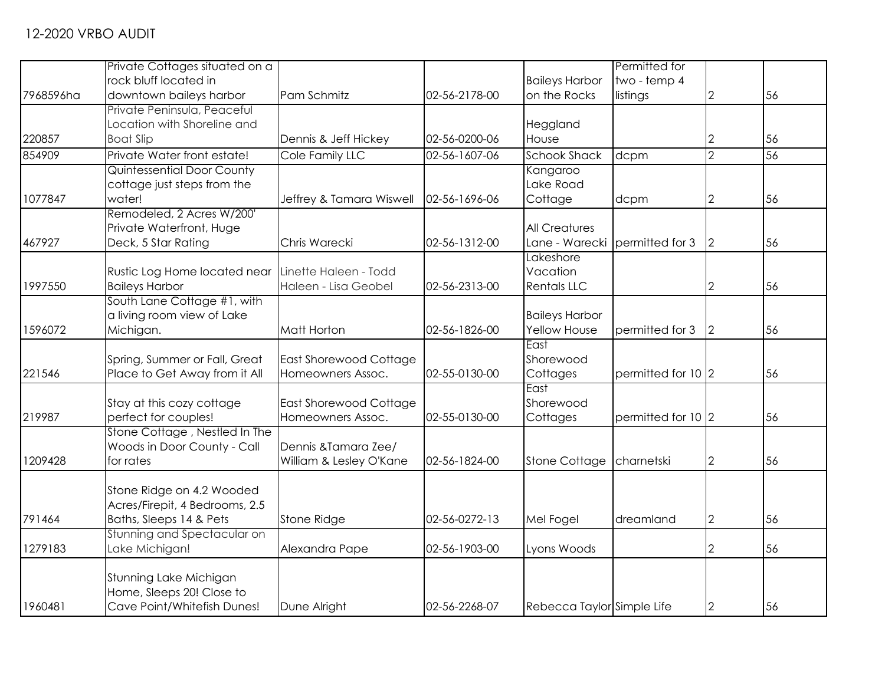|           | Private Cottages situated on a |                               |               |                            | Permitted for      |                |    |
|-----------|--------------------------------|-------------------------------|---------------|----------------------------|--------------------|----------------|----|
|           | rock bluff located in          |                               |               | <b>Baileys Harbor</b>      | two - temp 4       |                |    |
| 7968596ha | downtown baileys harbor        | Pam Schmitz                   | 02-56-2178-00 | on the Rocks               | listings           | $\overline{2}$ | 56 |
|           | Private Peninsula, Peaceful    |                               |               |                            |                    |                |    |
|           | Location with Shoreline and    |                               |               | Heggland                   |                    |                |    |
| 220857    | <b>Boat Slip</b>               | Dennis & Jeff Hickey          | 02-56-0200-06 | House                      |                    | 2              | 56 |
| 854909    | Private Water front estate!    | Cole Family LLC               | 02-56-1607-06 | <b>Schook Shack</b>        | dcpm               | $\overline{2}$ | 56 |
|           | Quintessential Door County     |                               |               | Kangaroo                   |                    |                |    |
|           | cottage just steps from the    |                               |               | Lake Road                  |                    |                |    |
| 1077847   | water!                         | Jeffrey & Tamara Wiswell      | 02-56-1696-06 | Cottage                    | dcpm               | $\mathbf{2}$   | 56 |
|           | Remodeled, 2 Acres W/200'      |                               |               |                            |                    |                |    |
|           | Private Waterfront, Huge       |                               |               | <b>All Creatures</b>       |                    |                |    |
| 467927    | Deck, 5 Star Rating            | Chris Warecki                 | 02-56-1312-00 | Lane - Warecki             | permitted for 3    | $\overline{2}$ | 56 |
|           |                                |                               |               | Lakeshore                  |                    |                |    |
|           | Rustic Log Home located near   | Linette Haleen - Todd         |               | Vacation                   |                    |                |    |
| 1997550   | <b>Baileys Harbor</b>          | Haleen - Lisa Geobel          | 02-56-2313-00 | <b>Rentals LLC</b>         |                    | 2              | 56 |
|           | South Lane Cottage #1, with    |                               |               |                            |                    |                |    |
|           | a living room view of Lake     |                               |               | <b>Baileys Harbor</b>      |                    |                |    |
| 1596072   | Michigan.                      | Matt Horton                   | 02-56-1826-00 | Yellow House               | permitted for 3    | $\vert$ 2      | 56 |
|           |                                |                               |               | East                       |                    |                |    |
|           | Spring, Summer or Fall, Great  | <b>East Shorewood Cottage</b> |               | Shorewood                  |                    |                |    |
| 221546    | Place to Get Away from it All  | Homeowners Assoc.             | 02-55-0130-00 | Cottages<br>East           | permitted for 10 2 |                | 56 |
|           | Stay at this cozy cottage      | East Shorewood Cottage        |               | Shorewood                  |                    |                |    |
| 219987    | perfect for couples!           | Homeowners Assoc.             | 02-55-0130-00 | Cottages                   | permitted for 10 2 |                | 56 |
|           | Stone Cottage, Nestled In The  |                               |               |                            |                    |                |    |
|           | Woods in Door County - Call    | Dennis & Tamara Zee/          |               |                            |                    |                |    |
| 1209428   | for rates                      | William & Lesley O'Kane       | 02-56-1824-00 | <b>Stone Cottage</b>       | charnetski         | $\overline{2}$ | 56 |
|           |                                |                               |               |                            |                    |                |    |
|           | Stone Ridge on 4.2 Wooded      |                               |               |                            |                    |                |    |
|           | Acres/Firepit, 4 Bedrooms, 2.5 |                               |               |                            |                    |                |    |
| 791464    | Baths, Sleeps 14 & Pets        | <b>Stone Ridge</b>            | 02-56-0272-13 | Mel Fogel                  | dreamland          | $\overline{2}$ | 56 |
|           | Stunning and Spectacular on    |                               |               |                            |                    |                |    |
| 1279183   | Lake Michigan!                 | Alexandra Pape                | 02-56-1903-00 | Lyons Woods                |                    | 2              | 56 |
|           |                                |                               |               |                            |                    |                |    |
|           | Stunning Lake Michigan         |                               |               |                            |                    |                |    |
|           | Home, Sleeps 20! Close to      |                               |               |                            |                    |                |    |
| 1960481   | Cave Point/Whitefish Dunes!    | Dune Alright                  | 02-56-2268-07 | Rebecca Taylor Simple Life |                    | $\overline{2}$ | 56 |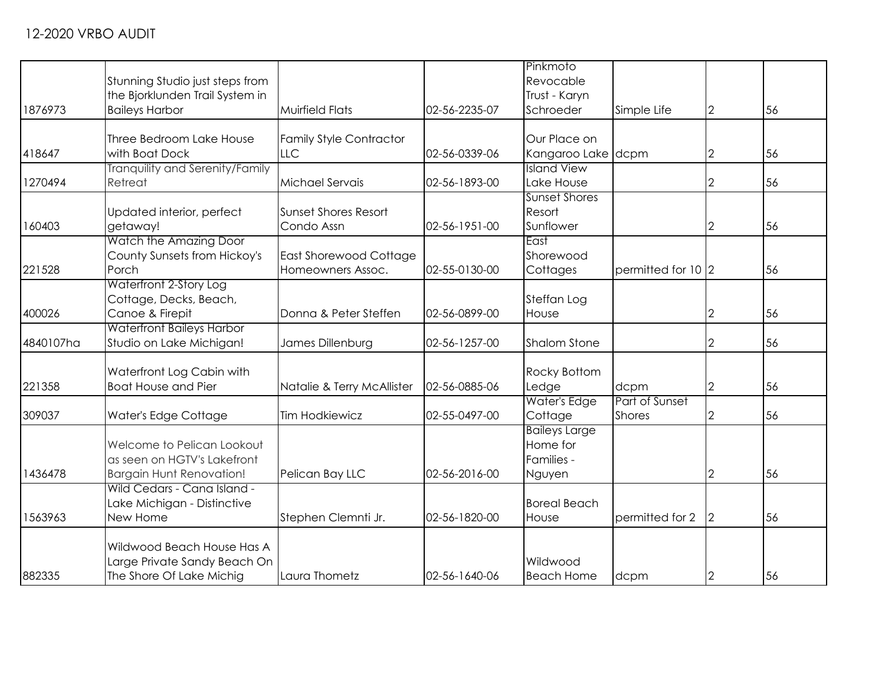|           |                                  |                                |               | Pinkmoto             |                    |                |    |
|-----------|----------------------------------|--------------------------------|---------------|----------------------|--------------------|----------------|----|
|           | Stunning Studio just steps from  |                                |               | Revocable            |                    |                |    |
|           | the Bjorklunden Trail System in  |                                |               | Trust - Karyn        |                    |                |    |
| 1876973   | <b>Baileys Harbor</b>            | <b>Muirfield Flats</b>         | 02-56-2235-07 | Schroeder            | Simple Life        | $\overline{2}$ | 56 |
|           |                                  |                                |               |                      |                    |                |    |
|           | Three Bedroom Lake House         | <b>Family Style Contractor</b> |               | Our Place on         |                    |                |    |
| 418647    | with Boat Dock                   | <b>LLC</b>                     | 02-56-0339-06 | Kangaroo Lake dcpm   |                    | 2              | 56 |
|           | Tranquility and Serenity/Family  |                                |               | <b>Island View</b>   |                    |                |    |
| 1270494   | Retreat                          | Michael Servais                | 02-56-1893-00 | Lake House           |                    | 2              | 56 |
|           |                                  |                                |               | <b>Sunset Shores</b> |                    |                |    |
|           | Updated interior, perfect        | <b>Sunset Shores Resort</b>    |               | Resort               |                    |                |    |
| 160403    | getaway!                         | Condo Assn                     | 02-56-1951-00 | Sunflower            |                    | 2              | 56 |
|           | Watch the Amazing Door           |                                |               | East                 |                    |                |    |
|           | County Sunsets from Hickoy's     | East Shorewood Cottage         |               | Shorewood            |                    |                |    |
| 221528    | Porch                            | Homeowners Assoc.              | 02-55-0130-00 | Cottages             | permitted for 10 2 |                | 56 |
|           | Waterfront 2-Story Log           |                                |               |                      |                    |                |    |
|           | Cottage, Decks, Beach,           |                                |               | Steffan Log          |                    |                |    |
| 400026    | Canoe & Firepit                  | Donna & Peter Steffen          | 02-56-0899-00 | House                |                    | 2              | 56 |
|           | <b>Waterfront Baileys Harbor</b> |                                |               |                      |                    |                |    |
| 4840107ha | Studio on Lake Michigan!         | James Dillenburg               | 02-56-1257-00 | <b>Shalom Stone</b>  |                    | 2              | 56 |
|           |                                  |                                |               |                      |                    |                |    |
|           | Waterfront Log Cabin with        |                                |               | Rocky Bottom         |                    |                |    |
| 221358    | <b>Boat House and Pier</b>       | Natalie & Terry McAllister     | 02-56-0885-06 | Ledge                | dcpm               | $\overline{2}$ | 56 |
|           |                                  |                                |               | Water's Edge         | Part of Sunset     |                |    |
| 309037    | Water's Edge Cottage             | <b>Tim Hodkiewicz</b>          | 02-55-0497-00 | Cottage              | <b>Shores</b>      | 2              | 56 |
|           |                                  |                                |               | <b>Baileys Large</b> |                    |                |    |
|           | Welcome to Pelican Lookout       |                                |               | Home for             |                    |                |    |
|           | as seen on HGTV's Lakefront      |                                |               | Families -           |                    |                |    |
|           |                                  |                                |               |                      |                    |                |    |
| 1436478   | <b>Bargain Hunt Renovation!</b>  | Pelican Bay LLC                | 02-56-2016-00 | Nguyen               |                    | $\overline{2}$ | 56 |
|           | Wild Cedars - Cana Island -      |                                |               |                      |                    |                |    |
|           | Lake Michigan - Distinctive      |                                |               | <b>Boreal Beach</b>  |                    |                |    |
| 1563963   | New Home                         | Stephen Clemnti Jr.            | 02-56-1820-00 | House                | permitted for 2    | $\overline{2}$ | 56 |
|           |                                  |                                |               |                      |                    |                |    |
|           | Wildwood Beach House Has A       |                                |               |                      |                    |                |    |
|           | Large Private Sandy Beach On     |                                |               | Wildwood             |                    |                |    |
| 882335    | The Shore Of Lake Michig         | Laura Thometz                  | 02-56-1640-06 | <b>Beach Home</b>    | dcpm               | $\overline{2}$ | 56 |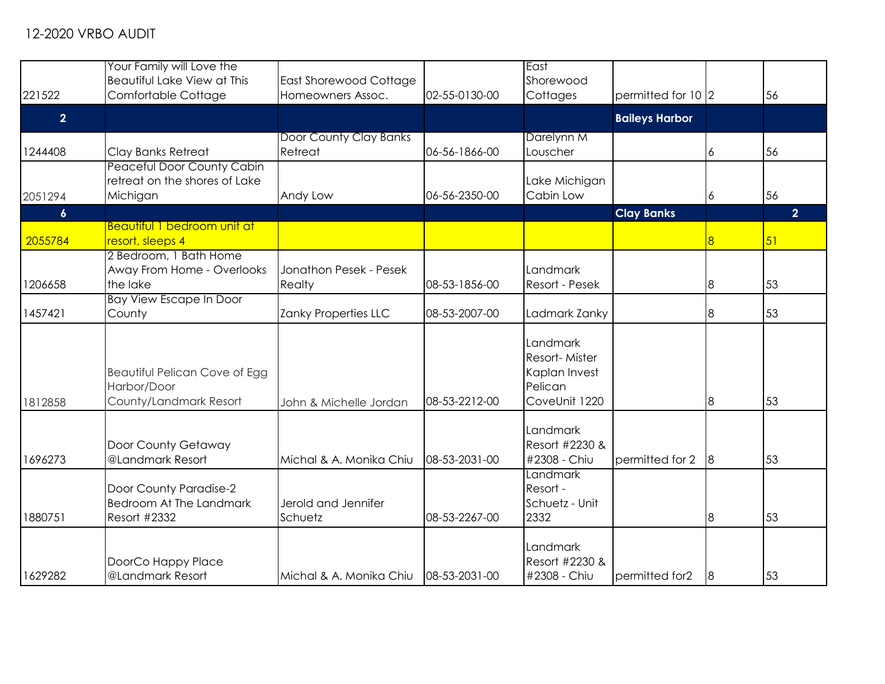|                  | Your Family will Love the<br>Beautiful Lake View at This                 | East Shorewood Cottage            |               | East<br>Shorewood                                                      |                       |                |                |
|------------------|--------------------------------------------------------------------------|-----------------------------------|---------------|------------------------------------------------------------------------|-----------------------|----------------|----------------|
| 221522           | Comfortable Cottage                                                      | Homeowners Assoc.                 | 02-55-0130-00 | Cottages                                                               | permitted for 10 2    |                | 56             |
| $\overline{2}$   |                                                                          |                                   |               |                                                                        | <b>Baileys Harbor</b> |                |                |
| 1244408          | Clay Banks Retreat                                                       | Door County Clay Banks<br>Retreat | 06-56-1866-00 | Darelynn M<br>Louscher                                                 |                       | 6              | 56             |
| 2051294          | Peaceful Door County Cabin<br>retreat on the shores of Lake<br>Michigan  | Andy Low                          | 06-56-2350-00 | Lake Michigan<br>Cabin Low                                             |                       | 6              | 56             |
| $\boldsymbol{6}$ |                                                                          |                                   |               |                                                                        | <b>Clay Banks</b>     |                | 2 <sup>1</sup> |
| 2055784          | Beautiful 1 bedroom unit at<br>resort, sleeps 4                          |                                   |               |                                                                        |                       | 8              | 51             |
| 1206658          | 2 Bedroom, 1 Bath Home<br>Away From Home - Overlooks<br>the lake         | Jonathon Pesek - Pesek<br>Realty  | 08-53-1856-00 | Landmark<br>Resort - Pesek                                             |                       | $\overline{8}$ | 53             |
| 1457421          | <b>Bay View Escape In Door</b><br>County                                 | Zanky Properties LLC              | 08-53-2007-00 | Ladmark Zanky                                                          |                       | 8              | 53             |
| 1812858          | Beautiful Pelican Cove of Egg<br>Harbor/Door<br>County/Landmark Resort   | John & Michelle Jordan            | 08-53-2212-00 | Landmark<br>Resort-Mister<br>Kaplan Invest<br>Pelican<br>CoveUnit 1220 |                       | $\overline{8}$ | 53             |
| 1696273          | Door County Getaway<br>@Landmark Resort                                  | Michal & A. Monika Chiu           | 08-53-2031-00 | Landmark<br>Resort #2230 &<br>#2308 - Chiu                             | permitted for 2       | 8              | 53             |
| 1880751          | Door County Paradise-2<br><b>Bedroom At The Landmark</b><br>Resort #2332 | Jerold and Jennifer<br>Schuetz    | 08-53-2267-00 | Landmark<br>Resort -<br>Schuetz - Unit<br>2332                         |                       | $\overline{8}$ | 53             |
| 1629282          | DoorCo Happy Place<br>@Landmark Resort                                   | Michal & A. Monika Chiu           | 08-53-2031-00 | Landmark<br>Resort #2230 &<br>#2308 - Chiu                             | permitted for2        | 8              | 53             |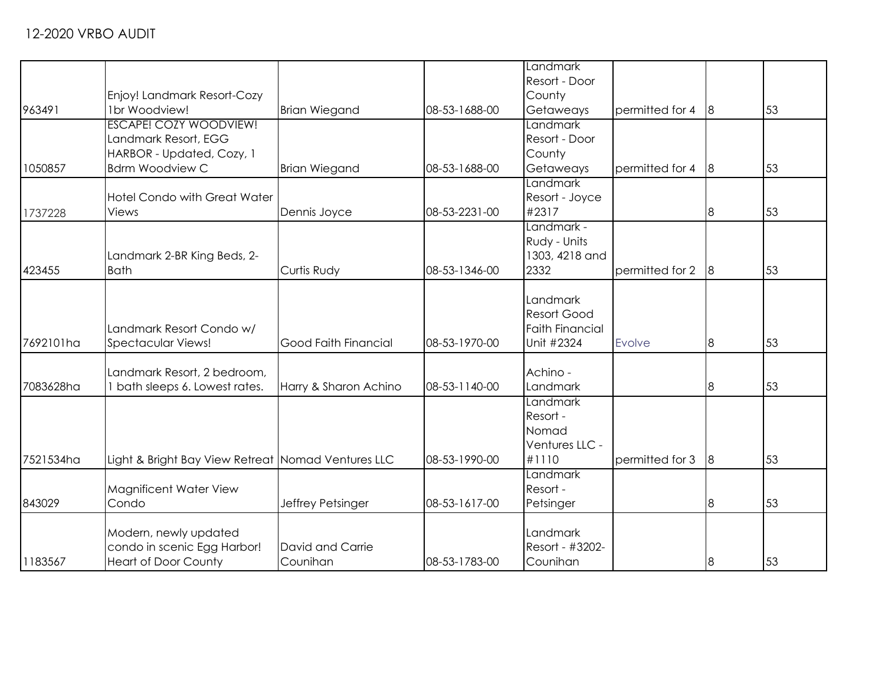|           |                                                     |                             |               | Landmark               |                 |                |    |
|-----------|-----------------------------------------------------|-----------------------------|---------------|------------------------|-----------------|----------------|----|
|           |                                                     |                             |               | Resort - Door          |                 |                |    |
|           | Enjoy! Landmark Resort-Cozy                         |                             |               | County                 |                 |                |    |
| 963491    | 1br Woodview!                                       | <b>Brian Wiegand</b>        | 08-53-1688-00 | Getaweays              | permitted for 4 | 8              | 53 |
|           | <b>ESCAPE! COZY WOODVIEW!</b>                       |                             |               | <b>Landmark</b>        |                 |                |    |
|           | Landmark Resort, EGG                                |                             |               | Resort - Door          |                 |                |    |
|           |                                                     |                             |               |                        |                 |                |    |
| 1050857   | HARBOR - Updated, Cozy, 1<br><b>Bdrm Woodview C</b> | <b>Brian Wiegand</b>        | 08-53-1688-00 | County<br>Getaweays    | permitted for 4 | 8              | 53 |
|           |                                                     |                             |               | Landmark               |                 |                |    |
|           | <b>Hotel Condo with Great Water</b>                 |                             |               | Resort - Joyce         |                 |                |    |
|           | Views                                               |                             | 08-53-2231-00 | #2317                  |                 |                | 53 |
| 1737228   |                                                     | Dennis Joyce                |               | Landmark -             |                 | 8              |    |
|           |                                                     |                             |               | Rudy - Units           |                 |                |    |
|           | Landmark 2-BR King Beds, 2-                         |                             |               | 1303, 4218 and         |                 |                |    |
| 423455    | <b>Bath</b>                                         | Curtis Rudy                 | 08-53-1346-00 | 2332                   | permitted for 2 | 8              | 53 |
|           |                                                     |                             |               |                        |                 |                |    |
|           |                                                     |                             |               | Landmark               |                 |                |    |
|           |                                                     |                             |               | <b>Resort Good</b>     |                 |                |    |
|           | Landmark Resort Condo w/                            |                             |               | <b>Faith Financial</b> |                 |                |    |
| 7692101ha | <b>Spectacular Views!</b>                           | <b>Good Faith Financial</b> | 08-53-1970-00 | Unit #2324             | Evolve          | 8              | 53 |
|           |                                                     |                             |               |                        |                 |                |    |
|           | Landmark Resort, 2 bedroom,                         |                             |               | Achino -               |                 |                |    |
| 7083628ha | I bath sleeps 6. Lowest rates.                      | Harry & Sharon Achino       | 08-53-1140-00 | Landmark               |                 | 8              | 53 |
|           |                                                     |                             |               | Landmark               |                 |                |    |
|           |                                                     |                             |               | Resort -               |                 |                |    |
|           |                                                     |                             |               | Nomad                  |                 |                |    |
|           |                                                     |                             |               | Ventures LLC -         |                 |                |    |
| 7521534ha | Light & Bright Bay View Retreat Nomad Ventures LLC  |                             | 08-53-1990-00 | #1110                  | permitted for 3 | $8\,$          | 53 |
|           |                                                     |                             |               | Landmark               |                 |                |    |
|           | Magnificent Water View                              |                             |               | Resort -               |                 |                |    |
| 843029    | Condo                                               | Jeffrey Petsinger           | 08-53-1617-00 | Petsinger              |                 | $8\,$          | 53 |
|           |                                                     |                             |               |                        |                 |                |    |
|           | Modern, newly updated                               |                             |               | Landmark               |                 |                |    |
|           | condo in scenic Egg Harbor!                         | David and Carrie            |               | Resort - #3202-        |                 |                |    |
| 1183567   | <b>Heart of Door County</b>                         | Counihan                    | 08-53-1783-00 | Counihan               |                 | $\overline{8}$ | 53 |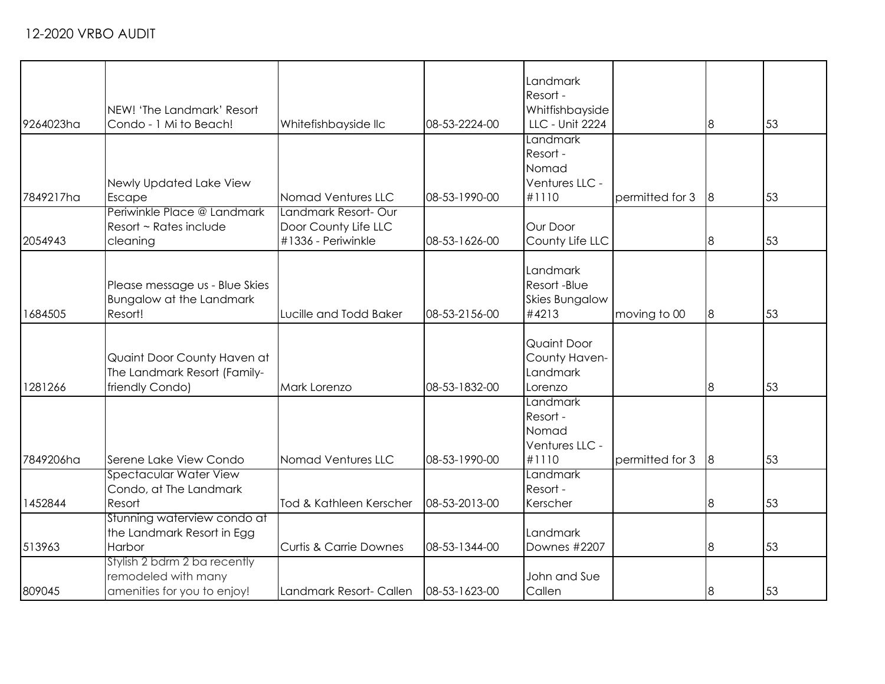|           |                                            |                                            |               | Landmark<br>Resort -           |                 |   |    |
|-----------|--------------------------------------------|--------------------------------------------|---------------|--------------------------------|-----------------|---|----|
|           | NEW! 'The Landmark' Resort                 |                                            |               | Whitfishbayside                |                 |   |    |
| 9264023ha | Condo - 1 Mi to Beach!                     | Whitefishbayside llc                       | 08-53-2224-00 | LLC - Unit 2224                |                 | 8 | 53 |
|           |                                            |                                            |               | Landmark                       |                 |   |    |
|           |                                            |                                            |               | Resort -                       |                 |   |    |
|           |                                            |                                            |               | Nomad                          |                 |   |    |
|           | Newly Updated Lake View                    |                                            |               | Ventures LLC -                 |                 |   |    |
| 7849217ha |                                            | Nomad Ventures LLC                         | 08-53-1990-00 | #1110                          | permitted for 3 | 8 | 53 |
|           | Escape<br>Periwinkle Place @ Landmark      | Landmark Resort-Our                        |               |                                |                 |   |    |
|           |                                            |                                            |               |                                |                 |   |    |
|           | Resort ~ Rates include                     | Door County Life LLC<br>#1336 - Periwinkle | 08-53-1626-00 | Our Door                       |                 |   | 53 |
| 2054943   | cleaning                                   |                                            |               | County Life LLC                |                 | 8 |    |
|           |                                            |                                            |               | Landmark                       |                 |   |    |
|           | Please message us - Blue Skies             |                                            |               | Resort-Blue                    |                 |   |    |
|           |                                            |                                            |               |                                |                 |   |    |
| 1684505   | <b>Bungalow at the Landmark</b><br>Resort! | Lucille and Todd Baker                     | 08-53-2156-00 | <b>Skies Bungalow</b><br>#4213 |                 |   | 53 |
|           |                                            |                                            |               |                                | moving to 00    | 8 |    |
|           |                                            |                                            |               | Quaint Door                    |                 |   |    |
|           | Quaint Door County Haven at                |                                            |               | County Haven-                  |                 |   |    |
|           | The Landmark Resort (Family-               |                                            |               | Landmark                       |                 |   |    |
| 1281266   | friendly Condo)                            | Mark Lorenzo                               | 08-53-1832-00 | Lorenzo                        |                 | 8 | 53 |
|           |                                            |                                            |               | Landmark                       |                 |   |    |
|           |                                            |                                            |               | Resort -                       |                 |   |    |
|           |                                            |                                            |               | Nomad                          |                 |   |    |
|           |                                            |                                            |               | Ventures LLC -                 |                 |   |    |
| 7849206ha | Serene Lake View Condo                     | Nomad Ventures LLC                         | 08-53-1990-00 | #1110                          | permitted for 3 | 8 | 53 |
|           | <b>Spectacular Water View</b>              |                                            |               | Landmark                       |                 |   |    |
|           | Condo, at The Landmark                     |                                            |               | Resort -                       |                 |   |    |
| 1452844   | Resort                                     | Tod & Kathleen Kerscher                    | 08-53-2013-00 | Kerscher                       |                 | 8 | 53 |
|           | Stunning waterview condo at                |                                            |               |                                |                 |   |    |
|           | the Landmark Resort in Egg                 |                                            |               | Landmark                       |                 |   |    |
| 513963    | Harbor                                     | <b>Curtis &amp; Carrie Downes</b>          | 08-53-1344-00 | Downes #2207                   |                 | 8 | 53 |
|           | Stylish 2 bdrm 2 ba recently               |                                            |               |                                |                 |   |    |
|           | remodeled with many                        |                                            |               | John and Sue                   |                 |   |    |
| 809045    | amenities for you to enjoy!                | Landmark Resort- Callen                    | 08-53-1623-00 | Callen                         |                 | 8 | 53 |
|           |                                            |                                            |               |                                |                 |   |    |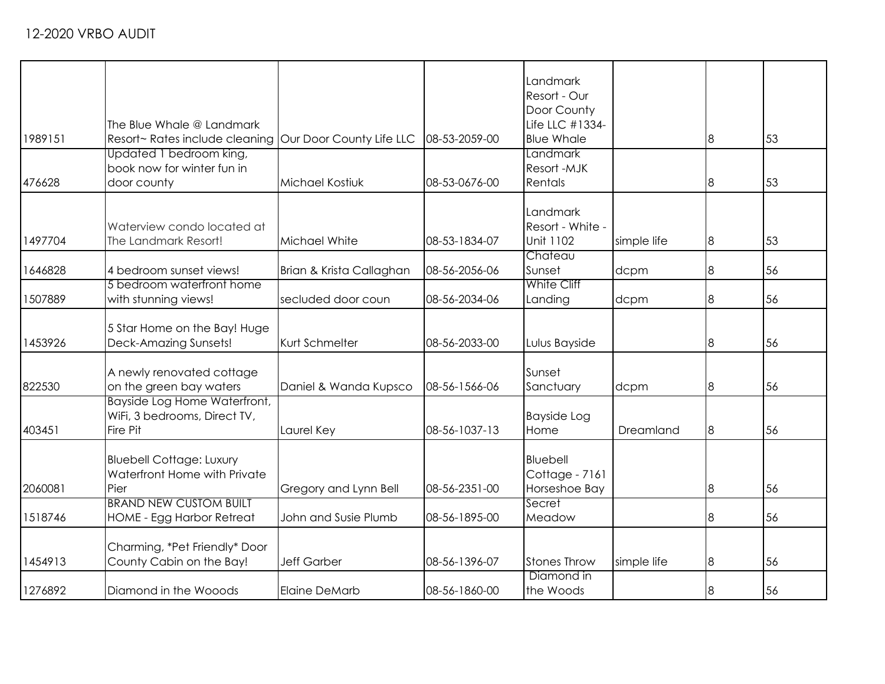| 1989151 | The Blue Whale @ Landmark<br>Resort~ Rates include cleaning Our Door County Life LLC<br>Updated 1 bedroom king, |                          | 08-53-2059-00 | Landmark<br>Resort - Our<br>Door County<br>Life LLC #1334-<br><b>Blue Whale</b><br>Landmark |             | 8     | 53 |
|---------|-----------------------------------------------------------------------------------------------------------------|--------------------------|---------------|---------------------------------------------------------------------------------------------|-------------|-------|----|
| 476628  | book now for winter fun in<br>door county                                                                       | Michael Kostiuk          | 08-53-0676-00 | Resort-MJK<br>Rentals                                                                       |             | 8     | 53 |
| 1497704 | Waterview condo located at<br>The Landmark Resort!                                                              | Michael White            | 08-53-1834-07 | Landmark<br>Resort - White -<br>Unit 1102                                                   | simple life | 8     | 53 |
| 1646828 | 4 bedroom sunset views!                                                                                         | Brian & Krista Callaghan | 08-56-2056-06 | Chateau<br>Sunset                                                                           | dcpm        | 8     | 56 |
| 1507889 | 5 bedroom waterfront home<br>with stunning views!                                                               | secluded door coun       | 08-56-2034-06 | <b>White Cliff</b><br>Landing                                                               | dcpm        | 8     | 56 |
| 1453926 | 5 Star Home on the Bay! Huge<br>Deck-Amazing Sunsets!                                                           | Kurt Schmelter           | 08-56-2033-00 | Lulus Bayside                                                                               |             | 8     | 56 |
| 822530  | A newly renovated cottage<br>on the green bay waters                                                            | Daniel & Wanda Kupsco    | 08-56-1566-06 | Sunset<br>Sanctuary                                                                         | dcpm        | $8\,$ | 56 |
| 403451  | Bayside Log Home Waterfront,<br>WiFi, 3 bedrooms, Direct TV,<br>Fire Pit                                        | Laurel Key               | 08-56-1037-13 | <b>Bayside Log</b><br>Home                                                                  | Dreamland   | $8\,$ | 56 |
| 2060081 | <b>Bluebell Cottage: Luxury</b><br>Waterfront Home with Private<br>Pier                                         | Gregory and Lynn Bell    | 08-56-2351-00 | Bluebell<br>Cottage - 7161<br>Horseshoe Bay                                                 |             | 8     | 56 |
| 1518746 | <b>BRAND NEW CUSTOM BUILT</b><br>HOME - Egg Harbor Retreat                                                      | John and Susie Plumb     | 08-56-1895-00 | Secret<br>Meadow                                                                            |             | 8     | 56 |
| 1454913 | Charming, *Pet Friendly* Door<br>County Cabin on the Bay!                                                       | <b>Jeff Garber</b>       | 08-56-1396-07 | <b>Stones Throw</b>                                                                         | simple life | 8     | 56 |
| 1276892 | Diamond in the Wooods                                                                                           | <b>Elaine DeMarb</b>     | 08-56-1860-00 | Diamond in<br>the Woods                                                                     |             | 8     | 56 |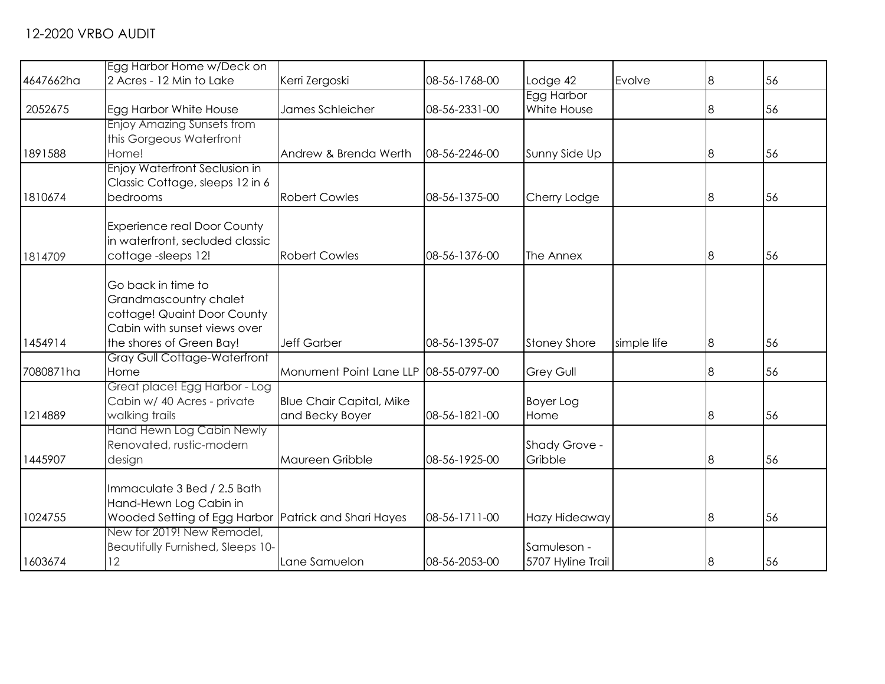|           | Egg Harbor Home w/Deck on                            |                                       |               |                     |             |                |    |
|-----------|------------------------------------------------------|---------------------------------------|---------------|---------------------|-------------|----------------|----|
| 4647662ha | 2 Acres - 12 Min to Lake                             | Kerri Zergoski                        | 08-56-1768-00 | Lodge 42            | Evolve      | 8              | 56 |
|           |                                                      |                                       |               | Egg Harbor          |             |                |    |
| 2052675   | Egg Harbor White House                               | James Schleicher                      | 08-56-2331-00 | White House         |             | 8              | 56 |
|           | Enjoy Amazing Sunsets from                           |                                       |               |                     |             |                |    |
|           | this Gorgeous Waterfront                             |                                       |               |                     |             |                |    |
| 1891588   | Home!                                                | Andrew & Brenda Werth                 | 08-56-2246-00 | Sunny Side Up       |             | 8              | 56 |
|           | Enjoy Waterfront Seclusion in                        |                                       |               |                     |             |                |    |
|           | Classic Cottage, sleeps 12 in 6                      |                                       |               |                     |             |                |    |
| 1810674   | bedrooms                                             | <b>Robert Cowles</b>                  | 08-56-1375-00 | Cherry Lodge        |             | 8              | 56 |
|           | <b>Experience real Door County</b>                   |                                       |               |                     |             |                |    |
|           | in waterfront, secluded classic                      |                                       |               |                     |             |                |    |
| 1814709   | cottage-sleeps 12!                                   | <b>Robert Cowles</b>                  | 08-56-1376-00 | The Annex           |             | 8              | 56 |
|           |                                                      |                                       |               |                     |             |                |    |
|           | Go back in time to                                   |                                       |               |                     |             |                |    |
|           | Grandmascountry chalet                               |                                       |               |                     |             |                |    |
|           | cottage! Quaint Door County                          |                                       |               |                     |             |                |    |
|           | Cabin with sunset views over                         |                                       |               |                     |             |                |    |
| 1454914   | the shores of Green Bay!                             | Jeff Garber                           | 08-56-1395-07 | <b>Stoney Shore</b> | simple life | 8              | 56 |
|           | <b>Gray Gull Cottage-Waterfront</b>                  |                                       |               |                     |             |                |    |
| 7080871ha | Home                                                 | Monument Point Lane LLP 08-55-0797-00 |               | <b>Grey Gull</b>    |             | 8              | 56 |
|           | Great place! Egg Harbor - Log                        |                                       |               |                     |             |                |    |
|           | Cabin w/ 40 Acres - private                          | <b>Blue Chair Capital, Mike</b>       |               | Boyer Log           |             |                |    |
| 1214889   | walking trails                                       | and Becky Boyer                       | 08-56-1821-00 | Home                |             | 8              | 56 |
|           | Hand Hewn Log Cabin Newly                            |                                       |               |                     |             |                |    |
|           | Renovated, rustic-modern                             |                                       |               | Shady Grove -       |             |                |    |
| 1445907   | design                                               | Maureen Gribble                       | 08-56-1925-00 | Gribble             |             | 8              | 56 |
|           |                                                      |                                       |               |                     |             |                |    |
|           | Immaculate 3 Bed / 2.5 Bath                          |                                       |               |                     |             |                |    |
|           | Hand-Hewn Log Cabin in                               |                                       |               |                     |             |                |    |
| 1024755   | Wooded Setting of Egg Harbor Patrick and Shari Hayes |                                       | 08-56-1711-00 | Hazy Hideaway       |             | 8              | 56 |
|           | New for 2019! New Remodel,                           |                                       |               |                     |             |                |    |
|           | Beautifully Furnished, Sleeps 10-                    |                                       |               | Samuleson -         |             |                |    |
| 1603674   | 12                                                   | Lane Samuelon                         | 08-56-2053-00 | 5707 Hyline Trail   |             | $\overline{8}$ | 56 |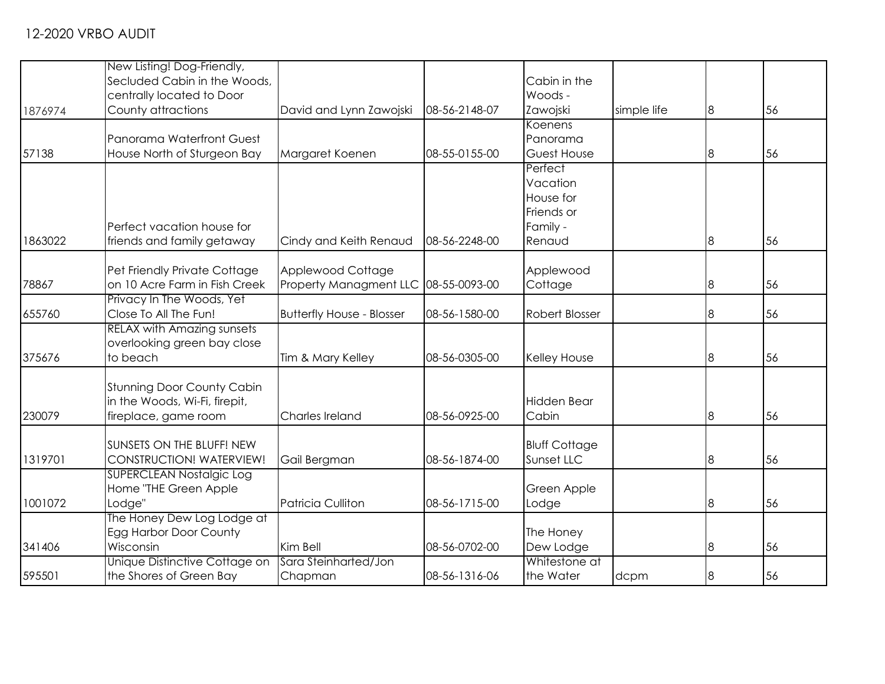|         | New Listing! Dog-Friendly,                               |                                      |               |                            |             |                |    |
|---------|----------------------------------------------------------|--------------------------------------|---------------|----------------------------|-------------|----------------|----|
|         | Secluded Cabin in the Woods,                             |                                      |               | Cabin in the               |             |                |    |
|         | centrally located to Door                                |                                      |               | Woods -                    |             |                |    |
| 1876974 | County attractions                                       | David and Lynn Zawojski              | 08-56-2148-07 | Zawojski                   | simple life | 8              | 56 |
|         |                                                          |                                      |               | Koenens                    |             |                |    |
|         | Panorama Waterfront Guest                                |                                      |               | Panorama                   |             |                |    |
| 57138   | House North of Sturgeon Bay                              | Margaret Koenen                      | 08-55-0155-00 | <b>Guest House</b>         |             | $\overline{8}$ | 56 |
|         |                                                          |                                      |               | Perfect                    |             |                |    |
|         |                                                          |                                      |               | Vacation                   |             |                |    |
|         |                                                          |                                      |               | House for<br>Friends or    |             |                |    |
|         | Perfect vacation house for                               |                                      |               | Family -                   |             |                |    |
| 1863022 | friends and family getaway                               | Cindy and Keith Renaud               | 08-56-2248-00 | Renaud                     |             | 8              | 56 |
|         |                                                          |                                      |               |                            |             |                |    |
|         | Pet Friendly Private Cottage                             | Applewood Cottage                    |               | Applewood                  |             |                |    |
| 78867   | on 10 Acre Farm in Fish Creek                            | Property Managment LLC 08-55-0093-00 |               | Cottage                    |             | 8              | 56 |
|         | Privacy In The Woods, Yet                                |                                      |               |                            |             |                |    |
| 655760  | Close To All The Fun!                                    | <b>Butterfly House - Blosser</b>     | 08-56-1580-00 | <b>Robert Blosser</b>      |             | $\overline{8}$ | 56 |
|         | <b>RELAX with Amazing sunsets</b>                        |                                      |               |                            |             |                |    |
|         | overlooking green bay close                              |                                      |               |                            |             |                |    |
| 375676  | to beach                                                 | Tim & Mary Kelley                    | 08-56-0305-00 | Kelley House               |             | $\bf{8}$       | 56 |
|         | <b>Stunning Door County Cabin</b>                        |                                      |               |                            |             |                |    |
|         | in the Woods, Wi-Fi, firepit,                            |                                      |               | Hidden Bear                |             |                |    |
| 230079  | fireplace, game room                                     | Charles Ireland                      | 08-56-0925-00 | Cabin                      |             | $\overline{8}$ | 56 |
|         |                                                          |                                      |               |                            |             |                |    |
|         | SUNSETS ON THE BLUFF! NEW                                |                                      |               | <b>Bluff Cottage</b>       |             |                |    |
| 1319701 | CONSTRUCTION! WATERVIEW!                                 | Gail Bergman                         | 08-56-1874-00 | Sunset LLC                 |             | 8              | 56 |
|         | <b>SUPERCLEAN Nostalgic Log</b>                          |                                      |               |                            |             |                |    |
|         | Home "THE Green Apple                                    |                                      |               | Green Apple                |             |                |    |
| 1001072 | Lodge"                                                   | <b>Patricia Culliton</b>             | 08-56-1715-00 | Lodge                      |             | $\overline{8}$ | 56 |
|         | The Honey Dew Log Lodge at                               |                                      |               |                            |             |                |    |
|         | Egg Harbor Door County                                   |                                      |               | The Honey                  |             |                |    |
| 341406  | Wisconsin                                                | Kim Bell                             | 08-56-0702-00 | Dew Lodge                  |             | $\overline{8}$ | 56 |
| 595501  | Unique Distinctive Cottage on<br>the Shores of Green Bay | Sara Steinharted/Jon                 | 08-56-1316-06 | Whitestone at<br>the Water |             |                | 56 |
|         |                                                          | Chapman                              |               |                            | dcpm        | 8              |    |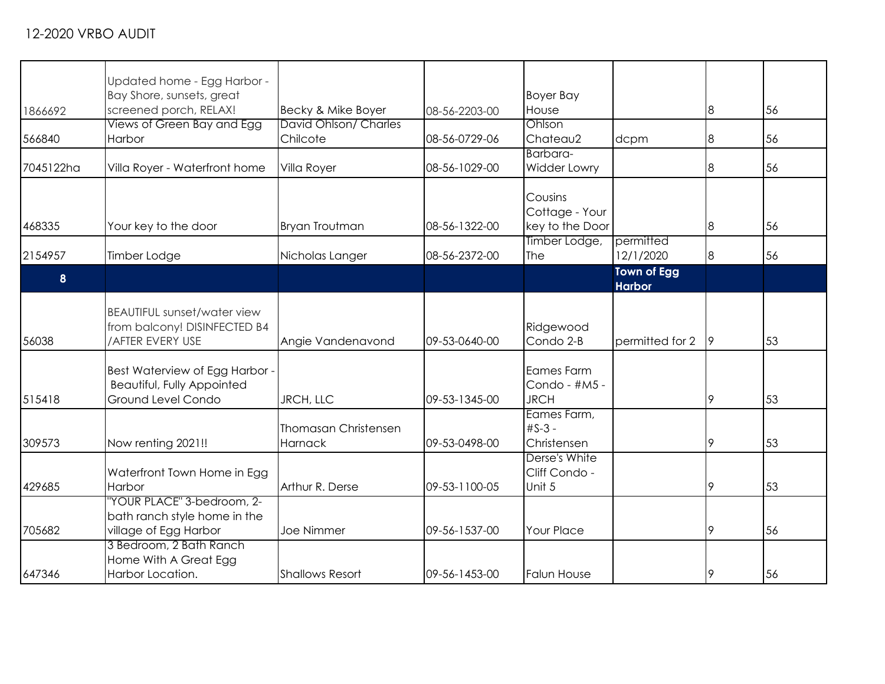|           | Updated home - Egg Harbor -                      |                             |               |                     |                    |                |    |
|-----------|--------------------------------------------------|-----------------------------|---------------|---------------------|--------------------|----------------|----|
|           | Bay Shore, sunsets, great                        |                             |               | <b>Boyer Bay</b>    |                    |                |    |
| 1866692   | screened porch, RELAX!                           | Becky & Mike Boyer          | 08-56-2203-00 | House               |                    | 8              | 56 |
|           | Views of Green Bay and Egg                       | David Ohlson/ Charles       |               | Ohlson              |                    |                |    |
| 566840    | Harbor                                           | Chilcote                    | 08-56-0729-06 | Chateau2            | dcpm               | 8              | 56 |
|           |                                                  |                             |               | Barbara-            |                    |                |    |
| 7045122ha | Villa Royer - Waterfront home                    | Villa Royer                 | 08-56-1029-00 | <b>Widder Lowry</b> |                    | $\overline{8}$ | 56 |
|           |                                                  |                             |               | Cousins             |                    |                |    |
|           |                                                  |                             |               | Cottage - Your      |                    |                |    |
| 468335    | Your key to the door                             | Bryan Troutman              | 08-56-1322-00 | key to the Door     |                    | 8              | 56 |
|           |                                                  |                             |               | Timber Lodge,       | permitted          |                |    |
| 2154957   | Timber Lodge                                     | Nicholas Langer             | 08-56-2372-00 | The                 | 12/1/2020          | $\bf{8}$       | 56 |
|           |                                                  |                             |               |                     | <b>Town of Egg</b> |                |    |
| 8         |                                                  |                             |               |                     | <b>Harbor</b>      |                |    |
|           | <b>BEAUTIFUL sunset/water view</b>               |                             |               |                     |                    |                |    |
|           | from balcony! DISINFECTED B4                     |                             |               | Ridgewood           |                    |                |    |
| 56038     | /AFTER EVERY USE                                 | Angie Vandenavond           | 09-53-0640-00 | Condo 2-B           | permitted for 2    | 9              | 53 |
|           |                                                  |                             |               |                     |                    |                |    |
|           | Best Waterview of Egg Harbor -                   |                             |               | Eames Farm          |                    |                |    |
|           | Beautiful, Fully Appointed                       |                             |               | Condo - #M5 -       |                    |                |    |
| 515418    | Ground Level Condo                               | JRCH, LLC                   | 09-53-1345-00 | <b>JRCH</b>         |                    | 9              | 53 |
|           |                                                  |                             |               | Eames Farm,         |                    |                |    |
|           |                                                  | <b>Thomasan Christensen</b> |               | $#S-3 -$            |                    |                |    |
| 309573    | Now renting 2021!!                               | Harnack                     | 09-53-0498-00 | Christensen         |                    | 9              | 53 |
|           |                                                  |                             |               | Derse's White       |                    |                |    |
|           | Waterfront Town Home in Egg                      |                             |               | Cliff Condo -       |                    |                |    |
| 429685    | Harbor                                           | Arthur R. Derse             | 09-53-1100-05 | Unit 5              |                    | 9              | 53 |
|           | "YOUR PLACE" 3-bedroom, 2-                       |                             |               |                     |                    |                |    |
|           | bath ranch style home in the                     |                             |               |                     |                    |                |    |
| 705682    | village of Egg Harbor                            | Joe Nimmer                  | 09-56-1537-00 | <b>Your Place</b>   |                    | 9              | 56 |
|           | 3 Bedroom, 2 Bath Ranch<br>Home With A Great Egg |                             |               |                     |                    |                |    |
| 647346    | Harbor Location.                                 | <b>Shallows Resort</b>      | 09-56-1453-00 | <b>Falun House</b>  |                    | 9              | 56 |
|           |                                                  |                             |               |                     |                    |                |    |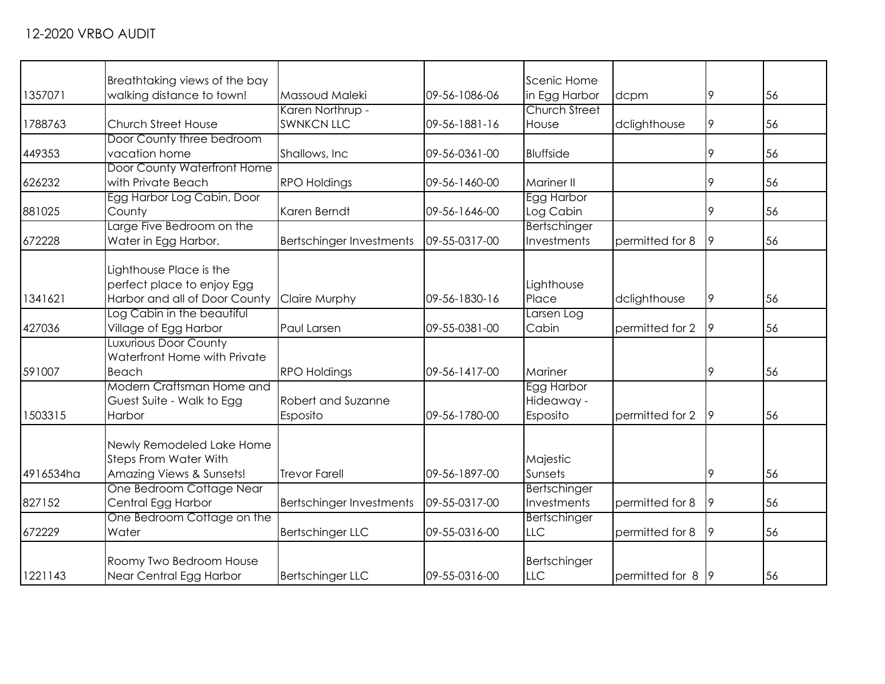| 1357071   | Breathtaking views of the bay<br>walking distance to town! | Massoud Maleki           | 09-56-1086-06 | Scenic Home<br>in Egg Harbor | dcpm            | 9  | 56 |
|-----------|------------------------------------------------------------|--------------------------|---------------|------------------------------|-----------------|----|----|
|           |                                                            | Karen Northrup -         |               | <b>Church Street</b>         |                 |    |    |
| 1788763   | <b>Church Street House</b>                                 | <b>SWNKCN LLC</b>        | 09-56-1881-16 | House                        | dclighthouse    | 9  | 56 |
|           | Door County three bedroom                                  |                          |               |                              |                 |    |    |
| 449353    | vacation home                                              | Shallows, Inc.           | 09-56-0361-00 | <b>Bluffside</b>             |                 | 9  | 56 |
|           | Door County Waterfront Home                                |                          |               |                              |                 |    |    |
| 626232    | with Private Beach                                         | <b>RPO Holdings</b>      | 09-56-1460-00 | <b>Mariner II</b>            |                 | 9  | 56 |
|           | Egg Harbor Log Cabin, Door                                 |                          |               | Egg Harbor                   |                 |    |    |
| 881025    | County                                                     | Karen Berndt             | 09-56-1646-00 | Log Cabin                    |                 | 9  | 56 |
|           | Large Five Bedroom on the                                  |                          |               | Bertschinger                 |                 |    |    |
| 672228    | Water in Egg Harbor.                                       | Bertschinger Investments | 09-55-0317-00 | Investments                  | permitted for 8 | 9  | 56 |
|           |                                                            |                          |               |                              |                 |    |    |
|           | Lighthouse Place is the                                    |                          |               |                              |                 |    |    |
|           | perfect place to enjoy Egg                                 |                          |               | Lighthouse                   |                 |    |    |
| 1341621   | Harbor and all of Door County                              | Claire Murphy            | 09-56-1830-16 | Place                        | dclighthouse    | 9  | 56 |
|           | Log Cabin in the beautiful                                 |                          |               | Larsen Log                   |                 |    |    |
| 427036    | Village of Egg Harbor                                      | Paul Larsen              | 09-55-0381-00 | Cabin                        | permitted for 2 | 9  | 56 |
|           | <b>Luxurious Door County</b>                               |                          |               |                              |                 |    |    |
|           | Waterfront Home with Private                               |                          |               |                              |                 |    |    |
| 591007    | Beach                                                      | <b>RPO Holdings</b>      | 09-56-1417-00 | Mariner                      |                 | 9  | 56 |
|           | Modern Craftsman Home and                                  |                          |               | Egg Harbor                   |                 |    |    |
|           | Guest Suite - Walk to Egg                                  | Robert and Suzanne       |               | Hideaway -                   |                 |    |    |
| 1503315   | Harbor                                                     | Esposito                 | 09-56-1780-00 | Esposito                     | permitted for 2 | 19 | 56 |
|           | Newly Remodeled Lake Home                                  |                          |               |                              |                 |    |    |
|           | <b>Steps From Water With</b>                               |                          |               | Majestic                     |                 |    |    |
| 4916534ha | Amazing Views & Sunsets!                                   | <b>Trevor Farell</b>     | 09-56-1897-00 | Sunsets                      |                 | 9  | 56 |
|           | One Bedroom Cottage Near                                   |                          |               | Bertschinger                 |                 |    |    |
|           |                                                            |                          | 09-55-0317-00 | Investments                  |                 | 9  | 56 |
| 827152    | Central Egg Harbor                                         | Bertschinger Investments |               |                              | permitted for 8 |    |    |
| 672229    | One Bedroom Cottage on the<br>Water                        |                          | 09-55-0316-00 | Bertschinger<br><b>LLC</b>   | permitted for 8 | 9  | 56 |
|           |                                                            | <b>Bertschinger LLC</b>  |               |                              |                 |    |    |
|           | Roomy Two Bedroom House                                    |                          |               | Bertschinger                 |                 |    |    |
| 1221143   | Near Central Egg Harbor                                    | <b>Bertschinger LLC</b>  | 09-55-0316-00 | LLC                          | permitted for 8 | 9  | 56 |
|           |                                                            |                          |               |                              |                 |    |    |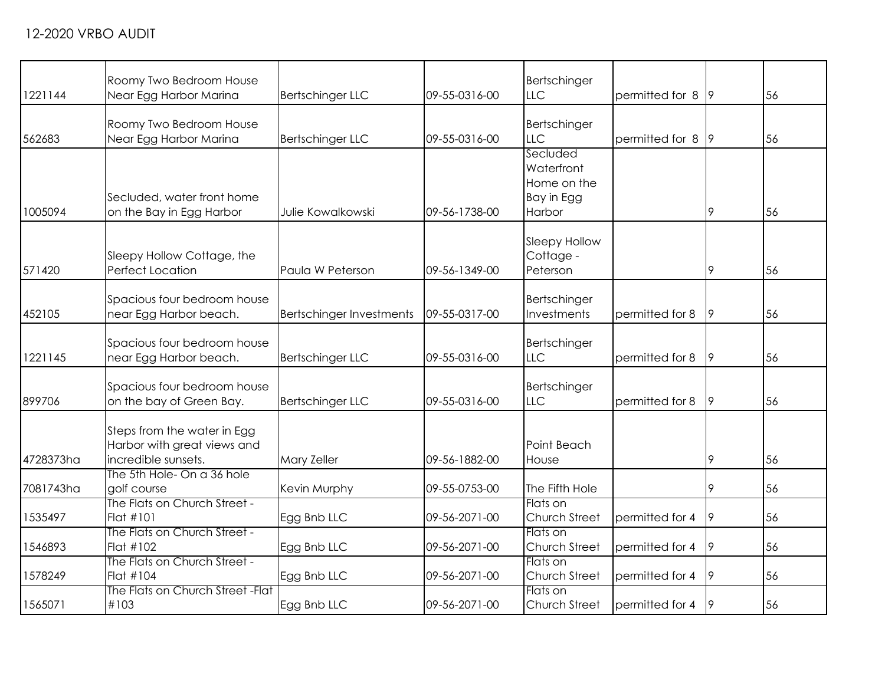|           | Roomy Two Bedroom House                                                           |                                 |               | Bertschinger                                                  |                 |    |    |
|-----------|-----------------------------------------------------------------------------------|---------------------------------|---------------|---------------------------------------------------------------|-----------------|----|----|
| 1221144   | Near Egg Harbor Marina                                                            | <b>Bertschinger LLC</b>         | 09-55-0316-00 | <b>LLC</b>                                                    | permitted for 8 | 19 | 56 |
| 562683    | Roomy Two Bedroom House<br>Near Egg Harbor Marina                                 | <b>Bertschinger LLC</b>         | 09-55-0316-00 | Bertschinger<br><b>LLC</b>                                    | permitted for 8 | 19 | 56 |
| 1005094   | Secluded, water front home<br>on the Bay in Egg Harbor                            | Julie Kowalkowski               | 09-56-1738-00 | Secluded<br>Waterfront<br>Home on the<br>Bay in Egg<br>Harbor |                 | 9  | 56 |
| 571420    | Sleepy Hollow Cottage, the<br><b>Perfect Location</b>                             | Paula W Peterson                | 09-56-1349-00 | Sleepy Hollow<br>Cottage -<br>Peterson                        |                 | 9  | 56 |
| 452105    | Spacious four bedroom house<br>near Egg Harbor beach.                             | <b>Bertschinger Investments</b> | 09-55-0317-00 | Bertschinger<br>Investments                                   | permitted for 8 | 19 | 56 |
| 1221145   | Spacious four bedroom house<br>near Egg Harbor beach.                             | <b>Bertschinger LLC</b>         | 09-55-0316-00 | Bertschinger<br><b>LLC</b>                                    | permitted for 8 | 9  | 56 |
| 899706    | Spacious four bedroom house<br>on the bay of Green Bay.                           | <b>Bertschinger LLC</b>         | 09-55-0316-00 | Bertschinger<br><b>LLC</b>                                    | permitted for 8 | 9  | 56 |
| 4728373ha | Steps from the water in Egg<br>Harbor with great views and<br>incredible sunsets. | <b>Mary Zeller</b>              | 09-56-1882-00 | Point Beach<br>House                                          |                 | 9  | 56 |
| 7081743ha | The 5th Hole- On a 36 hole<br>golf course                                         | Kevin Murphy                    | 09-55-0753-00 | The Fifth Hole                                                |                 | 9  | 56 |
| 1535497   | The Flats on Church Street -<br>Flat #101                                         | Egg Bnb LLC                     | 09-56-2071-00 | Flats on<br>Church Street                                     | permitted for 4 | 9  | 56 |
| 1546893   | The Flats on Church Street -<br>Flat #102                                         | Egg Bnb LLC                     | 09-56-2071-00 | Flats on<br>Church Street                                     | permitted for 4 | 9  | 56 |
| 1578249   | The Flats on Church Street -<br>Flat #104                                         | Egg Bnb LLC                     | 09-56-2071-00 | Flats on<br>Church Street                                     | permitted for 4 | 9  | 56 |
| 1565071   | The Flats on Church Street - Flat<br>#103                                         | Egg Bnb LLC                     | 09-56-2071-00 | Flats on<br>Church Street                                     | permitted for 4 | 19 | 56 |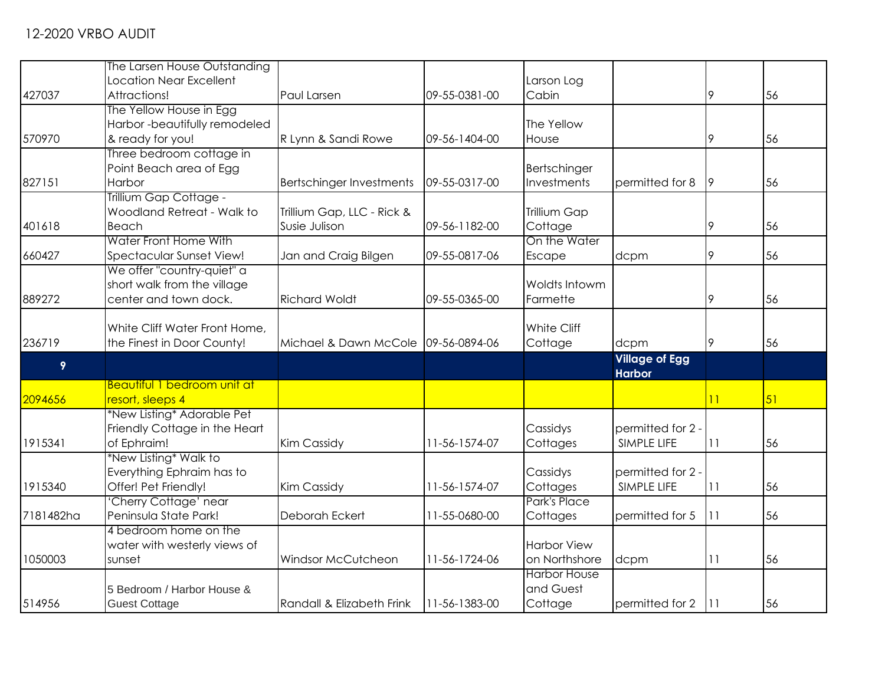|           | The Larsen House Outstanding                       |                                     |               |                         |                       |    |    |
|-----------|----------------------------------------------------|-------------------------------------|---------------|-------------------------|-----------------------|----|----|
|           | Location Near Excellent                            |                                     |               | Larson Log              |                       |    |    |
| 427037    | Attractions!                                       | Paul Larsen                         | 09-55-0381-00 | Cabin                   |                       | 9  | 56 |
|           | The Yellow House in Egg                            |                                     |               |                         |                       |    |    |
|           | Harbor -beautifully remodeled                      |                                     |               | The Yellow              |                       |    |    |
| 570970    | & ready for you!                                   | R Lynn & Sandi Rowe                 | 09-56-1404-00 | House                   |                       | 9  | 56 |
|           | Three bedroom cottage in                           |                                     |               |                         |                       |    |    |
|           | Point Beach area of Egg                            |                                     |               | Bertschinger            |                       |    |    |
| 827151    | Harbor                                             | Bertschinger Investments            | 09-55-0317-00 | Investments             | permitted for 8       | 9  | 56 |
|           | Trillium Gap Cottage -                             |                                     |               |                         |                       |    |    |
|           | Woodland Retreat - Walk to                         | Trillium Gap, LLC - Rick &          |               | Trillium Gap            |                       |    |    |
| 401618    | Beach<br>Water Front Home With                     | Susie Julison                       | 09-56-1182-00 | Cottage<br>On the Water |                       | 9  | 56 |
| 660427    | Spectacular Sunset View!                           |                                     | 09-55-0817-06 |                         |                       | 9  | 56 |
|           | We offer "country-quiet" a                         | Jan and Craig Bilgen                |               | Escape                  | dcpm                  |    |    |
|           | short walk from the village                        |                                     |               | Woldts Intowm           |                       |    |    |
| 889272    | center and town dock.                              | <b>Richard Woldt</b>                | 09-55-0365-00 | Farmette                |                       | 9  | 56 |
|           |                                                    |                                     |               |                         |                       |    |    |
|           | White Cliff Water Front Home,                      |                                     |               | White Cliff             |                       |    |    |
| 236719    | the Finest in Door County!                         | Michael & Dawn McCole 09-56-0894-06 |               | Cottage                 | dcpm                  | 9  | 56 |
|           |                                                    |                                     |               |                         | <b>Village of Egg</b> |    |    |
| 9         |                                                    |                                     |               |                         | <b>Harbor</b>         |    |    |
|           | <b>Beautiful 1 bedroom unit at</b>                 |                                     |               |                         |                       |    |    |
| 2094656   | resort, sleeps 4                                   |                                     |               |                         |                       | 11 | 51 |
|           | *New Listing* Adorable Pet                         |                                     |               |                         |                       |    |    |
|           | Friendly Cottage in the Heart                      |                                     |               | Cassidys                | permitted for 2 -     |    |    |
| 1915341   | of Ephraim!                                        | <b>Kim Cassidy</b>                  | 11-56-1574-07 | Cottages                | SIMPLE LIFE           | 11 | 56 |
|           | *New Listing* Walk to<br>Everything Ephraim has to |                                     |               | Cassidys                | permitted for 2.      |    |    |
| 1915340   | Offer! Pet Friendly!                               | Kim Cassidy                         | 11-56-1574-07 | Cottages                | SIMPLE LIFE           | 11 | 56 |
|           | 'Cherry Cottage' near                              |                                     |               | Park's Place            |                       |    |    |
| 7181482ha | Peninsula State Park!                              | Deborah Eckert                      | 11-55-0680-00 | Cottages                | permitted for 5       | 11 | 56 |
|           | 4 bedroom home on the                              |                                     |               |                         |                       |    |    |
|           | water with westerly views of                       |                                     |               | <b>Harbor View</b>      |                       |    |    |
| 1050003   | sunset                                             | Windsor McCutcheon                  | 11-56-1724-06 | on Northshore           | dcpm                  | 11 | 56 |
|           |                                                    |                                     |               | <b>Harbor House</b>     |                       |    |    |
|           | 5 Bedroom / Harbor House &                         |                                     |               | and Guest               |                       |    |    |
| 514956    | <b>Guest Cottage</b>                               | Randall & Elizabeth Frink           | 11-56-1383-00 | Cottage                 | permitted for 2       | 11 | 56 |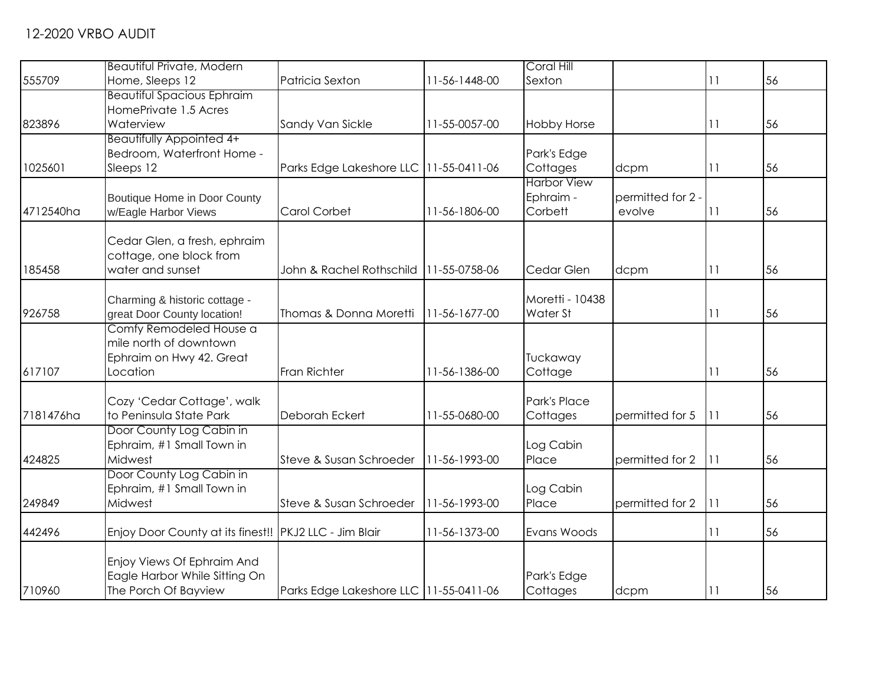|           | Beautiful Private, Modern                                |                                          |               | Coral Hill         |                   |    |    |
|-----------|----------------------------------------------------------|------------------------------------------|---------------|--------------------|-------------------|----|----|
| 555709    | Home, Sleeps 12                                          | Patricia Sexton                          | 11-56-1448-00 | Sexton             |                   | 11 | 56 |
|           | <b>Beautiful Spacious Ephraim</b>                        |                                          |               |                    |                   |    |    |
|           | HomePrivate 1.5 Acres                                    |                                          |               |                    |                   |    |    |
| 823896    | Waterview                                                | Sandy Van Sickle                         | 11-55-0057-00 | <b>Hobby Horse</b> |                   | 11 | 56 |
|           | Beautifully Appointed 4+                                 |                                          |               |                    |                   |    |    |
|           | Bedroom, Waterfront Home -                               |                                          |               | Park's Edge        |                   |    |    |
| 1025601   | Sleeps 12                                                | Parks Edge Lakeshore LLC   11-55-0411-06 |               | Cottages           | dcpm              | 11 | 56 |
|           |                                                          |                                          |               | <b>Harbor View</b> |                   |    |    |
|           | Boutique Home in Door County                             |                                          |               | Ephraim -          | permitted for 2 - |    |    |
| 4712540ha | w/Eagle Harbor Views                                     | Carol Corbet                             | 11-56-1806-00 | Corbett            | evolve            | 11 | 56 |
|           |                                                          |                                          |               |                    |                   |    |    |
|           | Cedar Glen, a fresh, ephraim                             |                                          |               |                    |                   |    |    |
|           | cottage, one block from                                  |                                          |               |                    |                   |    |    |
| 185458    | water and sunset                                         | John & Rachel Rothschild   11-55-0758-06 |               | Cedar Glen         | dcpm              | 11 | 56 |
|           |                                                          |                                          |               |                    |                   |    |    |
|           | Charming & historic cottage -                            |                                          |               | Moretti - 10438    |                   |    |    |
| 926758    | great Door County location!                              | Thomas & Donna Moretti                   | 11-56-1677-00 | Water St           |                   | 11 | 56 |
|           | Comfy Remodeled House a                                  |                                          |               |                    |                   |    |    |
|           | mile north of downtown                                   |                                          |               |                    |                   |    |    |
|           | Ephraim on Hwy 42. Great                                 |                                          |               | Tuckaway           |                   |    |    |
| 617107    | Location                                                 | Fran Richter                             | 11-56-1386-00 | Cottage            |                   | 11 | 56 |
|           |                                                          |                                          |               |                    |                   |    |    |
|           | Cozy 'Cedar Cottage', walk                               |                                          |               | Park's Place       |                   |    |    |
| 7181476ha | to Peninsula State Park                                  | Deborah Eckert                           | 11-55-0680-00 | Cottages           | permitted for 5   | 11 | 56 |
|           | Door County Log Cabin in                                 |                                          |               |                    |                   |    |    |
|           | Ephraim, #1 Small Town in                                |                                          |               | Log Cabin          |                   |    |    |
| 424825    | Midwest                                                  | Steve & Susan Schroeder                  | 11-56-1993-00 | Place              | permitted for 2   | 11 | 56 |
|           | Door County Log Cabin in                                 |                                          |               |                    |                   |    |    |
|           | Ephraim, #1 Small Town in                                |                                          |               | Log Cabin          |                   |    |    |
| 249849    | Midwest                                                  | Steve & Susan Schroeder                  | 11-56-1993-00 | Place              | permitted for 2   | 11 | 56 |
|           |                                                          |                                          |               |                    |                   |    |    |
| 442496    | Enjoy Door County at its finest!!   PKJ2 LLC - Jim Blair |                                          | 11-56-1373-00 | Evans Woods        |                   | 11 | 56 |
|           |                                                          |                                          |               |                    |                   |    |    |
|           | Enjoy Views Of Ephraim And                               |                                          |               |                    |                   |    |    |
|           | Eagle Harbor While Sitting On                            |                                          |               | Park's Edge        |                   |    |    |
| 710960    | The Porch Of Bayview                                     | Parks Edge Lakeshore LLC 11-55-0411-06   |               | Cottages           | dcpm              | 11 | 56 |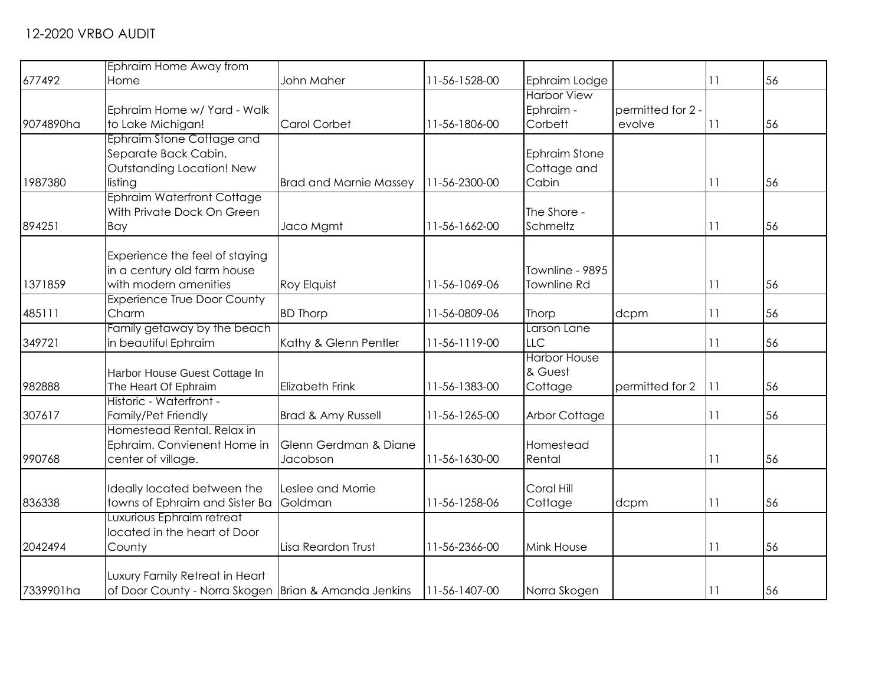|           | Ephraim Home Away from                                 |                               |               |                      |                   |    |    |
|-----------|--------------------------------------------------------|-------------------------------|---------------|----------------------|-------------------|----|----|
| 677492    | Home                                                   | John Maher                    | 11-56-1528-00 | Ephraim Lodge        |                   | 11 | 56 |
|           |                                                        |                               |               | <b>Harbor View</b>   |                   |    |    |
|           | Ephraim Home w/ Yard - Walk                            |                               |               | Ephraim -            | permitted for 2 - |    |    |
| 9074890ha | to Lake Michigan!                                      | Carol Corbet                  | 11-56-1806-00 | Corbett              | evolve            | 11 | 56 |
|           | Ephraim Stone Cottage and                              |                               |               |                      |                   |    |    |
|           | Separate Back Cabin,                                   |                               |               | <b>Ephraim Stone</b> |                   |    |    |
|           | Outstanding Location! New                              |                               |               | Cottage and          |                   |    |    |
| 1987380   | listing                                                | <b>Brad and Marnie Massey</b> | 11-56-2300-00 | Cabin                |                   | 11 | 56 |
|           | <b>Ephraim Waterfront Cottage</b>                      |                               |               |                      |                   |    |    |
|           | With Private Dock On Green                             |                               |               | The Shore -          |                   |    |    |
| 894251    | Bay                                                    | Jaco Mgmt                     | 11-56-1662-00 | Schmeltz             |                   | 11 | 56 |
|           |                                                        |                               |               |                      |                   |    |    |
|           | Experience the feel of staying                         |                               |               |                      |                   |    |    |
|           | in a century old farm house                            |                               |               | Townline - 9895      |                   |    |    |
| 1371859   | with modern amenities                                  | Roy Elquist                   | 11-56-1069-06 | <b>Townline Rd</b>   |                   | 11 | 56 |
|           | <b>Experience True Door County</b>                     |                               |               |                      |                   |    |    |
| 485111    | Charm                                                  | <b>BD Thorp</b>               | 11-56-0809-06 | Thorp                | dcpm              | 11 | 56 |
|           | Family getaway by the beach                            |                               |               | Larson Lane          |                   |    |    |
| 349721    | in beautiful Ephraim                                   | Kathy & Glenn Pentler         | 11-56-1119-00 | LLC                  |                   | 11 | 56 |
|           |                                                        |                               |               | <b>Harbor House</b>  |                   |    |    |
|           | Harbor House Guest Cottage In                          |                               |               | & Guest              |                   |    |    |
| 982888    | The Heart Of Ephraim                                   | <b>Elizabeth Frink</b>        | 11-56-1383-00 | Cottage              | permitted for 2   | 11 | 56 |
|           | Historic - Waterfront -                                |                               |               |                      |                   |    |    |
| 307617    | Family/Pet Friendly                                    | Brad & Amy Russell            | 11-56-1265-00 | <b>Arbor Cottage</b> |                   | 11 | 56 |
|           | Homestead Rental, Relax in                             |                               |               |                      |                   |    |    |
|           | Ephraim. Convienent Home in                            | Glenn Gerdman & Diane         |               | Homestead            |                   |    |    |
| 990768    | center of village.                                     | Jacobson                      | 11-56-1630-00 | Rental               |                   | 11 | 56 |
|           |                                                        |                               |               |                      |                   |    |    |
|           | Ideally located between the                            | Leslee and Morrie             |               | Coral Hill           |                   |    |    |
| 836338    | towns of Ephraim and Sister Ba                         | Goldman                       | 11-56-1258-06 | Cottage              | dcpm              | 11 | 56 |
|           | Luxurious Ephraim retreat                              |                               |               |                      |                   |    |    |
|           | located in the heart of Door                           |                               |               |                      |                   |    |    |
| 2042494   | County                                                 | Lisa Reardon Trust            | 11-56-2366-00 | Mink House           |                   | 11 | 56 |
|           |                                                        |                               |               |                      |                   |    |    |
| 7339901ha | Luxury Family Retreat in Heart                         |                               |               |                      |                   |    |    |
|           | of Door County - Norra Skogen   Brian & Amanda Jenkins |                               | 11-56-1407-00 | Norra Skogen         |                   | 11 | 56 |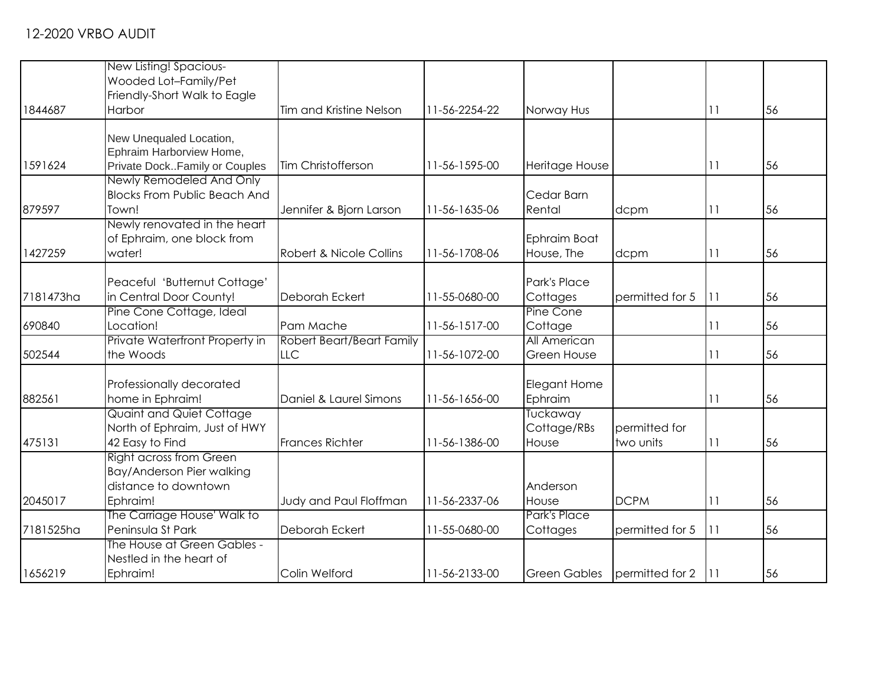|           | New Listing! Spacious-              |                           |               |                     |                 |    |    |
|-----------|-------------------------------------|---------------------------|---------------|---------------------|-----------------|----|----|
|           | Wooded Lot-Family/Pet               |                           |               |                     |                 |    |    |
|           | Friendly-Short Walk to Eagle        |                           |               |                     |                 |    |    |
| 1844687   | Harbor                              | Tim and Kristine Nelson   | 11-56-2254-22 | Norway Hus          |                 | 11 | 56 |
|           | New Unequaled Location,             |                           |               |                     |                 |    |    |
|           | Ephraim Harborview Home,            |                           |               |                     |                 |    |    |
| 1591624   | Private DockFamily or Couples       | <b>Tim Christofferson</b> | 11-56-1595-00 | Heritage House      |                 | 11 | 56 |
|           | Newly Remodeled And Only            |                           |               |                     |                 |    |    |
|           | <b>Blocks From Public Beach And</b> |                           |               | Cedar Barn          |                 |    |    |
| 879597    | Town!                               | Jennifer & Bjorn Larson   | 11-56-1635-06 | Rental              | dcpm            | 11 | 56 |
|           | Newly renovated in the heart        |                           |               |                     |                 |    |    |
|           | of Ephraim, one block from          |                           |               | Ephraim Boat        |                 |    |    |
| 1427259   | water!                              | Robert & Nicole Collins   | 11-56-1708-06 | House, The          | dcpm            | 11 | 56 |
|           |                                     |                           |               |                     |                 |    |    |
|           | Peaceful 'Butternut Cottage'        |                           |               | Park's Place        |                 |    |    |
| 7181473ha | in Central Door County!             | Deborah Eckert            | 11-55-0680-00 | Cottages            | permitted for 5 | 11 | 56 |
|           | Pine Cone Cottage, Ideal            |                           |               | Pine Cone           |                 |    |    |
| 690840    | Location!                           | Pam Mache                 | 11-56-1517-00 | Cottage             |                 | 11 | 56 |
|           | Private Waterfront Property in      | Robert Beart/Beart Family |               | All American        |                 |    |    |
| 502544    | the Woods                           | <b>LLC</b>                | 11-56-1072-00 | <b>Green House</b>  |                 | 11 | 56 |
|           | Professionally decorated            |                           |               | Elegant Home        |                 |    |    |
| 882561    | home in Ephraim!                    | Daniel & Laurel Simons    | 11-56-1656-00 | Ephraim             |                 | 11 | 56 |
|           | Quaint and Quiet Cottage            |                           |               | Tuckaway            |                 |    |    |
|           | North of Ephraim, Just of HWY       |                           |               | Cottage/RBs         | permitted for   |    |    |
| 475131    | 42 Easy to Find                     | <b>Frances Richter</b>    | 11-56-1386-00 | House               | two units       | 11 | 56 |
|           | <b>Right across from Green</b>      |                           |               |                     |                 |    |    |
|           | Bay/Anderson Pier walking           |                           |               |                     |                 |    |    |
|           | distance to downtown                |                           |               | Anderson            |                 |    |    |
| 2045017   | Ephraim!                            | Judy and Paul Floffman    | 11-56-2337-06 | House               | <b>DCPM</b>     | 11 | 56 |
|           | The Carriage House' Walk to         |                           |               | Park's Place        |                 |    |    |
| 7181525ha | Peninsula St Park                   | Deborah Eckert            | 11-55-0680-00 | Cottages            | permitted for 5 | 11 | 56 |
|           | The House at Green Gables -         |                           |               |                     |                 |    |    |
|           | Nestled in the heart of             |                           |               |                     |                 |    |    |
| 1656219   | Ephraim!                            | Colin Welford             | 11-56-2133-00 | <b>Green Gables</b> | permitted for 2 | 11 | 56 |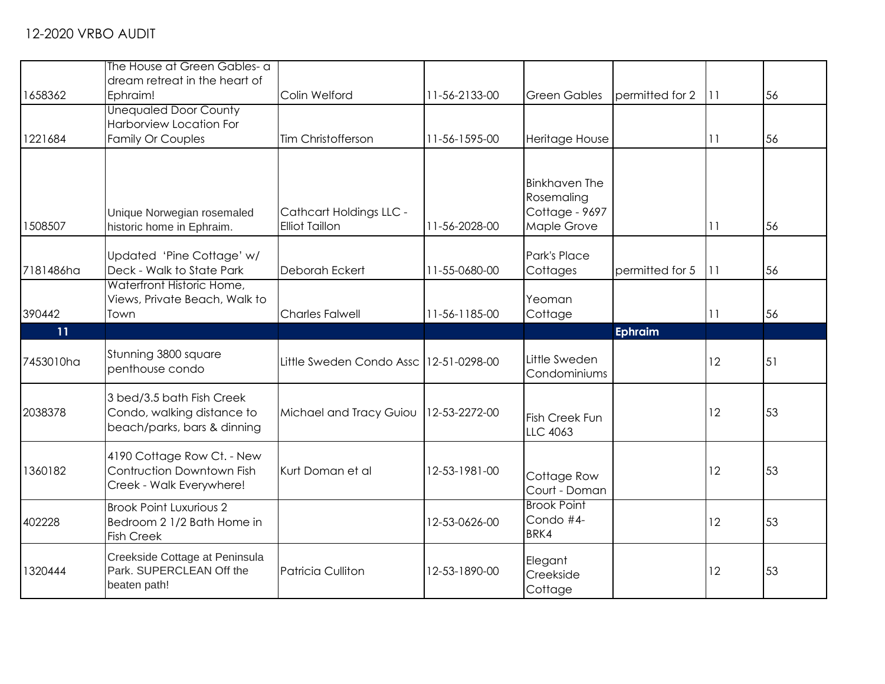|           | The House at Green Gables- a                                                           |                                                         |               |                                                                     |                 |       |    |
|-----------|----------------------------------------------------------------------------------------|---------------------------------------------------------|---------------|---------------------------------------------------------------------|-----------------|-------|----|
|           | dream retreat in the heart of                                                          |                                                         |               |                                                                     |                 |       |    |
| 1658362   | Ephraim!                                                                               | Colin Welford                                           | 11-56-2133-00 | <b>Green Gables</b>                                                 | permitted for 2 | l 1 1 | 56 |
|           | <b>Unequaled Door County</b><br>Harborview Location For                                |                                                         |               |                                                                     |                 |       |    |
| 1221684   | <b>Family Or Couples</b>                                                               | Tim Christofferson                                      | 11-56-1595-00 | Heritage House                                                      |                 | 11    | 56 |
|           |                                                                                        |                                                         |               |                                                                     |                 |       |    |
| 1508507   | Unique Norwegian rosemaled<br>historic home in Ephraim.                                | <b>Cathcart Holdings LLC -</b><br><b>Elliot Taillon</b> | 11-56-2028-00 | <b>Binkhaven The</b><br>Rosemaling<br>Cottage - 9697<br>Maple Grove |                 | 11    | 56 |
|           |                                                                                        |                                                         |               | Park's Place                                                        |                 |       |    |
| 7181486ha | Updated 'Pine Cottage' w/<br>Deck - Walk to State Park                                 | <b>Deborah Eckert</b>                                   | 11-55-0680-00 | Cottages                                                            | permitted for 5 | 111   | 56 |
| 390442    | Waterfront Historic Home,<br>Views, Private Beach, Walk to<br>Town                     | <b>Charles Falwell</b>                                  | 11-56-1185-00 | Yeoman<br>Cottage                                                   |                 | 11    | 56 |
| 11        |                                                                                        |                                                         |               |                                                                     | Ephraim         |       |    |
| 7453010ha | Stunning 3800 square<br>penthouse condo                                                | Little Sweden Condo Assc   12-51-0298-00                |               | Little Sweden<br>Condominiums                                       |                 | 12    | 51 |
| 2038378   | 3 bed/3.5 bath Fish Creek<br>Condo, walking distance to<br>beach/parks, bars & dinning | Michael and Tracy Guiou                                 | 12-53-2272-00 | <b>Fish Creek Fun</b><br><b>LLC 4063</b>                            |                 | 12    | 53 |
| 1360182   | 4190 Cottage Row Ct. - New                                                             |                                                         |               |                                                                     |                 | 12    |    |
|           | Contruction Downtown Fish<br>Creek - Walk Everywhere!                                  | Kurt Doman et al                                        | 12-53-1981-00 | Cottage Row<br>Court - Doman                                        |                 |       | 53 |
| 402228    | <b>Brook Point Luxurious 2</b><br>Bedroom 2 1/2 Bath Home in<br><b>Fish Creek</b>      |                                                         | 12-53-0626-00 | <b>Brook Point</b><br>Condo #4-<br>BRK4                             |                 | 12    | 53 |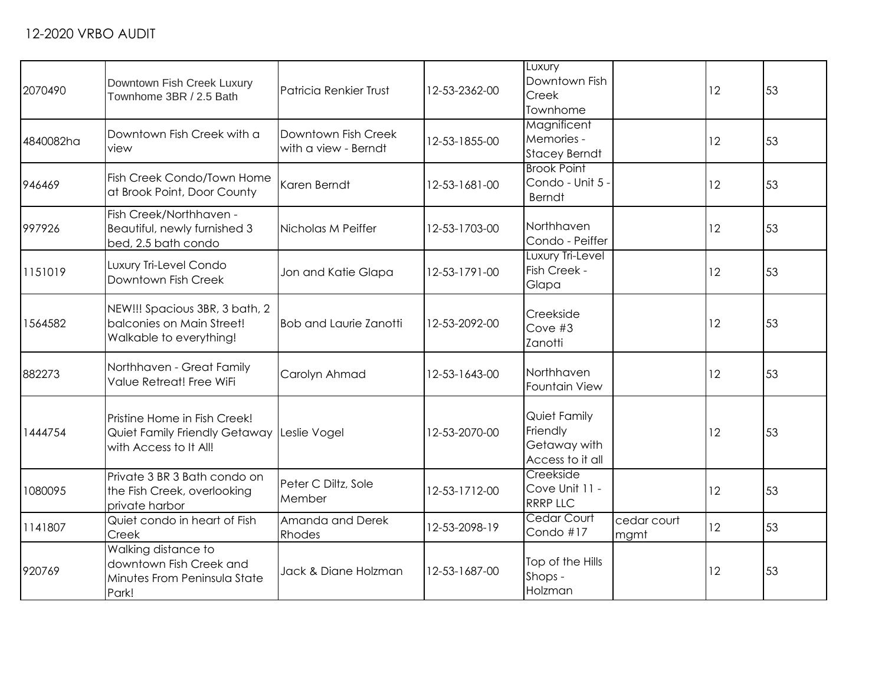| 2070490   | Downtown Fish Creek Luxury<br>Townhome 3BR / 2.5 Bath                                   | Patricia Renkier Trust                      | 12-53-2362-00 | Luxury<br>Downtown Fish<br>Creek<br>Townhome                 |                     | 12 | 53 |
|-----------|-----------------------------------------------------------------------------------------|---------------------------------------------|---------------|--------------------------------------------------------------|---------------------|----|----|
| 4840082ha | Downtown Fish Creek with a<br>view                                                      | Downtown Fish Creek<br>with a view - Berndt | 12-53-1855-00 | Magnificent<br>Memories -<br><b>Stacey Berndt</b>            |                     | 12 | 53 |
| 946469    | Fish Creek Condo/Town Home<br>at Brook Point, Door County                               | Karen Berndt                                | 12-53-1681-00 | <b>Brook Point</b><br>Condo - Unit 5 -<br><b>Berndt</b>      |                     | 12 | 53 |
| 997926    | Fish Creek/Northhaven -<br>Beautiful, newly furnished 3<br>bed, 2.5 bath condo          | Nicholas M Peiffer                          | 12-53-1703-00 | Northhaven<br>Condo - Peiffer                                |                     | 12 | 53 |
| 1151019   | Luxury Tri-Level Condo<br>Downtown Fish Creek                                           | Jon and Katie Glapa                         | 12-53-1791-00 | Luxury Tri-Level<br>Fish Creek -<br>Glapa                    |                     | 12 | 53 |
| 1564582   | NEW!!! Spacious 3BR, 3 bath, 2<br>balconies on Main Street!<br>Walkable to everything!  | <b>Bob and Laurie Zanotti</b>               | 12-53-2092-00 | Creekside<br>Cove #3<br>Zanotti                              |                     | 12 | 53 |
| 882273    | Northhaven - Great Family<br>Value Retreat! Free WiFi                                   | Carolyn Ahmad                               | 12-53-1643-00 | Northhaven<br>Fountain View                                  |                     | 12 | 53 |
| 1444754   | Pristine Home in Fish Creek!<br>Quiet Family Friendly Getaway<br>with Access to It All! | Leslie Vogel                                | 12-53-2070-00 | Quiet Family<br>Friendly<br>Getaway with<br>Access to it all |                     | 12 | 53 |
| 1080095   | Private 3 BR 3 Bath condo on<br>the Fish Creek, overlooking<br>private harbor           | Peter C Diltz, Sole<br>Member               | 12-53-1712-00 | Creekside<br>Cove Unit 11 -<br><b>RRRP LLC</b>               |                     | 12 | 53 |
| 1141807   | Quiet condo in heart of Fish<br>Creek                                                   | Amanda and Derek<br>Rhodes                  | 12-53-2098-19 | <b>Cedar Court</b><br>Condo #17                              | cedar court<br>mgmt | 12 | 53 |
| 920769    | Walking distance to<br>downtown Fish Creek and<br>Minutes From Peninsula State<br>Park! | Jack & Diane Holzman                        | 12-53-1687-00 | Top of the Hills<br>Shops -<br>Holzman                       |                     | 12 | 53 |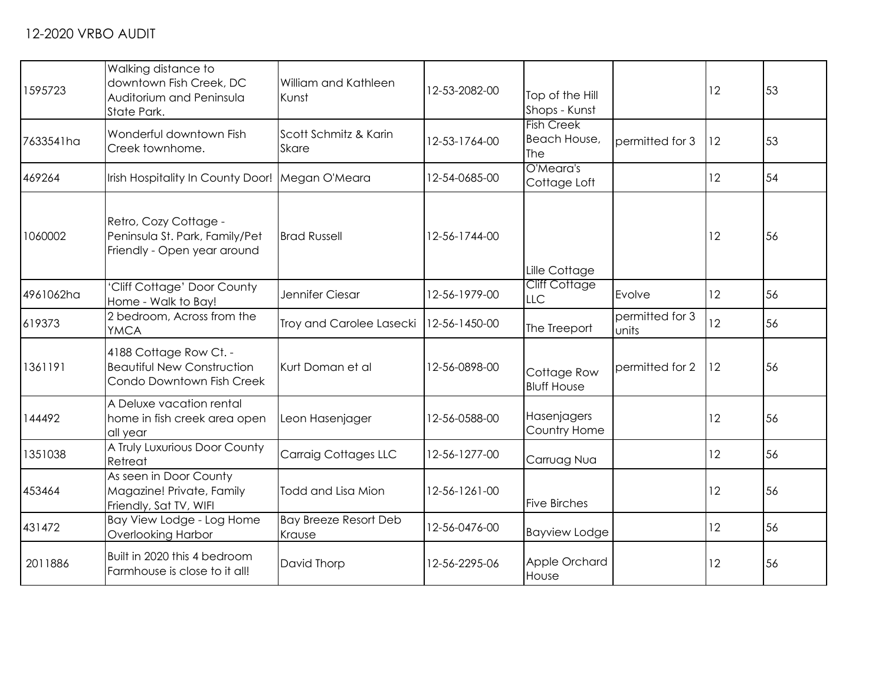| 1595723   | Walking distance to<br>downtown Fish Creek, DC<br>Auditorium and Peninsula<br>State Park. | William and Kathleen<br>Kunst          | 12-53-2082-00 | Top of the Hill<br>Shops - Kunst         |                          | 12 | 53 |
|-----------|-------------------------------------------------------------------------------------------|----------------------------------------|---------------|------------------------------------------|--------------------------|----|----|
| 7633541ha | Wonderful downtown Fish<br>Creek townhome.                                                | Scott Schmitz & Karin<br><b>Skare</b>  | 12-53-1764-00 | <b>Fish Creek</b><br>Beach House,<br>The | permitted for 3          | 12 | 53 |
| 469264    | Irish Hospitality In County Door! Megan O'Meara                                           |                                        | 12-54-0685-00 | O'Meara's<br>Cottage Loft                |                          | 12 | 54 |
| 1060002   | Retro, Cozy Cottage -<br>Peninsula St. Park, Family/Pet<br>Friendly - Open year around    | <b>Brad Russell</b>                    | 12-56-1744-00 | Lille Cottage                            |                          | 12 | 56 |
| 4961062ha | 'Cliff Cottage' Door County<br>Home - Walk to Bay!                                        | Jennifer Ciesar                        | 12-56-1979-00 | <b>Cliff Cottage</b><br><b>LLC</b>       | Evolve                   | 12 | 56 |
| 619373    | 2 bedroom, Across from the<br><b>YMCA</b>                                                 | Troy and Carolee Lasecki               | 12-56-1450-00 | The Treeport                             | permitted for 3<br>units | 12 | 56 |
| 1361191   | 4188 Cottage Row Ct. -<br><b>Beautiful New Construction</b><br>Condo Downtown Fish Creek  | Kurt Doman et al                       | 12-56-0898-00 | Cottage Row<br><b>Bluff House</b>        | permitted for 2          | 12 | 56 |
| 144492    | A Deluxe vacation rental<br>home in fish creek area open<br>all year                      | Leon Hasenjager                        | 12-56-0588-00 | Hasenjagers<br>Country Home              |                          | 12 | 56 |
| 1351038   | A Truly Luxurious Door County<br>Retreat                                                  | <b>Carraig Cottages LLC</b>            | 12-56-1277-00 | Carruag Nua                              |                          | 12 | 56 |
| 453464    | As seen in Door County<br>Magazine! Private, Family<br>Friendly, Sat TV, WIFI             | Todd and Lisa Mion                     | 12-56-1261-00 | <b>Five Birches</b>                      |                          | 12 | 56 |
| 431472    | Bay View Lodge - Log Home<br><b>Overlooking Harbor</b>                                    | <b>Bay Breeze Resort Deb</b><br>Krause | 12-56-0476-00 | <b>Bayview Lodge</b>                     |                          | 12 | 56 |
| 2011886   | Built in 2020 this 4 bedroom<br>Farmhouse is close to it all!                             | David Thorp                            | 12-56-2295-06 | Apple Orchard<br>House                   |                          | 12 | 56 |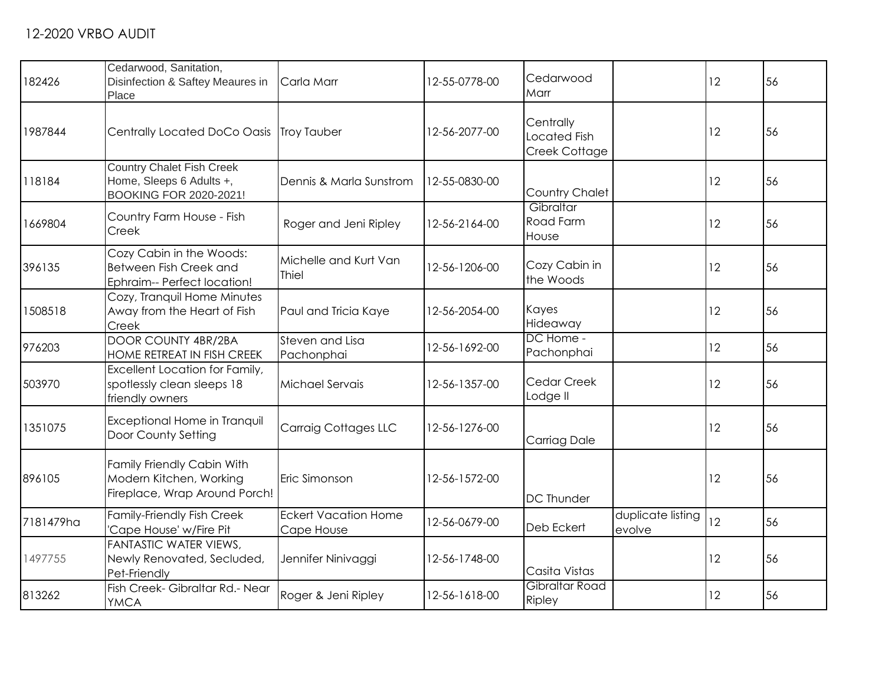| 182426    | Cedarwood, Sanitation,<br>Disinfection & Saftey Meaures in<br>Place                    | Carla Marr                                | 12-55-0778-00 | Cedarwood<br>Marr                          |                             | 12 | 56 |
|-----------|----------------------------------------------------------------------------------------|-------------------------------------------|---------------|--------------------------------------------|-----------------------------|----|----|
| 1987844   | Centrally Located DoCo Oasis Troy Tauber                                               |                                           | 12-56-2077-00 | Centrally<br>Located Fish<br>Creek Cottage |                             | 12 | 56 |
| 118184    | <b>Country Chalet Fish Creek</b><br>Home, Sleeps 6 Adults +,<br>BOOKING FOR 2020-2021! | Dennis & Marla Sunstrom                   | 12-55-0830-00 | Country Chalet                             |                             | 12 | 56 |
| 1669804   | Country Farm House - Fish<br>Creek                                                     | Roger and Jeni Ripley                     | 12-56-2164-00 | Gibraltar<br>Road Farm<br>House            |                             | 12 | 56 |
| 396135    | Cozy Cabin in the Woods:<br>Between Fish Creek and<br>Ephraim-- Perfect location!      | Michelle and Kurt Van<br>Thiel            | 12-56-1206-00 | Cozy Cabin in<br>the Woods                 |                             | 12 | 56 |
| 1508518   | Cozy, Tranquil Home Minutes<br>Away from the Heart of Fish<br>Creek                    | Paul and Tricia Kaye                      | 12-56-2054-00 | Kayes<br>Hideaway                          |                             | 12 | 56 |
| 976203    | DOOR COUNTY 4BR/2BA<br>HOME RETREAT IN FISH CREEK                                      | Steven and Lisa<br>Pachonphai             | 12-56-1692-00 | DC Home -<br>Pachonphai                    |                             | 12 | 56 |
| 503970    | Excellent Location for Family,<br>spotlessly clean sleeps 18<br>friendly owners        | Michael Servais                           | 12-56-1357-00 | Cedar Creek<br>Lodge II                    |                             | 12 | 56 |
| 1351075   | Exceptional Home in Tranquil<br>Door County Setting                                    | <b>Carraig Cottages LLC</b>               | 12-56-1276-00 | Carriag Dale                               |                             | 12 | 56 |
| 896105    | Family Friendly Cabin With<br>Modern Kitchen, Working<br>Fireplace, Wrap Around Porch! | Eric Simonson                             | 12-56-1572-00 | <b>DC Thunder</b>                          |                             | 12 | 56 |
| 7181479ha | Family-Friendly Fish Creek<br>'Cape House' w/Fire Pit                                  | <b>Eckert Vacation Home</b><br>Cape House | 12-56-0679-00 | Deb Eckert                                 | duplicate listing<br>evolve | 12 | 56 |
| 1497755   | FANTASTIC WATER VIEWS,<br>Newly Renovated, Secluded,<br>Pet-Friendly                   | Jennifer Ninivaggi                        | 12-56-1748-00 | Casita Vistas                              |                             | 12 | 56 |
| 813262    | Fish Creek- Gibraltar Rd.- Near<br><b>YMCA</b>                                         | Roger & Jeni Ripley                       | 12-56-1618-00 | Gibraltar Road<br>Ripley                   |                             | 12 | 56 |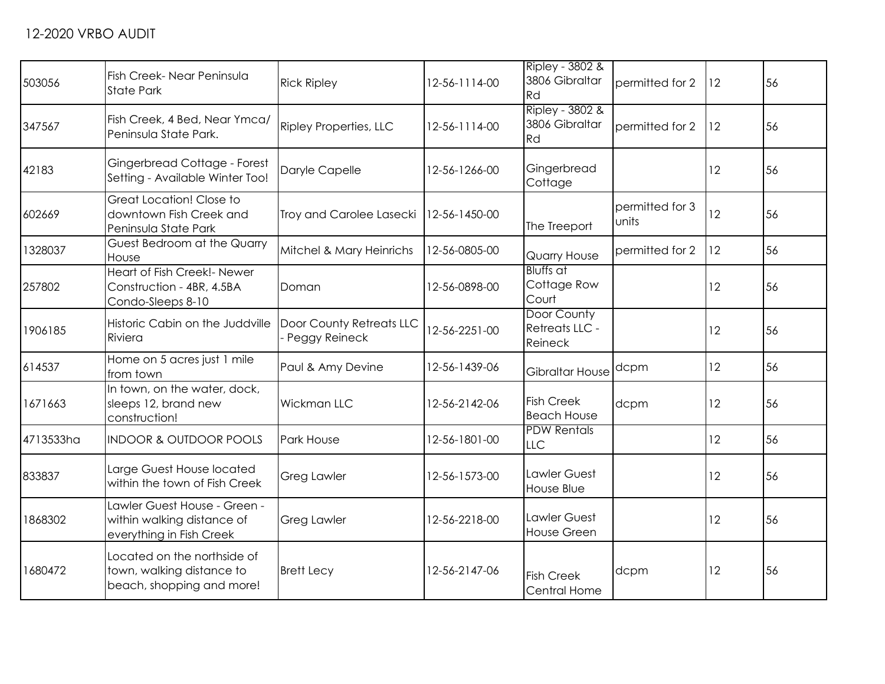| 503056    | Fish Creek- Near Peninsula<br><b>State Park</b>                                        | <b>Rick Ripley</b>                        | 12-56-1114-00 | Ripley - 3802 &<br>3806 Gibraltar<br>Rd  | permitted for 2          | 12 | 56 |
|-----------|----------------------------------------------------------------------------------------|-------------------------------------------|---------------|------------------------------------------|--------------------------|----|----|
| 347567    | Fish Creek, 4 Bed, Near Ymca/<br>Peninsula State Park.                                 | <b>Ripley Properties, LLC</b>             | 12-56-1114-00 | Ripley - 3802 &<br>3806 Gibraltar<br>Rd  | permitted for 2          | 12 | 56 |
| 42183     | Gingerbread Cottage - Forest<br>Setting - Available Winter Too!                        | Daryle Capelle                            | 12-56-1266-00 | Gingerbread<br>Cottage                   |                          | 12 | 56 |
| 602669    | Great Location! Close to<br>downtown Fish Creek and<br>Peninsula State Park            | Troy and Carolee Lasecki                  | 12-56-1450-00 | The Treeport                             | permitted for 3<br>units | 12 | 56 |
| 1328037   | Guest Bedroom at the Quarry<br>House                                                   | Mitchel & Mary Heinrichs                  | 12-56-0805-00 | <b>Quarry House</b>                      | permitted for 2          | 12 | 56 |
| 257802    | Heart of Fish Creek!- Newer<br>Construction - 4BR, 4.5BA<br>Condo-Sleeps 8-10          | Doman                                     | 12-56-0898-00 | <b>Bluffs</b> at<br>Cottage Row<br>Court |                          | 12 | 56 |
| 1906185   | Historic Cabin on the Juddville<br>Riviera                                             | Door County Retreats LLC<br>Peggy Reineck | 12-56-2251-00 | Door County<br>Retreats LLC -<br>Reineck |                          | 12 | 56 |
| 614537    | Home on 5 acres just 1 mile<br>from town                                               | Paul & Amy Devine                         | 12-56-1439-06 | Gibraltar House                          | dcpm                     | 12 | 56 |
| 1671663   | In town, on the water, dock,<br>sleeps 12, brand new<br>construction!                  | <b>Wickman LLC</b>                        | 12-56-2142-06 | <b>Fish Creek</b><br><b>Beach House</b>  | dcpm                     | 12 | 56 |
| 4713533ha | <b>INDOOR &amp; OUTDOOR POOLS</b>                                                      | <b>Park House</b>                         | 12-56-1801-00 | <b>PDW Rentals</b><br><b>LLC</b>         |                          | 12 | 56 |
| 833837    | Large Guest House located<br>within the town of Fish Creek                             | <b>Greg Lawler</b>                        | 12-56-1573-00 | Lawler Guest<br>House Blue               |                          | 12 | 56 |
| 1868302   | Lawler Guest House - Green -<br>within walking distance of<br>everything in Fish Creek | <b>Greg Lawler</b>                        | 12-56-2218-00 | Lawler Guest<br>House Green              |                          | 12 | 56 |
| 1680472   | Located on the northside of<br>town, walking distance to<br>beach, shopping and more!  | <b>Brett Lecy</b>                         | 12-56-2147-06 | <b>Fish Creek</b><br>Central Home        | dcpm                     | 12 | 56 |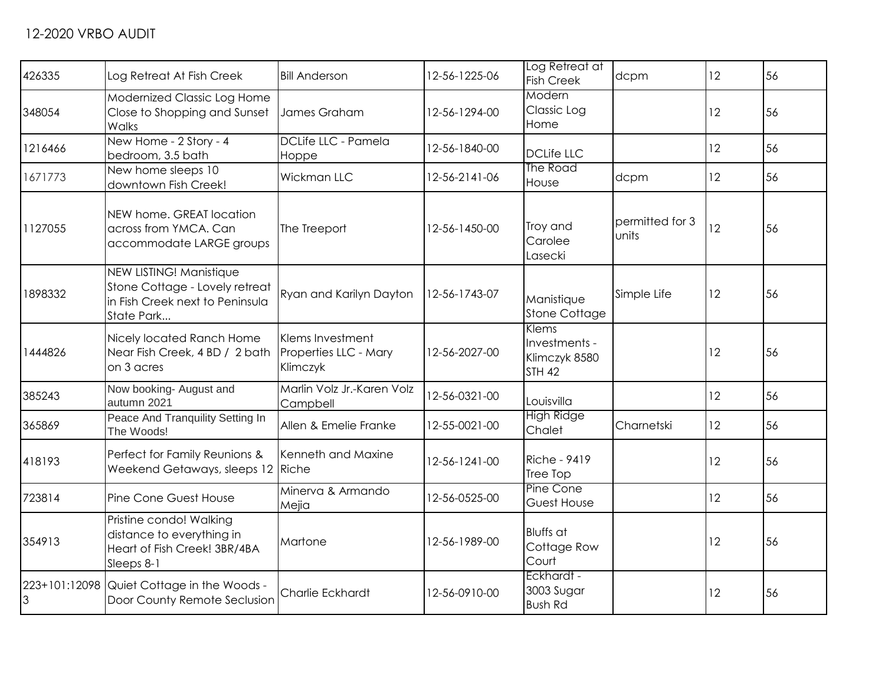| 426335         | Log Retreat At Fish Creek                                                                                  | <b>Bill Anderson</b>                   | 12-56-1225-06 | Log Retreat at<br><b>Fish Creek</b>                      | dcpm                     | 12 | 56 |
|----------------|------------------------------------------------------------------------------------------------------------|----------------------------------------|---------------|----------------------------------------------------------|--------------------------|----|----|
| 348054         | Modernized Classic Log Home<br>Close to Shopping and Sunset<br>Walks                                       | James Graham                           | 12-56-1294-00 | Modern<br>Classic Log<br>Home                            |                          | 12 | 56 |
| 1216466        | New Home - 2 Story - 4<br>bedroom, 3.5 bath                                                                | DCLife LLC - Pamela<br>Hoppe           | 12-56-1840-00 | <b>DCLife LLC</b>                                        |                          | 12 | 56 |
| 1671773        | New home sleeps 10<br>downtown Fish Creek!                                                                 | Wickman LLC                            | 12-56-2141-06 | The Road<br>House                                        | dcpm                     | 12 | 56 |
| 1127055        | NEW home. GREAT location<br>across from YMCA. Can<br>accommodate LARGE groups                              | The Treeport                           | 12-56-1450-00 | Troy and<br>Carolee<br>Lasecki                           | permitted for 3<br>units | 12 | 56 |
| 1898332        | NEW LISTING! Manistique<br>Stone Cottage - Lovely retreat<br>in Fish Creek next to Peninsula<br>State Park | Ryan and Karilyn Dayton                | 12-56-1743-07 | Manistique<br><b>Stone Cottage</b>                       | Simple Life              | 12 | 56 |
| 1444826        | Nicely located Ranch Home<br>Near Fish Creek, 4 BD / 2 bath Properties LLC - Mary<br>on 3 acres            | Klems Investment<br>Klimczyk           | 12-56-2027-00 | Klems<br>Investments -<br>Klimczyk 8580<br><b>STH 42</b> |                          | 12 | 56 |
| 385243         | Now booking- August and<br>autumn 2021                                                                     | Marlin Volz Jr.-Karen Volz<br>Campbell | 12-56-0321-00 | Louisvilla                                               |                          | 12 | 56 |
| 365869         | Peace And Tranquility Setting In<br>The Woods!                                                             | Allen & Emelie Franke                  | 12-55-0021-00 | <b>High Ridge</b><br>Chalet                              | Charnetski               | 12 | 56 |
| 418193         | Perfect for Family Reunions &<br>Weekend Getaways, sleeps 12 Riche                                         | Kenneth and Maxine                     | 12-56-1241-00 | <b>Riche - 9419</b><br>Tree Top                          |                          | 12 | 56 |
| 723814         | Pine Cone Guest House                                                                                      | Minerva & Armando<br>Mejia             | 12-56-0525-00 | Pine Cone<br>Guest House                                 |                          | 12 | 56 |
| 354913         | Pristine condo! Walking<br>distance to everything in<br>Heart of Fish Creek! 3BR/4BA<br>Sleeps 8-1         | Martone                                | 12-56-1989-00 | <b>Bluffs</b> at<br>Cottage Row<br>Court                 |                          | 12 | 56 |
| $\overline{3}$ | 223+101:12098 Quiet Cottage in the Woods -<br>Door County Remote Seclusion                                 | Charlie Eckhardt                       | 12-56-0910-00 | Eckhardt -<br>3003 Sugar<br><b>Bush Rd</b>               |                          | 12 | 56 |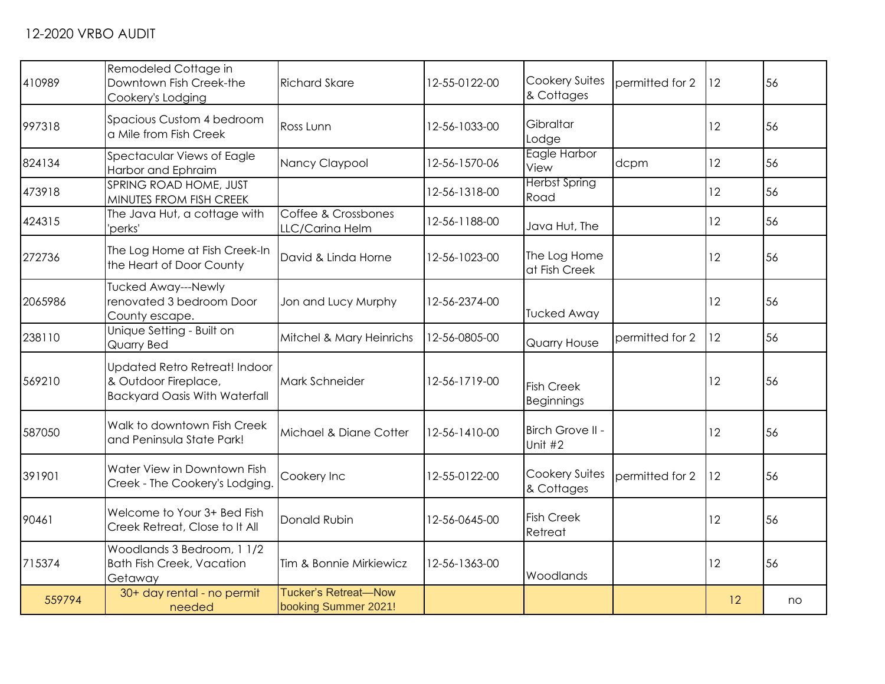| 410989  | Remodeled Cottage in<br>Downtown Fish Creek-the<br>Cookery's Lodging                          | <b>Richard Skare</b>                         | 12-55-0122-00 | <b>Cookery Suites</b><br>& Cottages    | permitted for 2 | 12 | 56 |
|---------|-----------------------------------------------------------------------------------------------|----------------------------------------------|---------------|----------------------------------------|-----------------|----|----|
| 997318  | Spacious Custom 4 bedroom<br>a Mile from Fish Creek                                           | Ross Lunn                                    | 12-56-1033-00 | Gibraltar<br>Lodge                     |                 | 12 | 56 |
| 824134  | Spectacular Views of Eagle<br>Harbor and Ephraim                                              | Nancy Claypool                               | 12-56-1570-06 | Eagle Harbor<br>View                   | dcpm            | 12 | 56 |
| 473918  | SPRING ROAD HOME, JUST<br>MINUTES FROM FISH CREEK                                             |                                              | 12-56-1318-00 | <b>Herbst Spring</b><br>Road           |                 | 12 | 56 |
| 424315  | The Java Hut, a cottage with<br>'perks'                                                       | Coffee & Crossbones<br>LLC/Carina Helm       | 12-56-1188-00 | Java Hut, The                          |                 | 12 | 56 |
| 272736  | The Log Home at Fish Creek-In<br>the Heart of Door County                                     | David & Linda Horne                          | 12-56-1023-00 | The Log Home<br>at Fish Creek          |                 | 12 | 56 |
| 2065986 | Tucked Away---Newly<br>renovated 3 bedroom Door<br>County escape.                             | Jon and Lucy Murphy                          | 12-56-2374-00 | <b>Tucked Away</b>                     |                 | 12 | 56 |
| 238110  | Unique Setting - Built on<br>Quarry Bed                                                       | Mitchel & Mary Heinrichs                     | 12-56-0805-00 | Quarry House                           | permitted for 2 | 12 | 56 |
| 569210  | Updated Retro Retreat! Indoor<br>& Outdoor Fireplace,<br><b>Backyard Oasis With Waterfall</b> | Mark Schneider                               | 12-56-1719-00 | <b>Fish Creek</b><br><b>Beginnings</b> |                 | 12 | 56 |
| 587050  | Walk to downtown Fish Creek<br>and Peninsula State Park!                                      | Michael & Diane Cotter                       | 12-56-1410-00 | Birch Grove II -<br>Unit #2            |                 | 12 | 56 |
| 391901  | Water View in Downtown Fish<br>Creek - The Cookery's Lodging.                                 | Cookery Inc                                  | 12-55-0122-00 | <b>Cookery Suites</b><br>& Cottages    | permitted for 2 | 12 | 56 |
| 90461   | Welcome to Your 3+ Bed Fish<br>Creek Retreat, Close to It All                                 | Donald Rubin                                 | 12-56-0645-00 | <b>Fish Creek</b><br>Retreat           |                 | 12 | 56 |
| 715374  | Woodlands 3 Bedroom, 1 1/2<br><b>Bath Fish Creek, Vacation</b><br>Getaway                     | Tim & Bonnie Mirkiewicz                      | 12-56-1363-00 | Woodlands                              |                 | 12 | 56 |
| 559794  | 30+ day rental - no permit<br>needed                                                          | Tucker's Retreat-Now<br>booking Summer 2021! |               |                                        |                 | 12 | no |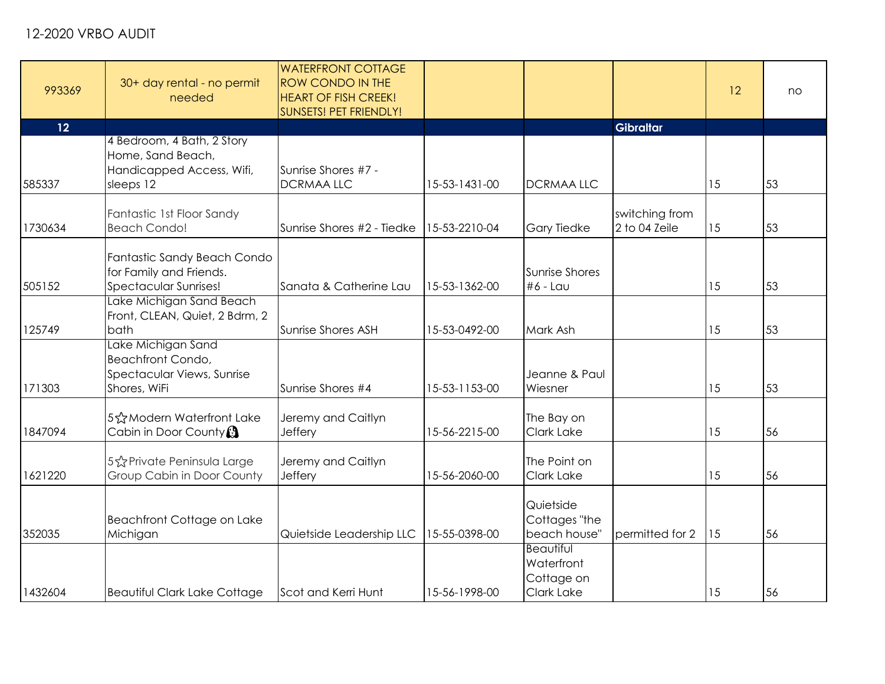| 993369  | 30+ day rental - no permit<br>needed                                                         | <b>WATERFRONT COTTAGE</b><br><b>ROW CONDO IN THE</b><br><b>HEART OF FISH CREEK!</b><br>SUNSETS! PET FRIENDLY! |               |                                                                   |                                 | 12 | no |
|---------|----------------------------------------------------------------------------------------------|---------------------------------------------------------------------------------------------------------------|---------------|-------------------------------------------------------------------|---------------------------------|----|----|
| 12      |                                                                                              |                                                                                                               |               |                                                                   | <b>Gibraltar</b>                |    |    |
| 585337  | 4 Bedroom, 4 Bath, 2 Story<br>Home, Sand Beach,<br>Handicapped Access, Wifi,<br>sleeps 12    | Sunrise Shores #7 -<br><b>DCRMAALLC</b>                                                                       | 15-53-1431-00 | <b>DCRMAALLC</b>                                                  |                                 | 15 | 53 |
| 1730634 | Fantastic 1st Floor Sandy<br><b>Beach Condo!</b>                                             | Sunrise Shores #2 - Tiedke                                                                                    | 15-53-2210-04 | <b>Gary Tiedke</b>                                                | switching from<br>2 to 04 Zeile | 15 | 53 |
| 505152  | Fantastic Sandy Beach Condo<br>for Family and Friends.<br>Spectacular Sunrises!              | Sanata & Catherine Lau                                                                                        | 15-53-1362-00 | <b>Sunrise Shores</b><br>$#6 - \text{Lau}$                        |                                 | 15 | 53 |
| 125749  | Lake Michigan Sand Beach<br>Front, CLEAN, Quiet, 2 Bdrm, 2<br>bath                           | Sunrise Shores ASH                                                                                            | 15-53-0492-00 | Mark Ash                                                          |                                 | 15 | 53 |
| 171303  | Lake Michigan Sand<br><b>Beachfront Condo,</b><br>Spectacular Views, Sunrise<br>Shores, WiFi | Sunrise Shores #4                                                                                             | 15-53-1153-00 | Jeanne & Paul<br>Wiesner                                          |                                 | 15 | 53 |
| 1847094 | 5☆Modern Waterfront Lake<br>Cabin in Door County <sup>3</sup>                                | Jeremy and Caitlyn<br>Jeffery                                                                                 | 15-56-2215-00 | The Bay on<br>Clark Lake                                          |                                 | 15 | 56 |
| 1621220 | 5% Private Peninsula Large<br>Group Cabin in Door County                                     | Jeremy and Caitlyn<br>Jeffery                                                                                 | 15-56-2060-00 | The Point on<br>Clark Lake                                        |                                 | 15 | 56 |
| 352035  | Beachfront Cottage on Lake<br>Michigan                                                       | Quietside Leadership LLC                                                                                      | 15-55-0398-00 | Quietside<br>Cottages "the<br>beach house"                        | permitted for 2                 | 15 | 56 |
| 1432604 | <b>Beautiful Clark Lake Cottage</b>                                                          | Scot and Kerri Hunt                                                                                           | 15-56-1998-00 | <b>Beautiful</b><br>Waterfront<br>Cottage on<br><b>Clark Lake</b> |                                 | 15 | 56 |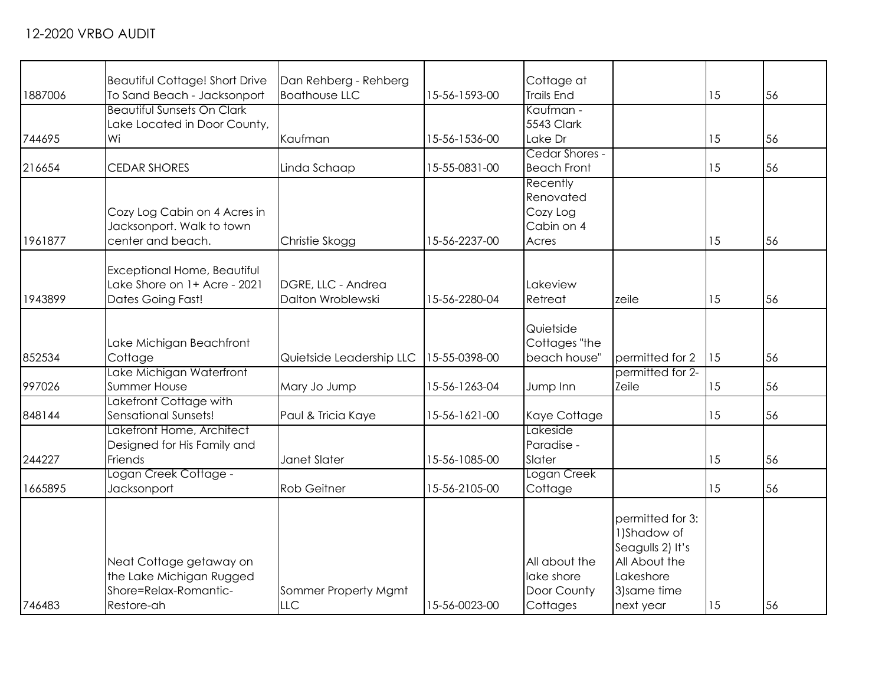| 1887006 | <b>Beautiful Cottage! Short Drive</b><br>To Sand Beach - Jacksonport                       | Dan Rehberg - Rehberg<br><b>Boathouse LLC</b> | 15-56-1593-00 | Cottage at<br><b>Trails End</b>                          |                                                                                                                 | 15 | 56 |
|---------|--------------------------------------------------------------------------------------------|-----------------------------------------------|---------------|----------------------------------------------------------|-----------------------------------------------------------------------------------------------------------------|----|----|
| 744695  | <b>Beautiful Sunsets On Clark</b><br>Lake Located in Door County,<br>Wi                    | Kaufman                                       | 15-56-1536-00 | Kaufman -<br>5543 Clark<br>Lake Dr                       |                                                                                                                 | 15 | 56 |
| 216654  | <b>CEDAR SHORES</b>                                                                        | Linda Schaap                                  | 15-55-0831-00 | Cedar Shores -<br><b>Beach Front</b>                     |                                                                                                                 | 15 | 56 |
| 1961877 | Cozy Log Cabin on 4 Acres in<br>Jacksonport. Walk to town<br>center and beach.             | Christie Skogg                                | 15-56-2237-00 | Recently<br>Renovated<br>Cozy Log<br>Cabin on 4<br>Acres |                                                                                                                 | 15 | 56 |
| 1943899 | Exceptional Home, Beautiful<br>Lake Shore on 1+ Acre - 2021<br><b>Dates Going Fast!</b>    | DGRE, LLC - Andrea<br>Dalton Wroblewski       | 15-56-2280-04 | Lakeview<br>Retreat                                      | zeile                                                                                                           | 15 | 56 |
| 852534  | Lake Michigan Beachfront<br>Cottage                                                        | Quietside Leadership LLC                      | 15-55-0398-00 | Quietside<br>Cottages "the<br>beach house"               | permitted for 2                                                                                                 | 15 | 56 |
| 997026  | Lake Michigan Waterfront<br>Summer House                                                   | Mary Jo Jump                                  | 15-56-1263-04 | Jump Inn                                                 | permitted for 2-<br>Zeile                                                                                       | 15 | 56 |
| 848144  | Lakefront Cottage with<br>Sensational Sunsets!                                             | Paul & Tricia Kaye                            | 15-56-1621-00 | Kaye Cottage                                             |                                                                                                                 | 15 | 56 |
| 244227  | Lakefront Home, Architect<br>Designed for His Family and<br>Friends                        | Janet Slater                                  | 15-56-1085-00 | Lakeside<br>Paradise -<br>Slater                         |                                                                                                                 | 15 | 56 |
| 1665895 | Logan Creek Cottage -<br>Jacksonport                                                       | <b>Rob Geitner</b>                            | 15-56-2105-00 | Logan Creek<br>Cottage                                   |                                                                                                                 | 15 | 56 |
| 746483  | Neat Cottage getaway on<br>the Lake Michigan Rugged<br>Shore=Relax-Romantic-<br>Restore-ah | Sommer Property Mgmt<br><b>LLC</b>            | 15-56-0023-00 | All about the<br>lake shore<br>Door County<br>Cottages   | permitted for 3:<br>1) Shadow of<br>Seagulls 2) It's<br>All About the<br>Lakeshore<br>3) same time<br>next year | 15 | 56 |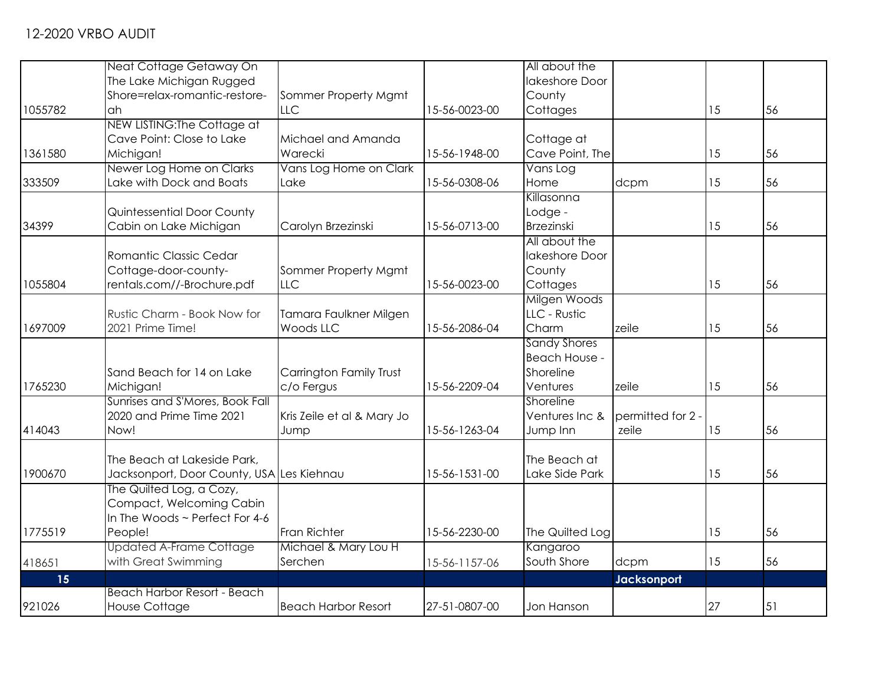|         | Neat Cottage Getaway On                   |                            |               | All about the       |                   |    |    |
|---------|-------------------------------------------|----------------------------|---------------|---------------------|-------------------|----|----|
|         | The Lake Michigan Rugged                  |                            |               | lakeshore Door      |                   |    |    |
|         | Shore=relax-romantic-restore-             | Sommer Property Mgmt       |               | County              |                   |    |    |
| 1055782 | ah                                        | <b>LLC</b>                 | 15-56-0023-00 | Cottages            |                   | 15 | 56 |
|         | NEW LISTING: The Cottage at               |                            |               |                     |                   |    |    |
|         | Cave Point: Close to Lake                 | Michael and Amanda         |               | Cottage at          |                   |    |    |
| 1361580 | Michigan!                                 | Warecki                    | 15-56-1948-00 | Cave Point, The     |                   | 15 | 56 |
|         | Newer Log Home on Clarks                  | Vans Log Home on Clark     |               | Vans Log            |                   |    |    |
| 333509  | Lake with Dock and Boats                  | Lake                       | 15-56-0308-06 | Home                | dcpm              | 15 | 56 |
|         |                                           |                            |               | Killasonna          |                   |    |    |
|         | Quintessential Door County                |                            |               | Lodge -             |                   |    |    |
| 34399   | Cabin on Lake Michigan                    | Carolyn Brzezinski         | 15-56-0713-00 | <b>Brzezinski</b>   |                   | 15 | 56 |
|         |                                           |                            |               | All about the       |                   |    |    |
|         | Romantic Classic Cedar                    |                            |               | lakeshore Door      |                   |    |    |
|         | Cottage-door-county-                      | Sommer Property Mgmt       |               | County              |                   |    |    |
| 1055804 | rentals.com//-Brochure.pdf                | LLC                        | 15-56-0023-00 | Cottages            |                   | 15 | 56 |
|         |                                           |                            |               | Milgen Woods        |                   |    |    |
|         | Rustic Charm - Book Now for               | Tamara Faulkner Milgen     |               | LLC - Rustic        |                   |    |    |
| 1697009 | 2021 Prime Time!                          | Woods LLC                  | 15-56-2086-04 | Charm               | zeile             | 15 | 56 |
|         |                                           |                            |               | <b>Sandy Shores</b> |                   |    |    |
|         |                                           |                            |               | Beach House -       |                   |    |    |
|         | Sand Beach for 14 on Lake                 | Carrington Family Trust    |               | Shoreline           |                   |    |    |
| 1765230 | Michigan!                                 | c/o Fergus                 | 15-56-2209-04 | Ventures            | zeile             | 15 | 56 |
|         | Sunrises and S'Mores, Book Fall           |                            |               | Shoreline           |                   |    |    |
|         | 2020 and Prime Time 2021                  | Kris Zeile et al & Mary Jo |               | Ventures Inc &      | permitted for 2 - |    |    |
| 414043  | Now!                                      | Jump                       | 15-56-1263-04 | Jump Inn            | zeile             | 15 | 56 |
|         |                                           |                            |               |                     |                   |    |    |
|         | The Beach at Lakeside Park,               |                            |               | The Beach at        |                   |    |    |
| 1900670 | Jacksonport, Door County, USA Les Kiehnau |                            | 15-56-1531-00 | Lake Side Park      |                   | 15 | 56 |
|         | The Quilted Log, a Cozy,                  |                            |               |                     |                   |    |    |
|         | Compact, Welcoming Cabin                  |                            |               |                     |                   |    |    |
|         | In The Woods ~ Perfect For 4-6            |                            |               |                     |                   |    |    |
| 1775519 | People!                                   | Fran Richter               | 15-56-2230-00 | The Quilted Log     |                   | 15 | 56 |
|         | <b>Updated A-Frame Cottage</b>            | Michael & Mary Lou H       |               | Kangaroo            |                   |    |    |
| 418651  | with Great Swimming                       | Serchen                    | 15-56-1157-06 | South Shore         | dcpm              | 15 | 56 |
| 15      |                                           |                            |               |                     | Jacksonport       |    |    |
|         | <b>Beach Harbor Resort - Beach</b>        |                            |               |                     |                   |    |    |
| 921026  | <b>House Cottage</b>                      | <b>Beach Harbor Resort</b> | 27-51-0807-00 | Jon Hanson          |                   | 27 | 51 |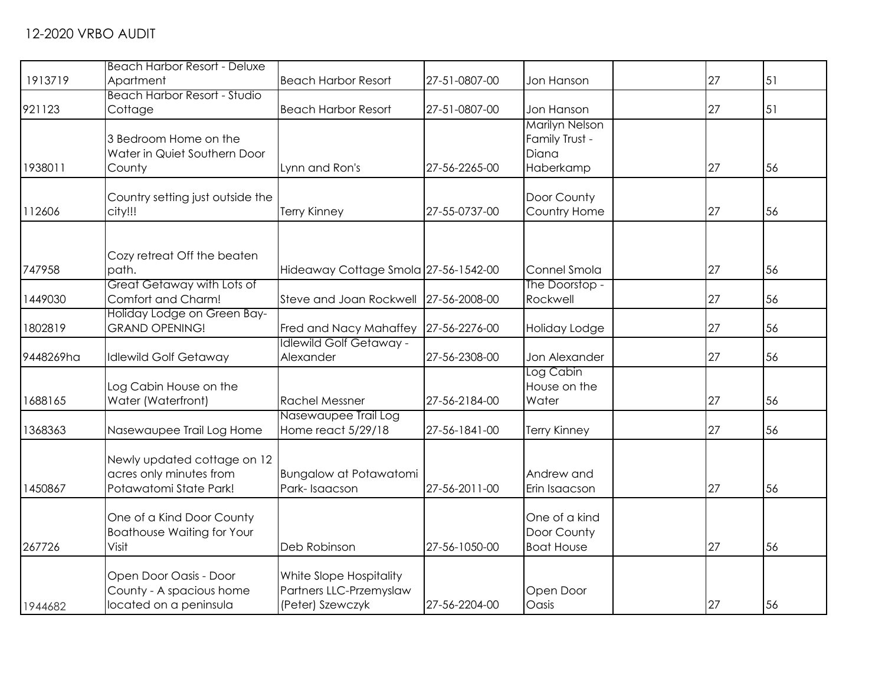| 1913719   | <b>Beach Harbor Resort - Deluxe</b><br>Apartment | <b>Beach Harbor Resort</b>           | 27-51-0807-00 | Jon Hanson                 | 27 | 51 |
|-----------|--------------------------------------------------|--------------------------------------|---------------|----------------------------|----|----|
|           | <b>Beach Harbor Resort - Studio</b>              |                                      |               |                            |    |    |
| 921123    | Cottage                                          | <b>Beach Harbor Resort</b>           | 27-51-0807-00 | Jon Hanson                 | 27 | 51 |
|           |                                                  |                                      |               | <b>Marilyn Nelson</b>      |    |    |
|           | 3 Bedroom Home on the                            |                                      |               | Family Trust -             |    |    |
|           | Water in Quiet Southern Door                     |                                      |               | Diana                      |    |    |
| 1938011   | County                                           | Lynn and Ron's                       | 27-56-2265-00 | Haberkamp                  | 27 | 56 |
|           | Country setting just outside the                 |                                      |               | Door County                |    |    |
| 112606    | city!!!                                          | <b>Terry Kinney</b>                  | 27-55-0737-00 | Country Home               | 27 | 56 |
|           |                                                  |                                      |               |                            |    |    |
|           |                                                  |                                      |               |                            |    |    |
|           | Cozy retreat Off the beaten                      |                                      |               |                            |    |    |
| 747958    | path.                                            | Hideaway Cottage Smola 27-56-1542-00 |               | Connel Smola               | 27 | 56 |
| 1449030   | Great Getaway with Lots of<br>Comfort and Charm! | <b>Steve and Joan Rockwell</b>       | 27-56-2008-00 | The Doorstop -<br>Rockwell | 27 |    |
|           | Holiday Lodge on Green Bay-                      |                                      |               |                            |    | 56 |
| 1802819   | <b>GRAND OPENING!</b>                            | Fred and Nacy Mahaffey               | 27-56-2276-00 | Holiday Lodge              | 27 | 56 |
|           |                                                  | <b>Idlewild Golf Getaway -</b>       |               |                            |    |    |
| 9448269ha | <b>Idlewild Golf Getaway</b>                     | Alexander                            | 27-56-2308-00 | Jon Alexander              | 27 | 56 |
|           |                                                  |                                      |               | Log Cabin                  |    |    |
|           | Log Cabin House on the                           |                                      |               | House on the               |    |    |
| 1688165   | Water (Waterfront)                               | <b>Rachel Messner</b>                | 27-56-2184-00 | Water                      | 27 | 56 |
|           |                                                  | Nasewaupee Trail Log                 |               |                            |    |    |
| 1368363   | Nasewaupee Trail Log Home                        | Home react 5/29/18                   | 27-56-1841-00 | <b>Terry Kinney</b>        | 27 | 56 |
|           | Newly updated cottage on 12                      |                                      |               |                            |    |    |
|           | acres only minutes from                          | <b>Bungalow at Potawatomi</b>        |               | Andrew and                 |    |    |
| 1450867   | Potawatomi State Park!                           | Park-Isaacson                        | 27-56-2011-00 | Erin Isaacson              | 27 | 56 |
|           |                                                  |                                      |               |                            |    |    |
|           | One of a Kind Door County                        |                                      |               | One of a kind              |    |    |
|           | <b>Boathouse Waiting for Your</b>                |                                      |               | Door County                |    |    |
| 267726    | Visit                                            | Deb Robinson                         | 27-56-1050-00 | <b>Boat House</b>          | 27 | 56 |
|           | Open Door Oasis - Door                           | White Slope Hospitality              |               |                            |    |    |
|           | County - A spacious home                         | Partners LLC-Przemyslaw              |               | Open Door                  |    |    |
| 1944682   | located on a peninsula                           | (Peter) Szewczyk                     | 27-56-2204-00 | Oasis                      | 27 | 56 |
|           |                                                  |                                      |               |                            |    |    |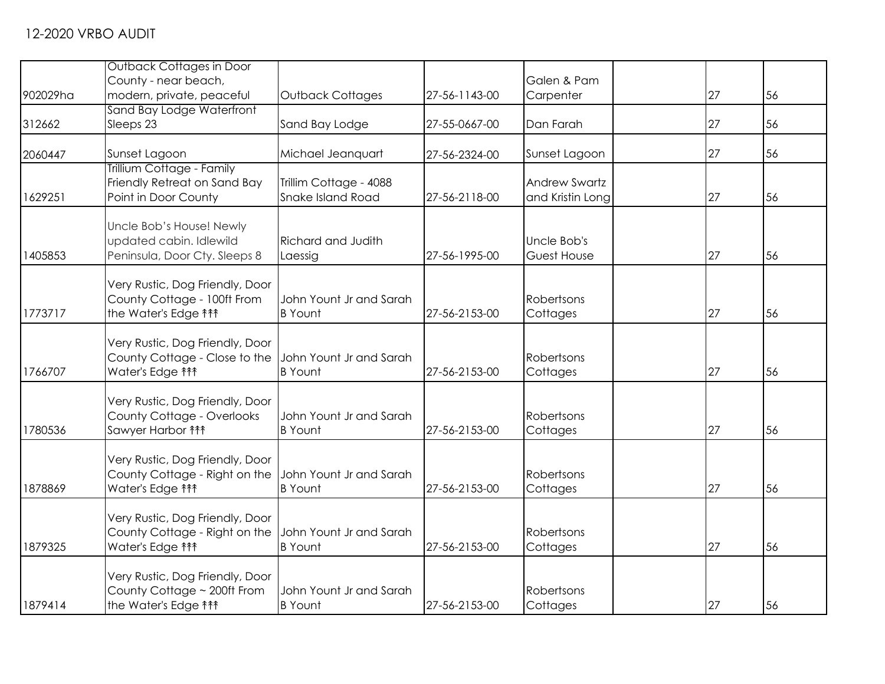|          | Outback Cottages in Door                              |                           |               |                      |    |    |
|----------|-------------------------------------------------------|---------------------------|---------------|----------------------|----|----|
|          | County - near beach,                                  |                           |               | Galen & Pam          |    |    |
| 902029ha | modern, private, peaceful                             | Outback Cottages          | 27-56-1143-00 | Carpenter            | 27 | 56 |
|          | Sand Bay Lodge Waterfront                             |                           |               |                      |    |    |
| 312662   | Sleeps 23                                             | Sand Bay Lodge            | 27-55-0667-00 | Dan Farah            | 27 | 56 |
|          | Sunset Lagoon                                         | Michael Jeanquart         |               |                      | 27 | 56 |
| 2060447  | Trillium Cottage - Family                             |                           | 27-56-2324-00 | Sunset Lagoon        |    |    |
|          | Friendly Retreat on Sand Bay                          | Trillim Cottage - 4088    |               | <b>Andrew Swartz</b> |    |    |
| 1629251  | Point in Door County                                  | <b>Snake Island Road</b>  | 27-56-2118-00 | and Kristin Long     | 27 | 56 |
|          |                                                       |                           |               |                      |    |    |
|          | Uncle Bob's House! Newly                              |                           |               |                      |    |    |
|          | updated cabin. Idlewild                               | <b>Richard and Judith</b> |               | Uncle Bob's          |    |    |
| 1405853  | Peninsula, Door Cty. Sleeps 8                         | Laessig                   | 27-56-1995-00 | Guest House          | 27 | 56 |
|          |                                                       |                           |               |                      |    |    |
|          | Very Rustic, Dog Friendly, Door                       |                           |               |                      |    |    |
|          | County Cottage - 100ft From                           | John Yount Jr and Sarah   |               | Robertsons           |    |    |
| 1773717  | the Water's Edge <sup>11</sup>                        | <b>B</b> Yount            | 27-56-2153-00 | Cottages             | 27 | 56 |
|          | Very Rustic, Dog Friendly, Door                       |                           |               |                      |    |    |
|          | County Cottage - Close to the                         | John Yount Jr and Sarah   |               | Robertsons           |    |    |
| 1766707  | Water's Edge <sup>11</sup>                            | <b>B</b> Yount            | 27-56-2153-00 | Cottages             | 27 | 56 |
|          |                                                       |                           |               |                      |    |    |
|          | Very Rustic, Dog Friendly, Door                       |                           |               |                      |    |    |
|          | County Cottage - Overlooks                            | John Yount Jr and Sarah   |               | Robertsons           |    |    |
| 1780536  | Sawyer Harbor $f$                                     | <b>B</b> Yount            | 27-56-2153-00 | Cottages             | 27 | 56 |
|          |                                                       |                           |               |                      |    |    |
|          | Very Rustic, Dog Friendly, Door                       |                           |               |                      |    |    |
|          | County Cottage - Right on the John Yount Jr and Sarah |                           |               | Robertsons           |    |    |
| 1878869  | Water's Edge <sup>11</sup>                            | <b>B</b> Yount            | 27-56-2153-00 | Cottages             | 27 | 56 |
|          | Very Rustic, Dog Friendly, Door                       |                           |               |                      |    |    |
|          | County Cottage - Right on the                         | John Yount Jr and Sarah   |               | Robertsons           |    |    |
| 1879325  | Water's Edge <sup>11</sup>                            | <b>B</b> Yount            | 27-56-2153-00 | Cottages             | 27 | 56 |
|          |                                                       |                           |               |                      |    |    |
|          | Very Rustic, Dog Friendly, Door                       |                           |               |                      |    |    |
|          | County Cottage ~ 200ft From                           | John Yount Jr and Sarah   |               | Robertsons           |    |    |
| 1879414  | the Water's Edge <b>\f\th</b>                         | <b>B</b> Yount            | 27-56-2153-00 | Cottages             | 27 | 56 |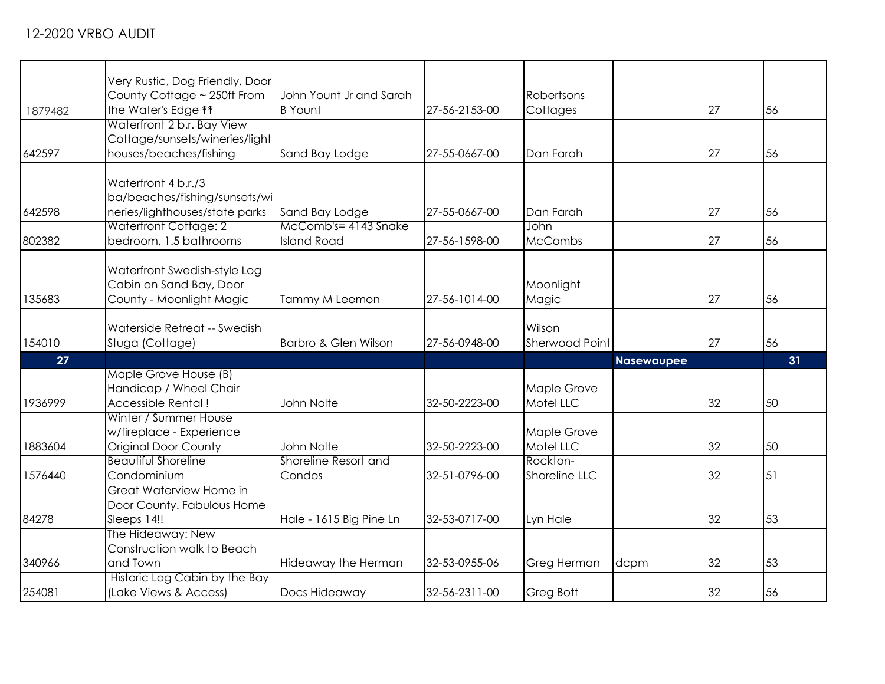| 1879482 | Very Rustic, Dog Friendly, Door<br>County Cottage ~ 250ft From<br>the Water's Edge <sup>11</sup> | John Yount Jr and Sarah<br><b>B</b> Yount | 27-56-2153-00 | Robertsons<br>Cottages    |                   | 27 | 56 |
|---------|--------------------------------------------------------------------------------------------------|-------------------------------------------|---------------|---------------------------|-------------------|----|----|
| 642597  | Waterfront 2 b.r. Bay View<br>Cottage/sunsets/wineries/light<br>houses/beaches/fishing           | Sand Bay Lodge                            | 27-55-0667-00 | Dan Farah                 |                   | 27 | 56 |
| 642598  | Waterfront 4 b.r./3<br>ba/beaches/fishing/sunsets/wi<br>neries/lighthouses/state parks           | Sand Bay Lodge                            | 27-55-0667-00 | Dan Farah                 |                   | 27 | 56 |
| 802382  | <b>Waterfront Cottage: 2</b><br>bedroom, 1.5 bathrooms                                           | McComb's=4143 Snake<br><b>Island Road</b> | 27-56-1598-00 | John<br><b>McCombs</b>    |                   | 27 | 56 |
| 135683  | Waterfront Swedish-style Log<br>Cabin on Sand Bay, Door<br>County - Moonlight Magic              | Tammy M Leemon                            | 27-56-1014-00 | Moonlight<br>Magic        |                   | 27 | 56 |
| 154010  | Waterside Retreat -- Swedish<br>Stuga (Cottage)                                                  | Barbro & Glen Wilson                      | 27-56-0948-00 | Wilson<br>Sherwood Point  |                   | 27 | 56 |
| 27      |                                                                                                  |                                           |               |                           | <b>Nasewaupee</b> |    | 31 |
| 1936999 | Maple Grove House (B)<br>Handicap / Wheel Chair<br>Accessible Rental!                            | John Nolte                                | 32-50-2223-00 | Maple Grove<br>Motel LLC  |                   | 32 | 50 |
| 1883604 | Winter / Summer House<br>w/fireplace - Experience<br><b>Original Door County</b>                 | John Nolte                                | 32-50-2223-00 | Maple Grove<br>Motel LLC  |                   | 32 | 50 |
| 1576440 | <b>Beautiful Shoreline</b><br>Condominium                                                        | Shoreline Resort and<br>Condos            | 32-51-0796-00 | Rockton-<br>Shoreline LLC |                   | 32 | 51 |
| 84278   | Great Waterview Home in<br>Door County. Fabulous Home<br>Sleeps 14!!                             | Hale - 1615 Big Pine Ln                   | 32-53-0717-00 | Lyn Hale                  |                   | 32 | 53 |
| 340966  | The Hideaway: New<br>Construction walk to Beach<br>and Town                                      | Hideaway the Herman                       | 32-53-0955-06 | Greg Herman               | dcpm              | 32 | 53 |
| 254081  | Historic Log Cabin by the Bay<br>(Lake Views & Access)                                           | Docs Hideaway                             | 32-56-2311-00 | Greg Bott                 |                   | 32 | 56 |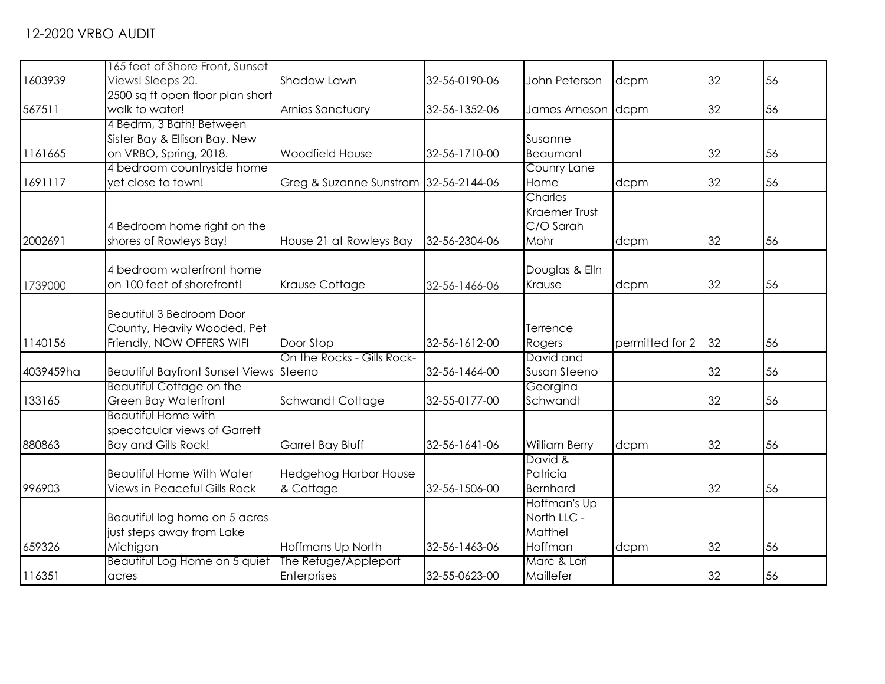| 1603939   | 165 feet of Shore Front, Sunset<br>Views! Sleeps 20. | Shadow Lawn                           | 32-56-0190-06 | John Peterson        | dcpm            | 32 | 56 |
|-----------|------------------------------------------------------|---------------------------------------|---------------|----------------------|-----------------|----|----|
|           | 2500 sq ft open floor plan short                     |                                       |               |                      |                 |    |    |
| 567511    | walk to water!                                       | <b>Arnies Sanctuary</b>               | 32-56-1352-06 | James Arneson dcpm   |                 | 32 | 56 |
|           | 4 Bedrm, 3 Bath! Between                             |                                       |               |                      |                 |    |    |
|           | Sister Bay & Ellison Bay. New                        |                                       |               | Susanne              |                 |    |    |
| 1161665   | on VRBO, Spring, 2018.                               | <b>Woodfield House</b>                | 32-56-1710-00 | Beaumont             |                 | 32 | 56 |
|           | 4 bedroom countryside home                           |                                       |               | Counry Lane          |                 |    |    |
| 1691117   | yet close to town!                                   | Greg & Suzanne Sunstrom 32-56-2144-06 |               | Home                 | dcpm            | 32 | 56 |
|           |                                                      |                                       |               | <b>Charles</b>       |                 |    |    |
|           |                                                      |                                       |               | <b>Kraemer Trust</b> |                 |    |    |
|           | 4 Bedroom home right on the                          |                                       |               | C/O Sarah            |                 |    |    |
| 2002691   | shores of Rowleys Bay!                               | House 21 at Rowleys Bay               | 32-56-2304-06 | Mohr                 | dcpm            | 32 | 56 |
|           |                                                      |                                       |               |                      |                 |    |    |
|           | 4 bedroom waterfront home                            |                                       |               | Douglas & Elln       |                 |    |    |
| 1739000   | on 100 feet of shorefront!                           | <b>Krause Cottage</b>                 | 32-56-1466-06 | Krause               | dcpm            | 32 | 56 |
|           | <b>Beautiful 3 Bedroom Door</b>                      |                                       |               |                      |                 |    |    |
|           | County, Heavily Wooded, Pet                          |                                       |               | Terrence             |                 |    |    |
| 1140156   | Friendly, NOW OFFERS WIFI                            | Door Stop                             | 32-56-1612-00 | Rogers               | permitted for 2 | 32 | 56 |
|           |                                                      | On the Rocks - Gills Rock-            |               | David and            |                 |    |    |
| 4039459ha | Beautiful Bayfront Sunset Views Steeno               |                                       | 32-56-1464-00 | Susan Steeno         |                 | 32 | 56 |
|           | <b>Beautiful Cottage on the</b>                      |                                       |               | Georgina             |                 |    |    |
| 133165    | Green Bay Waterfront                                 | Schwandt Cottage                      | 32-55-0177-00 | Schwandt             |                 | 32 | 56 |
|           | <b>Beautiful Home with</b>                           |                                       |               |                      |                 |    |    |
|           | specatcular views of Garrett                         |                                       |               |                      |                 |    |    |
| 880863    | <b>Bay and Gills Rock!</b>                           | Garret Bay Bluff                      | 32-56-1641-06 | <b>William Berry</b> | dcpm            | 32 | 56 |
|           |                                                      |                                       |               | David &              |                 |    |    |
|           | <b>Beautiful Home With Water</b>                     | <b>Hedgehog Harbor House</b>          |               | Patricia             |                 |    |    |
| 996903    | <b>Views in Peaceful Gills Rock</b>                  | & Cottage                             | 32-56-1506-00 | <b>Bernhard</b>      |                 | 32 | 56 |
|           |                                                      |                                       |               | Hoffman's Up         |                 |    |    |
|           | Beautiful log home on 5 acres                        |                                       |               | North LLC -          |                 |    |    |
|           | just steps away from Lake                            |                                       |               | Matthel              |                 |    |    |
| 659326    | Michigan                                             | Hoffmans Up North                     | 32-56-1463-06 | Hoffman              | dcpm            | 32 | 56 |
|           | Beautiful Log Home on 5 quiet                        | The Refuge/Appleport                  |               | Marc & Lori          |                 |    |    |
| 116351    | acres                                                | Enterprises                           | 32-55-0623-00 | Maillefer            |                 | 32 | 56 |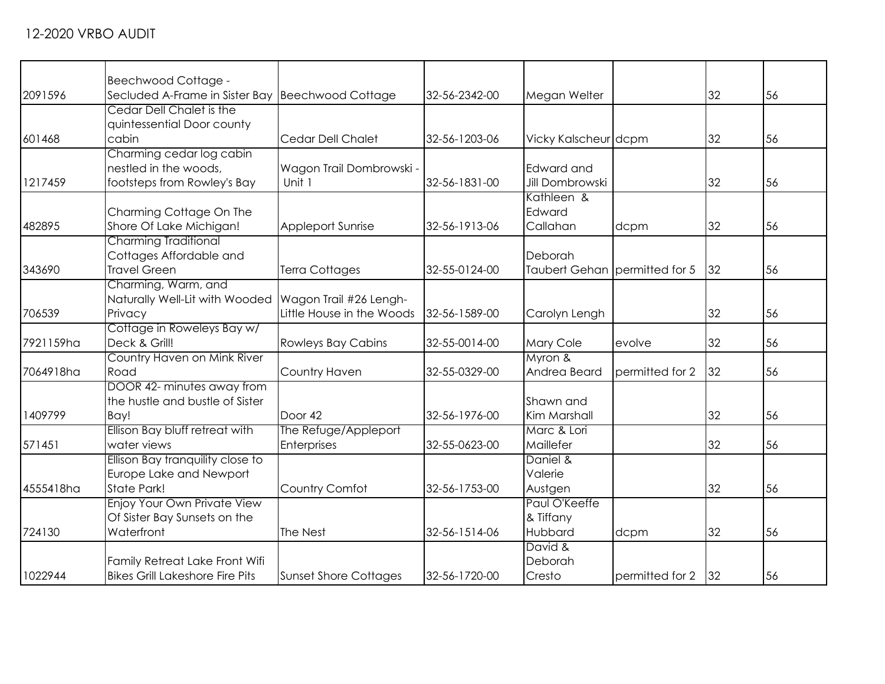|           | Beechwood Cottage -                              |                              |               |                               |                 |    |    |
|-----------|--------------------------------------------------|------------------------------|---------------|-------------------------------|-----------------|----|----|
| 2091596   | Secluded A-Frame in Sister Bay Beechwood Cottage |                              | 32-56-2342-00 | Megan Welter                  |                 | 32 | 56 |
|           | Cedar Dell Chalet is the                         |                              |               |                               |                 |    |    |
|           | quintessential Door county                       |                              |               |                               |                 |    |    |
| 601468    | cabin                                            | Cedar Dell Chalet            | 32-56-1203-06 | Vicky Kalscheur dcpm          |                 | 32 | 56 |
|           | Charming cedar log cabin                         |                              |               |                               |                 |    |    |
|           | nestled in the woods,                            | Wagon Trail Dombrowski -     |               | Edward and                    |                 |    |    |
| 1217459   | footsteps from Rowley's Bay                      | Unit 1                       | 32-56-1831-00 | <b>Jill Dombrowski</b>        |                 | 32 | 56 |
|           |                                                  |                              |               | Kathleen &                    |                 |    |    |
|           | Charming Cottage On The                          |                              |               | Edward                        |                 |    |    |
| 482895    | Shore Of Lake Michigan!                          | <b>Appleport Sunrise</b>     | 32-56-1913-06 | Callahan                      | dcpm            | 32 | 56 |
|           | <b>Charming Traditional</b>                      |                              |               |                               |                 |    |    |
|           | Cottages Affordable and                          |                              |               | Deborah                       |                 |    |    |
| 343690    | <b>Travel Green</b>                              | <b>Terra Cottages</b>        | 32-55-0124-00 | Taubert Gehan permitted for 5 |                 | 32 | 56 |
|           | Charming, Warm, and                              |                              |               |                               |                 |    |    |
|           | Naturally Well-Lit with Wooded                   | Wagon Trail #26 Lengh-       |               |                               |                 |    |    |
| 706539    | Privacy                                          | Little House in the Woods    | 32-56-1589-00 | Carolyn Lengh                 |                 | 32 | 56 |
|           | Cottage in Roweleys Bay w/                       |                              |               |                               |                 |    |    |
| 7921159ha | Deck & Grill!                                    | <b>Rowleys Bay Cabins</b>    | 32-55-0014-00 | Mary Cole                     | evolve          | 32 | 56 |
|           | Country Haven on Mink River                      |                              |               | Myron &                       |                 |    |    |
| 7064918ha | Road                                             | Country Haven                | 32-55-0329-00 | Andrea Beard                  | permitted for 2 | 32 | 56 |
|           | DOOR 42- minutes away from                       |                              |               |                               |                 |    |    |
|           | the hustle and bustle of Sister                  |                              |               | Shawn and                     |                 |    |    |
| 1409799   | Bay!                                             | Door 42                      | 32-56-1976-00 | Kim Marshall                  |                 | 32 | 56 |
|           | Ellison Bay bluff retreat with                   | The Refuge/Appleport         |               | Marc & Lori                   |                 |    |    |
| 571451    | water views                                      | Enterprises                  | 32-55-0623-00 | Maillefer                     |                 | 32 | 56 |
|           | Ellison Bay tranquility close to                 |                              |               | Daniel &                      |                 |    |    |
|           | Europe Lake and Newport                          |                              |               | Valerie                       |                 |    |    |
| 4555418ha | State Park!                                      | Country Comfot               | 32-56-1753-00 | Austgen                       |                 | 32 | 56 |
|           | <b>Enjoy Your Own Private View</b>               |                              |               | Paul O'Keeffe                 |                 |    |    |
|           | Of Sister Bay Sunsets on the                     |                              |               | & Tiffany                     |                 |    |    |
| 724130    | Waterfront                                       | The Nest                     | 32-56-1514-06 | Hubbard                       | dcpm            | 32 | 56 |
|           |                                                  |                              |               | David &                       |                 |    |    |
|           | Family Retreat Lake Front Wifi                   |                              |               | Deborah                       |                 |    |    |
| 1022944   | <b>Bikes Grill Lakeshore Fire Pits</b>           | <b>Sunset Shore Cottages</b> | 32-56-1720-00 | Cresto                        | permitted for 2 | 32 | 56 |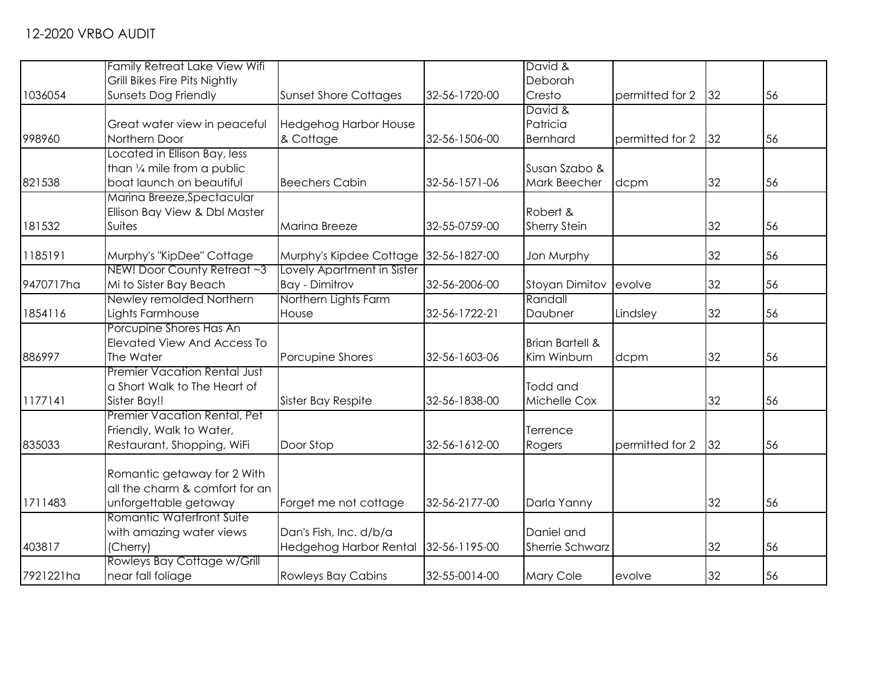|           | <b>Family Retreat Lake View Wifi</b> |                                       |               | David &                    |                 |    |    |
|-----------|--------------------------------------|---------------------------------------|---------------|----------------------------|-----------------|----|----|
|           | Grill Bikes Fire Pits Nightly        |                                       |               | Deborah                    |                 |    |    |
| 1036054   | <b>Sunsets Dog Friendly</b>          | <b>Sunset Shore Cottages</b>          | 32-56-1720-00 | Cresto                     | permitted for 2 | 32 | 56 |
|           |                                      |                                       |               | David &                    |                 |    |    |
|           | Great water view in peaceful         | <b>Hedgehog Harbor House</b>          |               | Patricia                   |                 |    |    |
| 998960    | Northern Door                        | & Cottage                             | 32-56-1506-00 | Bernhard                   | permitted for 2 | 32 | 56 |
|           | Located in Ellison Bay, less         |                                       |               |                            |                 |    |    |
|           | than 1/4 mile from a public          |                                       |               | Susan Szabo &              |                 |    |    |
| 821538    | boat launch on beautiful             | <b>Beechers Cabin</b>                 | 32-56-1571-06 | <b>Mark Beecher</b>        | dcpm            | 32 | 56 |
|           | Marina Breeze, Spectacular           |                                       |               |                            |                 |    |    |
|           | Ellison Bay View & Dbl Master        |                                       |               | Robert &                   |                 |    |    |
| 181532    | Suites                               | Marina Breeze                         | 32-55-0759-00 | <b>Sherry Stein</b>        |                 | 32 | 56 |
|           |                                      |                                       |               |                            |                 |    |    |
| 1185191   | Murphy's "KipDee" Cottage            | Murphy's Kipdee Cottage 32-56-1827-00 |               | Jon Murphy                 |                 | 32 | 56 |
|           | NEW! Door County Retreat ~3          | Lovely Apartment in Sister            |               |                            |                 |    |    |
| 9470717ha | Mi to Sister Bay Beach               | <b>Bay - Dimitrov</b>                 | 32-56-2006-00 | <b>Stoyan Dimitov</b>      | evolve          | 32 | 56 |
|           | Newley remolded Northern             | Northern Lights Farm                  |               | Randall                    |                 |    |    |
| 1854116   | Lights Farmhouse                     | House                                 | 32-56-1722-21 | Daubner                    | Lindsley        | 32 | 56 |
|           | Porcupine Shores Has An              |                                       |               |                            |                 |    |    |
|           | <b>Elevated View And Access To</b>   |                                       |               | <b>Brian Bartell &amp;</b> |                 |    |    |
| 886997    | The Water                            | Porcupine Shores                      | 32-56-1603-06 | Kim Winburn                | dcpm            | 32 | 56 |
|           | <b>Premier Vacation Rental Just</b>  |                                       |               |                            |                 |    |    |
|           | a Short Walk to The Heart of         |                                       |               | Todd and                   |                 |    |    |
| 1177141   | Sister Bay!!                         | Sister Bay Respite                    | 32-56-1838-00 | Michelle Cox               |                 | 32 | 56 |
|           | Premier Vacation Rental, Pet         |                                       |               |                            |                 |    |    |
|           | Friendly, Walk to Water,             |                                       |               | Terrence                   |                 |    |    |
| 835033    | Restaurant, Shopping, WiFi           | Door Stop                             | 32-56-1612-00 | Rogers                     | permitted for 2 | 32 | 56 |
|           |                                      |                                       |               |                            |                 |    |    |
|           | Romantic getaway for 2 With          |                                       |               |                            |                 |    |    |
|           | all the charm & comfort for an       |                                       |               |                            |                 |    |    |
| 1711483   | unforgettable getaway                | Forget me not cottage                 | 32-56-2177-00 | Darla Yanny                |                 | 32 | 56 |
|           | Romantic Waterfront Suite            |                                       |               |                            |                 |    |    |
|           | with amazing water views             | Dan's Fish, Inc. d/b/a                |               | Daniel and                 |                 |    |    |
| 403817    | (Cherry)                             | Hedgehog Harbor Rental 32-56-1195-00  |               | Sherrie Schwarz            |                 | 32 | 56 |
|           | Rowleys Bay Cottage w/Grill          |                                       |               |                            |                 |    |    |
| 7921221ha | near fall foliage                    | <b>Rowleys Bay Cabins</b>             | 32-55-0014-00 | Mary Cole                  | evolve          | 32 | 56 |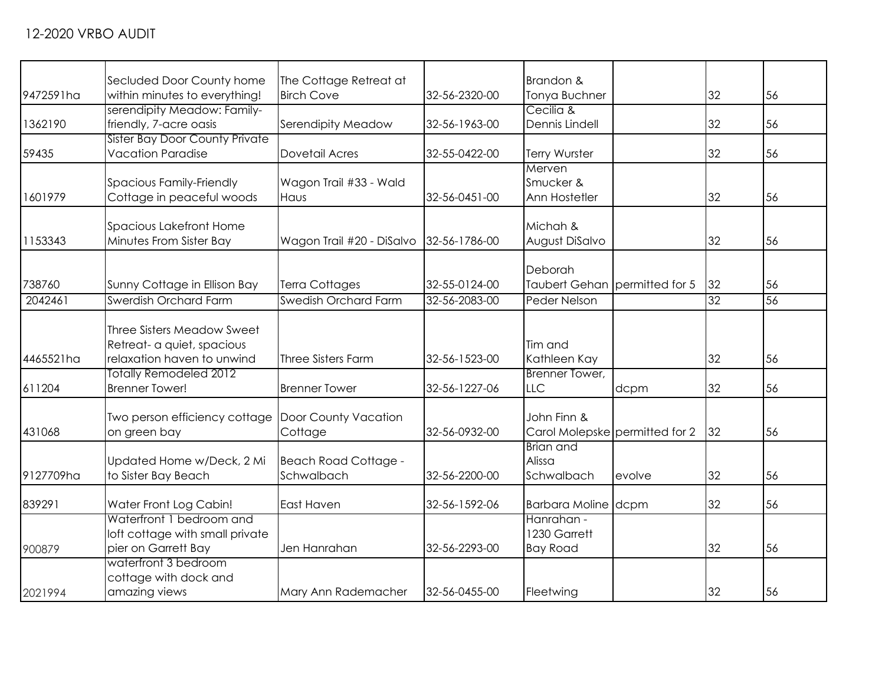| 32 | 56                                                                                                                      |
|----|-------------------------------------------------------------------------------------------------------------------------|
|    |                                                                                                                         |
|    |                                                                                                                         |
|    |                                                                                                                         |
| 32 | 56                                                                                                                      |
|    |                                                                                                                         |
|    | 56                                                                                                                      |
|    |                                                                                                                         |
|    |                                                                                                                         |
|    | 56                                                                                                                      |
|    |                                                                                                                         |
|    | 56                                                                                                                      |
|    |                                                                                                                         |
|    |                                                                                                                         |
|    | 56                                                                                                                      |
|    | $\overline{56}$                                                                                                         |
|    |                                                                                                                         |
|    |                                                                                                                         |
|    |                                                                                                                         |
|    | 56                                                                                                                      |
|    |                                                                                                                         |
| 32 | 56                                                                                                                      |
|    |                                                                                                                         |
|    |                                                                                                                         |
| 32 | 56                                                                                                                      |
|    |                                                                                                                         |
|    |                                                                                                                         |
|    | 56                                                                                                                      |
|    |                                                                                                                         |
|    | 56                                                                                                                      |
|    |                                                                                                                         |
|    | 56                                                                                                                      |
|    |                                                                                                                         |
|    |                                                                                                                         |
| 32 | 56                                                                                                                      |
|    | 32<br>32<br>32<br>Taubert Gehan   permitted for 5<br>32<br>32<br>32<br>Carol Molepske permitted for 2<br>32<br>32<br>32 |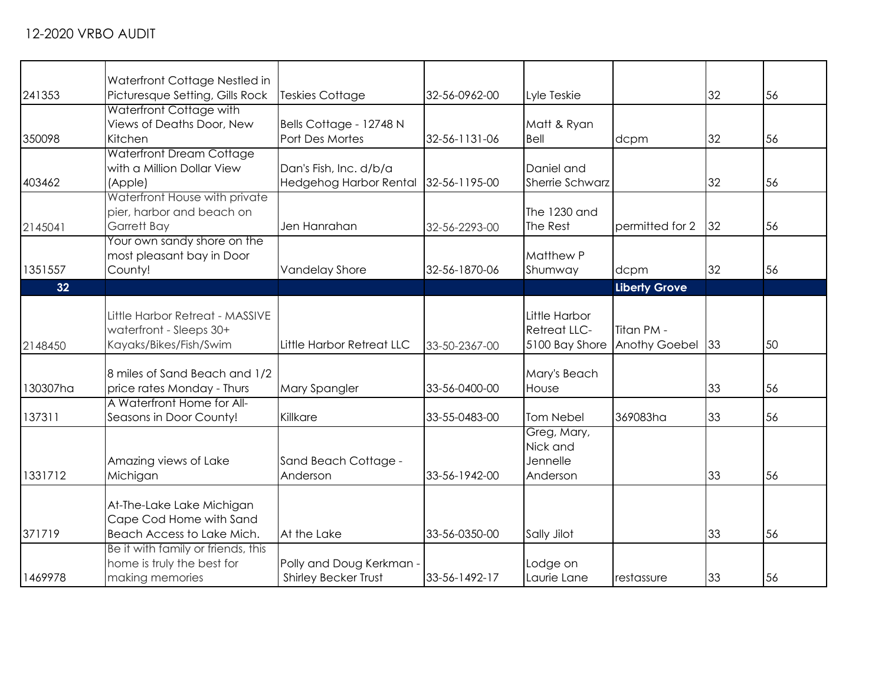|          | Waterfront Cottage Nestled in                                                        |                                                  |               |                                                        |                             |    |    |
|----------|--------------------------------------------------------------------------------------|--------------------------------------------------|---------------|--------------------------------------------------------|-----------------------------|----|----|
| 241353   | Picturesque Setting, Gills Rock                                                      | <b>Teskies Cottage</b>                           | 32-56-0962-00 | Lyle Teskie                                            |                             | 32 | 56 |
| 350098   | Waterfront Cottage with<br>Views of Deaths Door, New<br>Kitchen                      | Bells Cottage - 12748 N<br>Port Des Mortes       | 32-56-1131-06 | Matt & Ryan<br>Bell                                    | dcpm                        | 32 | 56 |
| 403462   | <b>Waterfront Dream Cottage</b><br>with a Million Dollar View<br>(Apple)             | Dan's Fish, Inc. d/b/a<br>Hedgehog Harbor Rental | 32-56-1195-00 | Daniel and<br><b>Sherrie Schwarz</b>                   |                             | 32 | 56 |
| 2145041  | Waterfront House with private<br>pier, harbor and beach on<br>Garrett Bay            | Jen Hanrahan                                     | 32-56-2293-00 | The 1230 and<br>The Rest                               | permitted for 2             | 32 | 56 |
| 1351557  | Your own sandy shore on the<br>most pleasant bay in Door<br>County!                  | Vandelay Shore                                   | 32-56-1870-06 | <b>Matthew P</b><br>Shumway                            | dcpm                        | 32 | 56 |
| 32       |                                                                                      |                                                  |               |                                                        | <b>Liberty Grove</b>        |    |    |
| 2148450  | Little Harbor Retreat - MASSIVE<br>waterfront - Sleeps 30+<br>Kayaks/Bikes/Fish/Swim | Little Harbor Retreat LLC                        | 33-50-2367-00 | Little Harbor<br><b>Retreat LLC-</b><br>5100 Bay Shore | Titan PM -<br>Anothy Goebel | 33 | 50 |
| 130307ha | 8 miles of Sand Beach and 1/2<br>price rates Monday - Thurs                          | Mary Spangler                                    | 33-56-0400-00 | Mary's Beach<br>House                                  |                             | 33 | 56 |
| 137311   | A Waterfront Home for All-<br>Seasons in Door County!                                | Killkare                                         | 33-55-0483-00 | Tom Nebel                                              | 369083ha                    | 33 | 56 |
| 1331712  | Amazing views of Lake<br>Michigan                                                    | Sand Beach Cottage -<br>Anderson                 | 33-56-1942-00 | Greg, Mary,<br>Nick and<br>Jennelle<br>Anderson        |                             | 33 | 56 |
| 371719   | At-The-Lake Lake Michigan<br>Cape Cod Home with Sand<br>Beach Access to Lake Mich.   | At the Lake                                      | 33-56-0350-00 | Sally Jilot                                            |                             | 33 | 56 |
| 1469978  | Be it with family or friends, this<br>home is truly the best for<br>making memories  | Polly and Doug Kerkman -<br>Shirley Becker Trust | 33-56-1492-17 | Lodge on<br>Laurie Lane                                | restassure                  | 33 | 56 |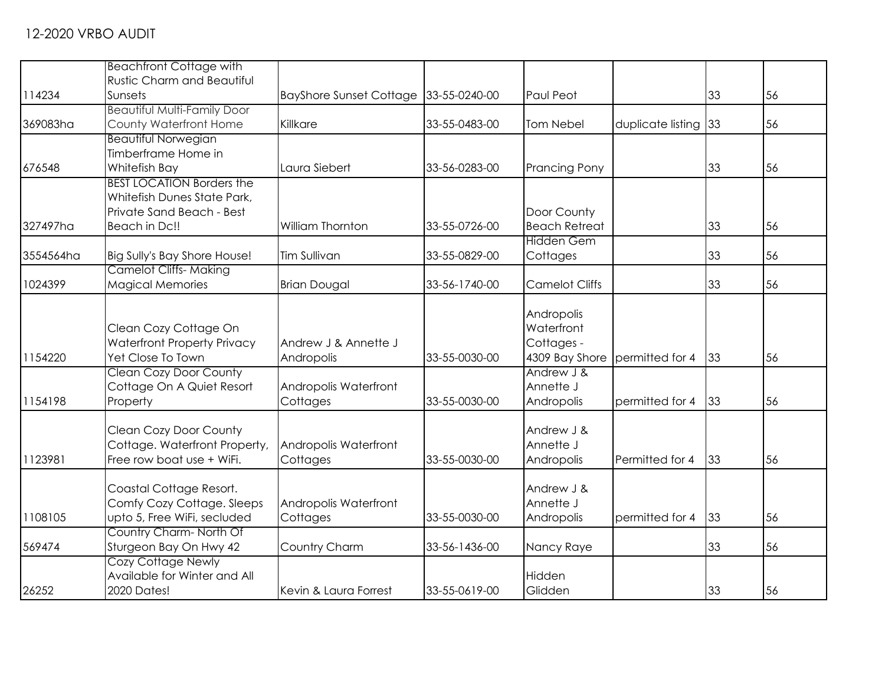|           | <b>Beachfront Cottage with</b>                                                                                |                                    |               |                                                          |                      |    |    |
|-----------|---------------------------------------------------------------------------------------------------------------|------------------------------------|---------------|----------------------------------------------------------|----------------------|----|----|
| 114234    | <b>Rustic Charm and Beautiful</b><br>Sunsets                                                                  | <b>BayShore Sunset Cottage</b>     | 33-55-0240-00 | Paul Peot                                                |                      | 33 | 56 |
| 369083ha  | <b>Beautiful Multi-Family Door</b><br>County Waterfront Home                                                  | Killkare                           | 33-55-0483-00 | <b>Tom Nebel</b>                                         | duplicate listing 33 |    | 56 |
| 676548    | <b>Beautiful Norwegian</b><br>Timberframe Home in<br>Whitefish Bay                                            | Laura Siebert                      | 33-56-0283-00 | <b>Prancing Pony</b>                                     |                      | 33 | 56 |
| 327497ha  | <b>BEST LOCATION Borders the</b><br>Whitefish Dunes State Park,<br>Private Sand Beach - Best<br>Beach in Dc!! | William Thornton                   | 33-55-0726-00 | Door County<br><b>Beach Retreat</b>                      |                      | 33 | 56 |
| 3554564ha | Big Sully's Bay Shore House!                                                                                  | Tim Sullivan                       | 33-55-0829-00 | <b>Hidden Gem</b><br>Cottages                            |                      | 33 | 56 |
| 1024399   | <b>Camelot Cliffs- Making</b><br><b>Magical Memories</b>                                                      | <b>Brian Dougal</b>                | 33-56-1740-00 | <b>Camelot Cliffs</b>                                    |                      | 33 | 56 |
| 1154220   | Clean Cozy Cottage On<br><b>Waterfront Property Privacy</b><br>Yet Close To Town                              | Andrew J & Annette J<br>Andropolis | 33-55-0030-00 | Andropolis<br>Waterfront<br>Cottages -<br>4309 Bay Shore | permitted for 4      | 33 | 56 |
| 1154198   | <b>Clean Cozy Door County</b><br>Cottage On A Quiet Resort<br>Property                                        | Andropolis Waterfront<br>Cottages  | 33-55-0030-00 | Andrew J &<br>Annette J<br>Andropolis                    | permitted for 4      | 33 | 56 |
| 1123981   | <b>Clean Cozy Door County</b><br>Cottage. Waterfront Property,<br>Free row boat use + WiFi.                   | Andropolis Waterfront<br>Cottages  | 33-55-0030-00 | Andrew J &<br>Annette J<br>Andropolis                    | Permitted for 4      | 33 | 56 |
| 1108105   | Coastal Cottage Resort.<br>Comfy Cozy Cottage. Sleeps<br>upto 5, Free WiFi, secluded                          | Andropolis Waterfront<br>Cottages  | 33-55-0030-00 | Andrew J &<br>Annette J<br>Andropolis                    | permitted for 4      | 33 | 56 |
| 569474    | Country Charm-North Of<br>Sturgeon Bay On Hwy 42                                                              | Country Charm                      | 33-56-1436-00 | Nancy Raye                                               |                      | 33 | 56 |
| 26252     | <b>Cozy Cottage Newly</b><br>Available for Winter and All<br>2020 Dates!                                      | Kevin & Laura Forrest              | 33-55-0619-00 | Hidden<br>Glidden                                        |                      | 33 | 56 |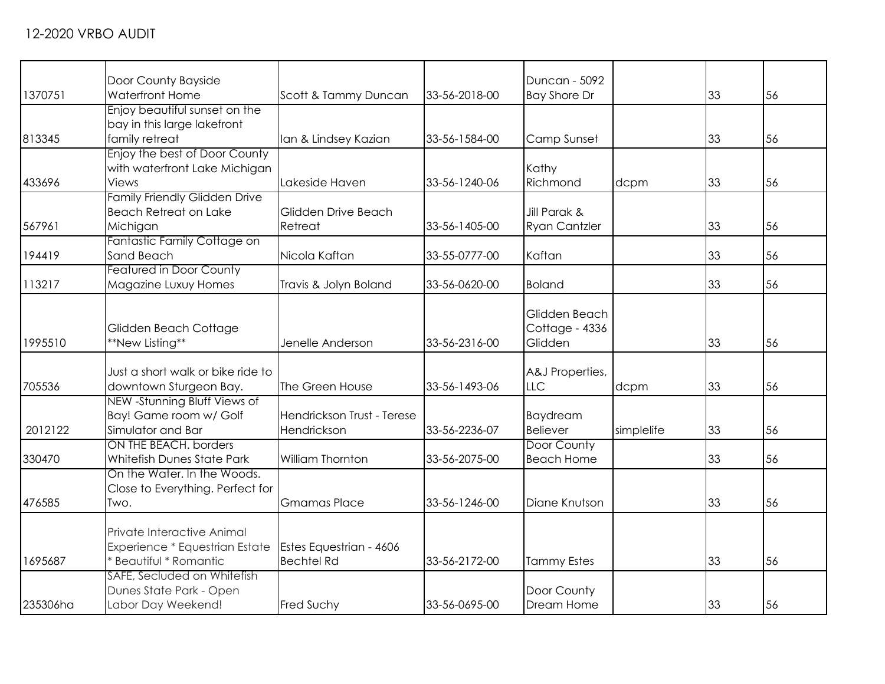| 1370751  | Door County Bayside<br><b>Waterfront Home</b>                                          | Scott & Tammy Duncan                         | 33-56-2018-00 | Duncan - 5092<br><b>Bay Shore Dr</b>       |            | 33 | 56 |
|----------|----------------------------------------------------------------------------------------|----------------------------------------------|---------------|--------------------------------------------|------------|----|----|
| 813345   | Enjoy beautiful sunset on the<br>bay in this large lakefront<br>family retreat         | Ian & Lindsey Kazian                         | 33-56-1584-00 | Camp Sunset                                |            | 33 | 56 |
| 433696   | Enjoy the best of Door County<br>with waterfront Lake Michigan<br>Views                | Lakeside Haven                               | 33-56-1240-06 | Kathy<br>Richmond                          | dcpm       | 33 | 56 |
| 567961   | <b>Family Friendly Glidden Drive</b><br><b>Beach Retreat on Lake</b><br>Michigan       | Glidden Drive Beach<br>Retreat               | 33-56-1405-00 | Jill Parak &<br><b>Ryan Cantzler</b>       |            | 33 | 56 |
| 194419   | Fantastic Family Cottage on<br>Sand Beach                                              | Nicola Kaftan                                | 33-55-0777-00 | Kaftan                                     |            | 33 | 56 |
| 113217   | <b>Featured in Door County</b><br>Magazine Luxuy Homes                                 | Travis & Jolyn Boland                        | 33-56-0620-00 | <b>Boland</b>                              |            | 33 | 56 |
| 1995510  | Glidden Beach Cottage<br>**New Listing**                                               | Jenelle Anderson                             | 33-56-2316-00 | Glidden Beach<br>Cottage - 4336<br>Glidden |            | 33 | 56 |
| 705536   | Just a short walk or bike ride to<br>downtown Sturgeon Bay.                            | The Green House                              | 33-56-1493-06 | A&J Properties,<br><b>LLC</b>              | dcpm       | 33 | 56 |
| 2012122  | NEW -Stunning Bluff Views of<br>Bay! Game room w/ Golf<br>Simulator and Bar            | Hendrickson Trust - Terese<br>Hendrickson    | 33-56-2236-07 | <b>Baydream</b><br><b>Believer</b>         | simplelife | 33 | 56 |
| 330470   | ON THE BEACH, borders<br>Whitefish Dunes State Park                                    | William Thornton                             | 33-56-2075-00 | Door County<br><b>Beach Home</b>           |            | 33 | 56 |
| 476585   | On the Water. In the Woods.<br>Close to Everything. Perfect for<br>Two.                | <b>Gmamas Place</b>                          | 33-56-1246-00 | Diane Knutson                              |            | 33 | 56 |
| 1695687  | Private Interactive Animal<br>Experience * Equestrian Estate<br>* Beautiful * Romantic | Estes Equestrian - 4606<br><b>Bechtel Rd</b> | 33-56-2172-00 | <b>Tammy Estes</b>                         |            | 33 | 56 |
| 235306ha | SAFE, Secluded on Whitefish<br>Dunes State Park - Open<br>Labor Day Weekend!           | <b>Fred Suchy</b>                            | 33-56-0695-00 | Door County<br>Dream Home                  |            | 33 | 56 |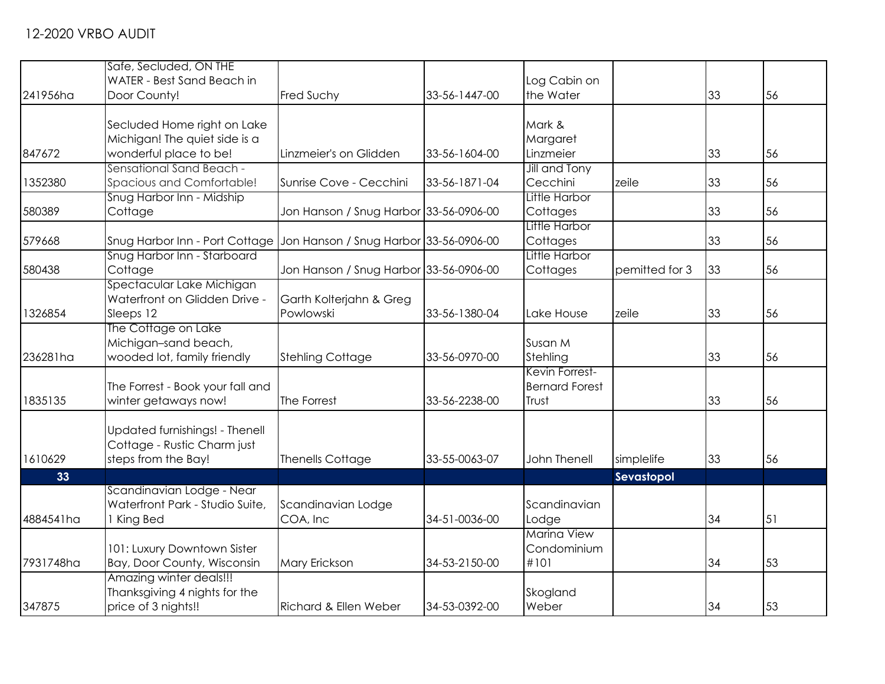|           | Safe, Secluded, ON THE                                  |                                        |               |                       |                |    |    |
|-----------|---------------------------------------------------------|----------------------------------------|---------------|-----------------------|----------------|----|----|
|           | WATER - Best Sand Beach in                              |                                        |               | Log Cabin on          |                |    |    |
| 241956ha  | Door County!                                            | Fred Suchy                             | 33-56-1447-00 | the Water             |                | 33 | 56 |
|           | Secluded Home right on Lake                             |                                        |               | Mark &                |                |    |    |
|           |                                                         |                                        |               |                       |                |    |    |
| 847672    | Michigan! The quiet side is a<br>wonderful place to be! | Linzmeier's on Glidden                 | 33-56-1604-00 | Margaret<br>Linzmeier |                | 33 | 56 |
|           | Sensational Sand Beach -                                |                                        |               | Jill and Tony         |                |    |    |
| 1352380   | Spacious and Comfortable!                               | Sunrise Cove - Cecchini                | 33-56-1871-04 | Cecchini              | zeile          | 33 | 56 |
|           | Snug Harbor Inn - Midship                               |                                        |               | Little Harbor         |                |    |    |
| 580389    | Cottage                                                 | Jon Hanson / Snug Harbor 33-56-0906-00 |               | Cottages              |                | 33 | 56 |
|           |                                                         |                                        |               | Little Harbor         |                |    |    |
| 579668    | Snug Harbor Inn - Port Cottage                          | Jon Hanson / Snug Harbor 33-56-0906-00 |               | Cottages              |                | 33 | 56 |
|           | Snug Harbor Inn - Starboard                             |                                        |               | Little Harbor         |                |    |    |
| 580438    | Cottage                                                 | Jon Hanson / Snug Harbor 33-56-0906-00 |               | Cottages              | pemitted for 3 | 33 | 56 |
|           | Spectacular Lake Michigan                               |                                        |               |                       |                |    |    |
|           | Waterfront on Glidden Drive -                           | Garth Kolterjahn & Greg                |               |                       |                |    |    |
| 1326854   | Sleeps 12                                               | Powlowski                              | 33-56-1380-04 | Lake House            | zeile          | 33 | 56 |
|           | The Cottage on Lake                                     |                                        |               |                       |                |    |    |
|           | Michigan-sand beach,                                    |                                        |               | Susan M               |                |    |    |
| 236281ha  | wooded lot, family friendly                             | <b>Stehling Cottage</b>                | 33-56-0970-00 | Stehling              |                | 33 | 56 |
|           |                                                         |                                        |               | Kevin Forrest-        |                |    |    |
|           | The Forrest - Book your fall and                        |                                        |               | <b>Bernard Forest</b> |                |    |    |
| 1835135   | winter getaways now!                                    | The Forrest                            | 33-56-2238-00 | Trust                 |                | 33 | 56 |
|           |                                                         |                                        |               |                       |                |    |    |
|           | Updated furnishings! - Thenell                          |                                        |               |                       |                |    |    |
|           | Cottage - Rustic Charm just                             |                                        |               |                       |                |    |    |
| 1610629   | steps from the Bay!                                     | <b>Thenells Cottage</b>                | 33-55-0063-07 | John Thenell          | simplelife     | 33 | 56 |
| 33        |                                                         |                                        |               |                       | Sevastopol     |    |    |
|           | Scandinavian Lodge - Near                               |                                        |               |                       |                |    |    |
|           | Waterfront Park - Studio Suite,                         | Scandinavian Lodge                     |               | Scandinavian          |                |    |    |
| 4884541ha | 1 King Bed                                              | COA, Inc                               | 34-51-0036-00 | Lodge                 |                | 34 | 51 |
|           |                                                         |                                        |               | <b>Marina View</b>    |                |    |    |
|           | 101: Luxury Downtown Sister                             |                                        |               | Condominium           |                |    |    |
| 7931748ha | Bay, Door County, Wisconsin                             | Mary Erickson                          | 34-53-2150-00 | #101                  |                | 34 | 53 |
|           | Amazing winter deals!!!                                 |                                        |               |                       |                |    |    |
|           | Thanksgiving 4 nights for the                           |                                        |               | Skogland              |                |    |    |
| 347875    | price of 3 nights!!                                     | Richard & Ellen Weber                  | 34-53-0392-00 | Weber                 |                | 34 | 53 |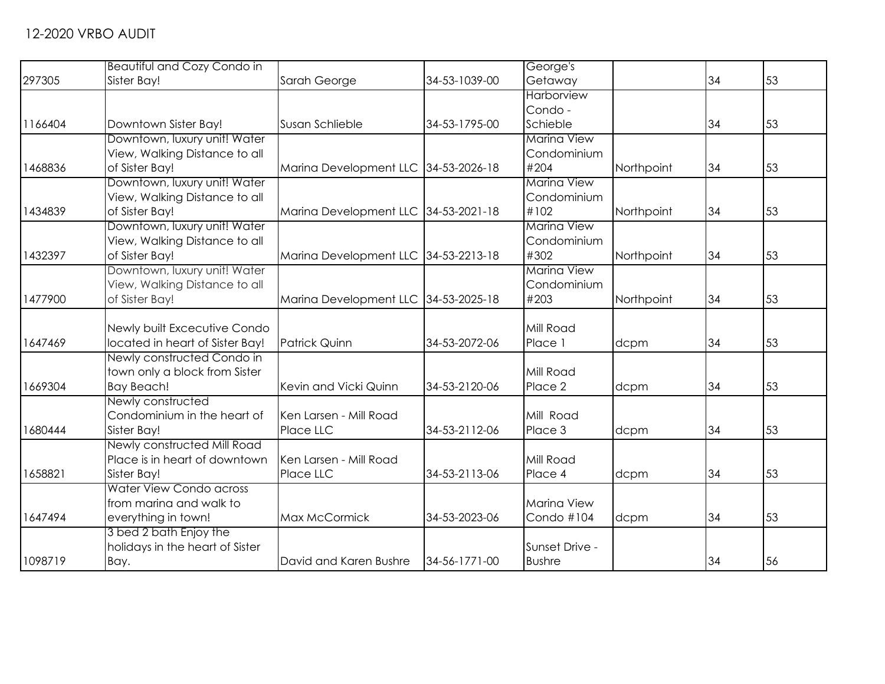|         | <b>Beautiful and Cozy Condo in</b> |                                      |               | George's           |            |    |    |
|---------|------------------------------------|--------------------------------------|---------------|--------------------|------------|----|----|
| 297305  | Sister Bay!                        | Sarah George                         | 34-53-1039-00 | Getaway            |            | 34 | 53 |
|         |                                    |                                      |               | <b>Harborview</b>  |            |    |    |
|         |                                    |                                      |               | Condo -            |            |    |    |
| 1166404 | Downtown Sister Bay!               | Susan Schlieble                      | 34-53-1795-00 | Schieble           |            | 34 | 53 |
|         | Downtown, luxury unit! Water       |                                      |               | <b>Marina View</b> |            |    |    |
|         | View, Walking Distance to all      |                                      |               | Condominium        |            |    |    |
| 1468836 | of Sister Bay!                     | Marina Development LLC 34-53-2026-18 |               | #204               | Northpoint | 34 | 53 |
|         | Downtown, luxury unit! Water       |                                      |               | <b>Marina View</b> |            |    |    |
|         | View, Walking Distance to all      |                                      |               | Condominium        |            |    |    |
| 1434839 | of Sister Bay!                     | Marina Development LLC 34-53-2021-18 |               | #102               | Northpoint | 34 | 53 |
|         | Downtown, luxury unit! Water       |                                      |               | Marina View        |            |    |    |
|         | View, Walking Distance to all      |                                      |               | Condominium        |            |    |    |
| 1432397 | of Sister Bay!                     | Marina Development LLC 34-53-2213-18 |               | #302               | Northpoint | 34 | 53 |
|         | Downtown, luxury unit! Water       |                                      |               | <b>Marina View</b> |            |    |    |
|         | View, Walking Distance to all      |                                      |               | Condominium        |            |    |    |
| 1477900 | of Sister Bay!                     | Marina Development LLC 34-53-2025-18 |               | #203               | Northpoint | 34 | 53 |
|         | Newly built Excecutive Condo       |                                      |               | Mill Road          |            |    |    |
| 1647469 | located in heart of Sister Bay!    | <b>Patrick Quinn</b>                 | 34-53-2072-06 | Place 1            | dcpm       | 34 | 53 |
|         | Newly constructed Condo in         |                                      |               |                    |            |    |    |
|         | town only a block from Sister      |                                      |               | Mill Road          |            |    |    |
| 1669304 | Bay Beach!                         | Kevin and Vicki Quinn                | 34-53-2120-06 | Place 2            | dcpm       | 34 | 53 |
|         | Newly constructed                  |                                      |               |                    |            |    |    |
|         | Condominium in the heart of        | Ken Larsen - Mill Road               |               | Mill Road          |            |    |    |
| 1680444 | Sister Bay!                        | Place LLC                            | 34-53-2112-06 | Place 3            | dcpm       | 34 | 53 |
|         | Newly constructed Mill Road        |                                      |               |                    |            |    |    |
|         | Place is in heart of downtown      | Ken Larsen - Mill Road               |               | Mill Road          |            |    |    |
| 1658821 | Sister Bay!                        | Place LLC                            | 34-53-2113-06 | Place 4            | dcpm       | 34 | 53 |
|         | Water View Condo across            |                                      |               |                    |            |    |    |
|         | from marina and walk to            |                                      |               | <b>Marina View</b> |            |    |    |
| 1647494 | everything in town!                | Max McCormick                        | 34-53-2023-06 | Condo #104         | dcpm       | 34 | 53 |
|         | 3 bed 2 bath Enjoy the             |                                      |               |                    |            |    |    |
|         | holidays in the heart of Sister    |                                      |               | Sunset Drive -     |            |    |    |
| 1098719 | Bay.                               | David and Karen Bushre               | 34-56-1771-00 | <b>Bushre</b>      |            | 34 | 56 |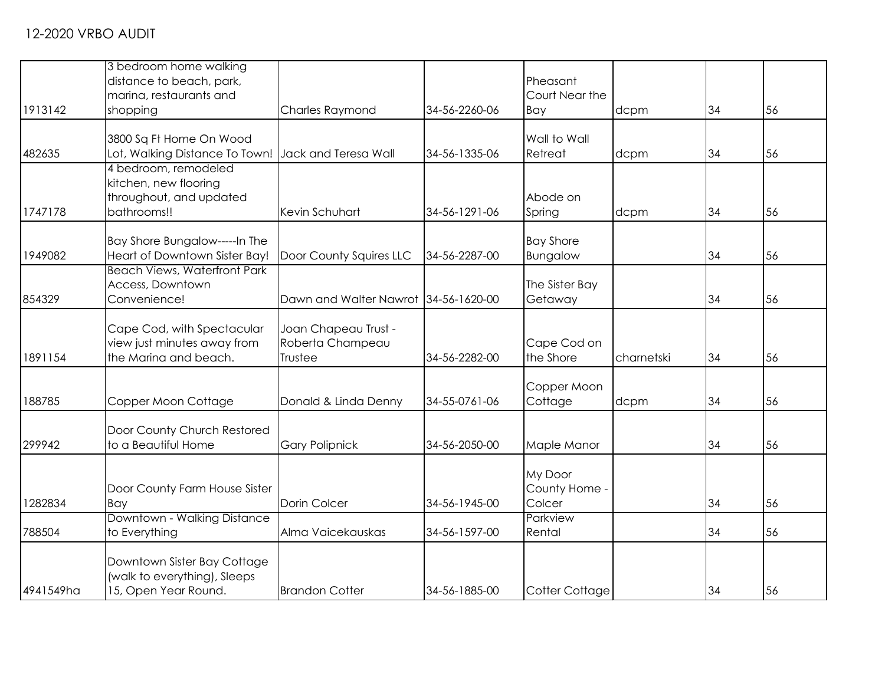|           | 3 bedroom home walking                              |                                      |               |                  |            |    |    |
|-----------|-----------------------------------------------------|--------------------------------------|---------------|------------------|------------|----|----|
|           | distance to beach, park,                            |                                      |               | Pheasant         |            |    |    |
|           | marina, restaurants and                             |                                      |               | Court Near the   |            |    |    |
| 1913142   | shopping                                            | <b>Charles Raymond</b>               | 34-56-2260-06 | Bay              | dcpm       | 34 | 56 |
|           |                                                     |                                      |               |                  |            |    |    |
|           | 3800 Sq Ft Home On Wood                             |                                      |               | Wall to Wall     |            |    |    |
| 482635    | Lot, Walking Distance To Town! Jack and Teresa Wall |                                      | 34-56-1335-06 | Retreat          | dcpm       | 34 | 56 |
|           | 4 bedroom, remodeled                                |                                      |               |                  |            |    |    |
|           | kitchen, new flooring                               |                                      |               |                  |            |    |    |
|           | throughout, and updated                             |                                      |               | Abode on         |            |    |    |
| 1747178   | bathrooms!!                                         | Kevin Schuhart                       | 34-56-1291-06 | Spring           | dcpm       | 34 | 56 |
|           | Bay Shore Bungalow-----In The                       |                                      |               | <b>Bay Shore</b> |            |    |    |
| 1949082   | Heart of Downtown Sister Bay!                       | Door County Squires LLC              | 34-56-2287-00 | Bungalow         |            | 34 | 56 |
|           | <b>Beach Views, Waterfront Park</b>                 |                                      |               |                  |            |    |    |
|           | Access, Downtown                                    |                                      |               | The Sister Bay   |            |    |    |
| 854329    | Convenience!                                        | Dawn and Walter Nawrot 34-56-1620-00 |               | Getaway          |            | 34 | 56 |
|           |                                                     |                                      |               |                  |            |    |    |
|           | Cape Cod, with Spectacular                          | Joan Chapeau Trust -                 |               |                  |            |    |    |
|           | view just minutes away from                         | Roberta Champeau                     |               | Cape Cod on      |            |    |    |
| 1891154   | the Marina and beach.                               | Trustee                              | 34-56-2282-00 | the Shore        | charnetski | 34 | 56 |
|           |                                                     |                                      |               |                  |            |    |    |
|           |                                                     |                                      |               | Copper Moon      |            |    |    |
| 188785    | Copper Moon Cottage                                 | Donald & Linda Denny                 | 34-55-0761-06 | Cottage          | dcpm       | 34 | 56 |
|           |                                                     |                                      |               |                  |            |    |    |
|           | Door County Church Restored                         |                                      |               |                  |            |    |    |
| 299942    | to a Beautiful Home                                 | <b>Gary Polipnick</b>                | 34-56-2050-00 | Maple Manor      |            | 34 | 56 |
|           |                                                     |                                      |               | My Door          |            |    |    |
|           | Door County Farm House Sister                       |                                      |               | County Home -    |            |    |    |
| 1282834   | Bay                                                 | Dorin Colcer                         | 34-56-1945-00 | Colcer           |            | 34 | 56 |
|           | Downtown - Walking Distance                         |                                      |               | Parkview         |            |    |    |
| 788504    | to Everything                                       | Alma Vaicekauskas                    | 34-56-1597-00 | Rental           |            | 34 | 56 |
|           |                                                     |                                      |               |                  |            |    |    |
|           | Downtown Sister Bay Cottage                         |                                      |               |                  |            |    |    |
|           | (walk to everything), Sleeps                        |                                      |               |                  |            |    |    |
| 4941549ha | 15, Open Year Round.                                | <b>Brandon Cotter</b>                | 34-56-1885-00 | Cotter Cottage   |            | 34 | 56 |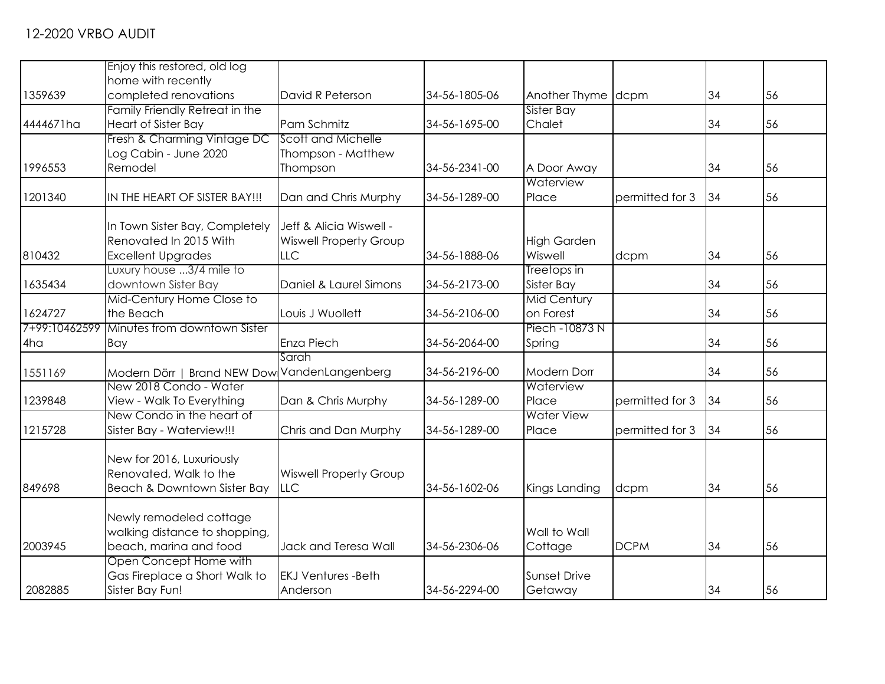|               | Enjoy this restored, old log   |                                       |               |                     |                 |    |    |
|---------------|--------------------------------|---------------------------------------|---------------|---------------------|-----------------|----|----|
|               | home with recently             |                                       |               |                     |                 |    |    |
| 1359639       | completed renovations          | David R Peterson                      | 34-56-1805-06 | Another Thyme dcpm  |                 | 34 | 56 |
|               |                                |                                       |               |                     |                 |    |    |
|               | Family Friendly Retreat in the |                                       |               | Sister Bay          |                 |    |    |
| 4444671ha     | <b>Heart of Sister Bay</b>     | Pam Schmitz                           | 34-56-1695-00 | Chalet              |                 | 34 | 56 |
|               | Fresh & Charming Vintage DC    | Scott and Michelle                    |               |                     |                 |    |    |
|               | Log Cabin - June 2020          | Thompson - Matthew                    |               |                     |                 |    |    |
| 1996553       | Remodel                        | Thompson                              | 34-56-2341-00 | A Door Away         |                 | 34 | 56 |
|               |                                |                                       |               | Waterview           |                 |    |    |
| 1201340       | IN THE HEART OF SISTER BAY!!!  | Dan and Chris Murphy                  | 34-56-1289-00 | Place               | permitted for 3 | 34 | 56 |
|               | In Town Sister Bay, Completely | Jeff & Alicia Wiswell -               |               |                     |                 |    |    |
|               | Renovated In 2015 With         | <b>Wiswell Property Group</b>         |               | <b>High Garden</b>  |                 |    |    |
| 810432        | <b>Excellent Upgrades</b>      | LLC                                   | 34-56-1888-06 | Wiswell             | dcpm            | 34 | 56 |
|               | Luxury house 3/4 mile to       |                                       |               | Treetops in         |                 |    |    |
| 1635434       |                                | Daniel & Laurel Simons                | 34-56-2173-00 |                     |                 | 34 | 56 |
|               | downtown Sister Bay            |                                       |               | Sister Bay          |                 |    |    |
|               | Mid-Century Home Close to      |                                       |               | <b>Mid Century</b>  |                 |    |    |
| 1624727       | the Beach                      | Louis J Wuollett                      | 34-56-2106-00 | on Forest           |                 | 34 | 56 |
| 7+99:10462599 | Minutes from downtown Sister   |                                       |               | Piech -10873 N      |                 |    |    |
| 4ha           | Bay                            | Enza Piech                            | 34-56-2064-00 | Spring              |                 | 34 | 56 |
|               |                                | Sarah                                 |               |                     |                 |    |    |
| 1551169       | Modern Dörr                    | <b>Brand NEW Dow VandenLangenberg</b> | 34-56-2196-00 | <b>Modern Dorr</b>  |                 | 34 | 56 |
|               | New 2018 Condo - Water         |                                       |               | Waterview           |                 |    |    |
| 1239848       | View - Walk To Everything      | Dan & Chris Murphy                    | 34-56-1289-00 | Place               | permitted for 3 | 34 | 56 |
|               | New Condo in the heart of      |                                       |               | <b>Water View</b>   |                 |    |    |
| 1215728       | Sister Bay - Waterview!!!      | Chris and Dan Murphy                  | 34-56-1289-00 | Place               | permitted for 3 | 34 | 56 |
|               | New for 2016, Luxuriously      |                                       |               |                     |                 |    |    |
|               | Renovated, Walk to the         | <b>Wiswell Property Group</b>         |               |                     |                 |    |    |
| 849698        | Beach & Downtown Sister Bay    | <b>LLC</b>                            | 34-56-1602-06 | Kings Landing       | dcpm            | 34 | 56 |
|               |                                |                                       |               |                     |                 |    |    |
|               | Newly remodeled cottage        |                                       |               |                     |                 |    |    |
|               | walking distance to shopping,  |                                       |               | Wall to Wall        |                 |    |    |
| 2003945       | beach, marina and food         | Jack and Teresa Wall                  | 34-56-2306-06 | Cottage             | <b>DCPM</b>     | 34 | 56 |
|               | Open Concept Home with         |                                       |               |                     |                 |    |    |
|               | Gas Fireplace a Short Walk to  | <b>EKJ Ventures -Beth</b>             |               | <b>Sunset Drive</b> |                 |    |    |
| 2082885       | Sister Bay Fun!                | Anderson                              | 34-56-2294-00 | Getaway             |                 | 34 | 56 |
|               |                                |                                       |               |                     |                 |    |    |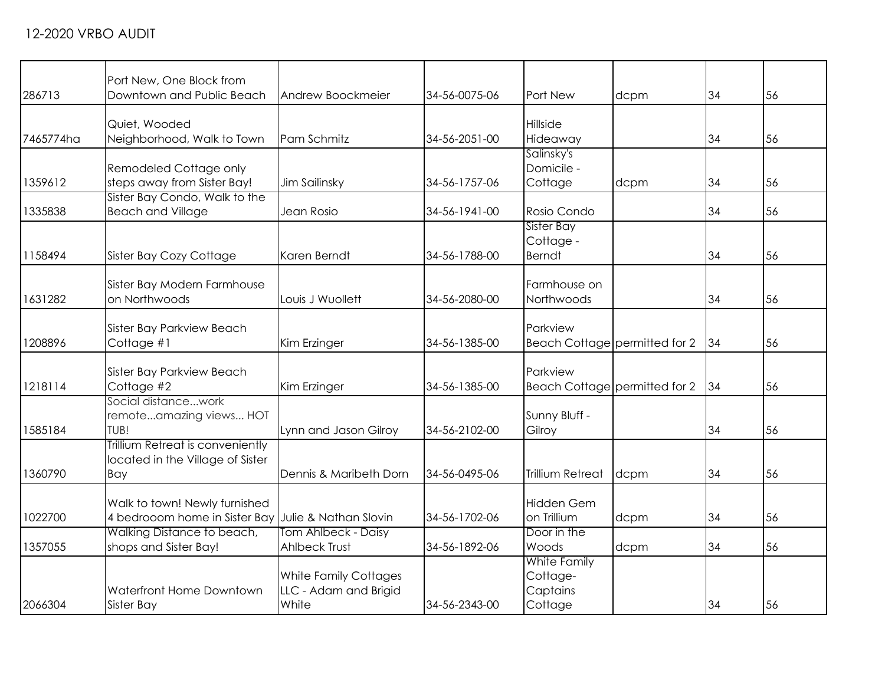| 286713    | Port New, One Block from<br>Downtown and Public Beach | Andrew Boockmeier              | 34-56-0075-06 | Port New                      | dcpm | 34 | 56 |
|-----------|-------------------------------------------------------|--------------------------------|---------------|-------------------------------|------|----|----|
| 7465774ha | Quiet, Wooded<br>Neighborhood, Walk to Town           | Pam Schmitz                    | 34-56-2051-00 | Hillside<br>Hideaway          |      | 34 | 56 |
|           |                                                       |                                |               | Salinsky's                    |      |    |    |
|           | Remodeled Cottage only                                |                                |               | Domicile -                    |      |    |    |
| 1359612   | steps away from Sister Bay!                           | Jim Sailinsky                  | 34-56-1757-06 | Cottage                       | dcpm | 34 | 56 |
|           | Sister Bay Condo, Walk to the                         |                                |               |                               |      |    |    |
| 1335838   | <b>Beach and Village</b>                              | Jean Rosio                     | 34-56-1941-00 | Rosio Condo                   |      | 34 | 56 |
|           |                                                       |                                |               | Sister Bay                    |      |    |    |
|           |                                                       |                                |               | Cottage -                     |      |    |    |
| 1158494   | Sister Bay Cozy Cottage                               | Karen Berndt                   | 34-56-1788-00 | <b>Berndt</b>                 |      | 34 | 56 |
|           |                                                       |                                |               |                               |      |    |    |
|           | Sister Bay Modern Farmhouse                           |                                |               | Farmhouse on                  |      |    |    |
| 1631282   | on Northwoods                                         | Louis J Wuollett               | 34-56-2080-00 | Northwoods                    |      | 34 | 56 |
|           |                                                       |                                |               | Parkview                      |      |    |    |
| 1208896   | Sister Bay Parkview Beach<br>Cottage #1               | Kim Erzinger                   | 34-56-1385-00 | Beach Cottage permitted for 2 |      | 34 | 56 |
|           |                                                       |                                |               |                               |      |    |    |
|           | <b>Sister Bay Parkview Beach</b>                      |                                |               | Parkview                      |      |    |    |
| 1218114   | Cottage #2                                            | Kim Erzinger                   | 34-56-1385-00 | Beach Cottage permitted for 2 |      | 34 | 56 |
|           | Social distancework                                   |                                |               |                               |      |    |    |
|           | remoteamazing views HOT                               |                                |               | Sunny Bluff -                 |      |    |    |
| 1585184   | TUB!                                                  | Lynn and Jason Gilroy          | 34-56-2102-00 | Gilroy                        |      | 34 | 56 |
|           | Trillium Retreat is conveniently                      |                                |               |                               |      |    |    |
|           | located in the Village of Sister                      |                                |               |                               |      |    |    |
| 1360790   | Bay                                                   | Dennis & Maribeth Dorn         | 34-56-0495-06 | <b>Trillium Retreat</b>       | dcpm | 34 | 56 |
|           |                                                       |                                |               |                               |      |    |    |
|           | Walk to town! Newly furnished                         |                                |               | <b>Hidden Gem</b>             |      |    |    |
| 1022700   | 4 bedrooom home in Sister Bay Julie & Nathan Slovin   |                                | 34-56-1702-06 | on Trillium                   | dcpm | 34 | 56 |
|           | Walking Distance to beach,                            | Tom Ahlbeck - Daisy            |               | Door in the                   |      |    |    |
| 1357055   | shops and Sister Bay!                                 | Ahlbeck Trust                  | 34-56-1892-06 | Woods                         | dcpm | 34 | 56 |
|           |                                                       |                                |               | White Family                  |      |    |    |
|           | Waterfront Home Downtown                              | <b>White Family Cottages</b>   |               | Cottage-                      |      |    |    |
| 2066304   | Sister Bay                                            | LLC - Adam and Brigid<br>White | 34-56-2343-00 | Captains<br>Cottage           |      | 34 | 56 |
|           |                                                       |                                |               |                               |      |    |    |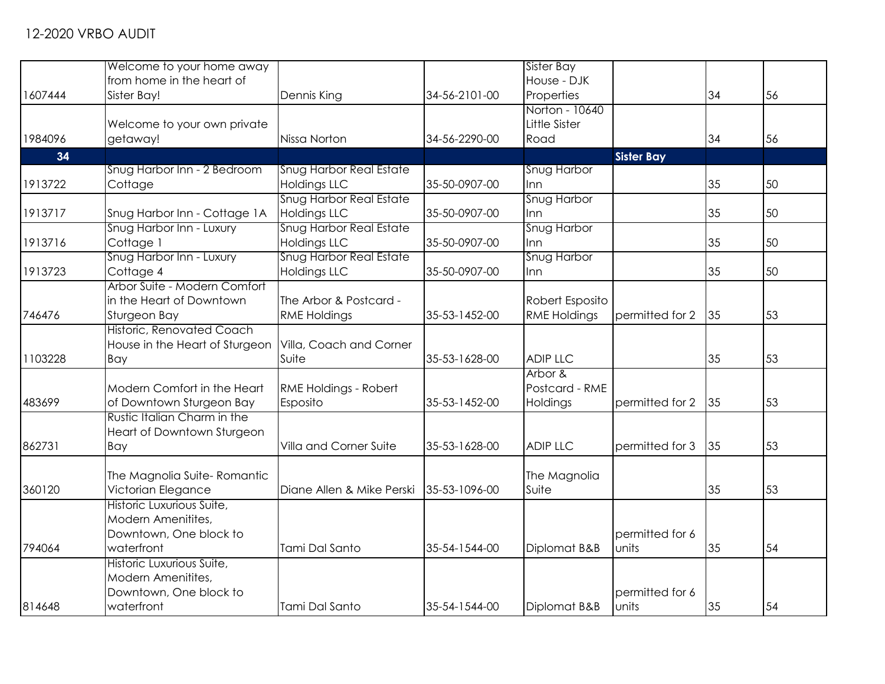|         | Welcome to your home away        |                                |               | Sister Bay          |                   |    |    |
|---------|----------------------------------|--------------------------------|---------------|---------------------|-------------------|----|----|
|         | from home in the heart of        |                                |               | House - DJK         |                   |    |    |
| 1607444 | Sister Bay!                      | Dennis King                    | 34-56-2101-00 | Properties          |                   | 34 | 56 |
|         |                                  |                                |               | Norton - 10640      |                   |    |    |
|         | Welcome to your own private      |                                |               | Little Sister       |                   |    |    |
| 1984096 | getaway!                         | Nissa Norton                   | 34-56-2290-00 | Road                |                   | 34 | 56 |
| 34      |                                  |                                |               |                     | <b>Sister Bay</b> |    |    |
|         | Snug Harbor Inn - 2 Bedroom      | <b>Snug Harbor Real Estate</b> |               | <b>Snug Harbor</b>  |                   |    |    |
| 1913722 | Cottage                          | <b>Holdings LLC</b>            | 35-50-0907-00 | Inn                 |                   | 35 | 50 |
|         |                                  | <b>Snug Harbor Real Estate</b> |               | Snug Harbor         |                   |    |    |
| 1913717 | Snug Harbor Inn - Cottage 1A     | <b>Holdings LLC</b>            | 35-50-0907-00 | Inn                 |                   | 35 | 50 |
|         | Snug Harbor Inn - Luxury         | Snug Harbor Real Estate        |               | Snug Harbor         |                   |    |    |
| 1913716 | Cottage 1                        | <b>Holdings LLC</b>            | 35-50-0907-00 | Inn                 |                   | 35 | 50 |
|         | Snug Harbor Inn - Luxury         | Snug Harbor Real Estate        |               | Snug Harbor         |                   |    |    |
| 1913723 | Cottage 4                        | <b>Holdings LLC</b>            | 35-50-0907-00 | Inn                 |                   | 35 | 50 |
|         | Arbor Suite - Modern Comfort     |                                |               |                     |                   |    |    |
|         | in the Heart of Downtown         | The Arbor & Postcard -         |               | Robert Esposito     |                   |    |    |
| 746476  | Sturgeon Bay                     | <b>RME Holdings</b>            | 35-53-1452-00 | <b>RME Holdings</b> | permitted for 2   | 35 | 53 |
|         | <b>Historic, Renovated Coach</b> |                                |               |                     |                   |    |    |
|         | House in the Heart of Sturgeon   | Villa, Coach and Corner        |               |                     |                   |    |    |
| 1103228 | Bay                              | Suite                          | 35-53-1628-00 | <b>ADIP LLC</b>     |                   | 35 | 53 |
|         |                                  |                                |               | Arbor &             |                   |    |    |
|         | Modern Comfort in the Heart      | RME Holdings - Robert          |               | Postcard - RME      |                   |    |    |
| 483699  | of Downtown Sturgeon Bay         | Esposito                       | 35-53-1452-00 | Holdings            | permitted for 2   | 35 | 53 |
|         | Rustic Italian Charm in the      |                                |               |                     |                   |    |    |
|         | Heart of Downtown Sturgeon       |                                |               |                     |                   |    |    |
| 862731  | Bay                              | Villa and Corner Suite         | 35-53-1628-00 | <b>ADIP LLC</b>     | permitted for 3   | 35 | 53 |
|         |                                  |                                |               |                     |                   |    |    |
|         | The Magnolia Suite-Romantic      |                                |               | The Magnolia        |                   |    |    |
| 360120  | Victorian Elegance               | Diane Allen & Mike Perski      | 35-53-1096-00 | Suite               |                   | 35 | 53 |
|         | Historic Luxurious Suite,        |                                |               |                     |                   |    |    |
|         | Modern Amenitites,               |                                |               |                     |                   |    |    |
|         | Downtown, One block to           |                                |               |                     | permitted for 6   |    |    |
| 794064  | waterfront                       | Tami Dal Santo                 | 35-54-1544-00 | Diplomat B&B        | units             | 35 | 54 |
|         | Historic Luxurious Suite,        |                                |               |                     |                   |    |    |
|         | Modern Amenitites,               |                                |               |                     |                   |    |    |
|         | Downtown, One block to           |                                |               |                     | permitted for 6   |    |    |
| 814648  | waterfront                       | Tami Dal Santo                 | 35-54-1544-00 | Diplomat B&B        | units             | 35 | 54 |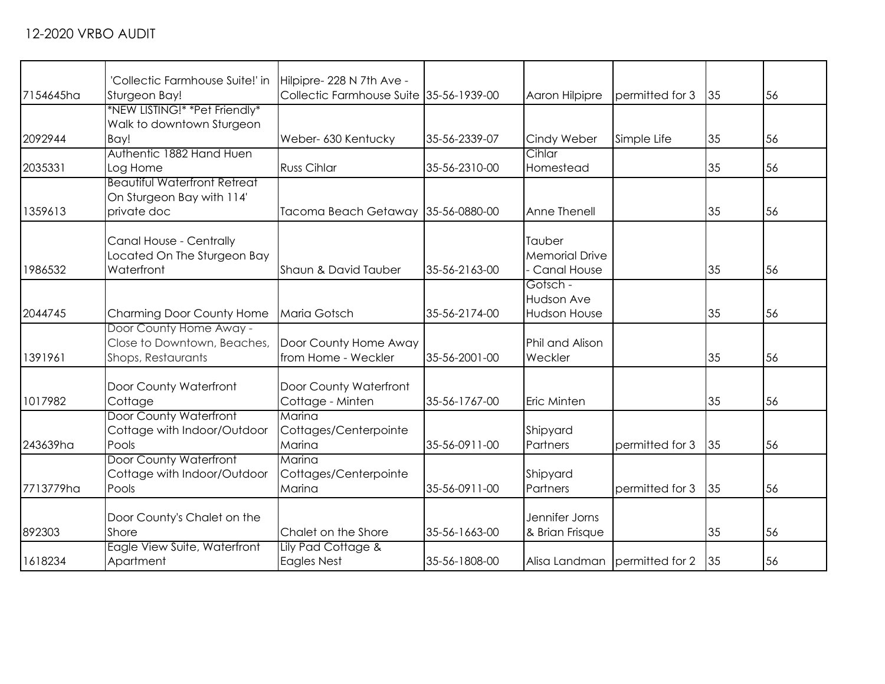| 7154645ha | 'Collectic Farmhouse Suite!' in<br>Sturgeon Bay! | Hilpipre- 228 N 7th Ave -<br>Collectic Farmhouse Suite 35-56-1939-00 |               | Aaron Hilpipre        | permitted for 3               | 35 | 56 |
|-----------|--------------------------------------------------|----------------------------------------------------------------------|---------------|-----------------------|-------------------------------|----|----|
|           | *NEW LISTING!* *Pet Friendly*                    |                                                                      |               |                       |                               |    |    |
|           | Walk to downtown Sturgeon                        |                                                                      |               |                       |                               |    |    |
| 2092944   | Bay!                                             | Weber- 630 Kentucky                                                  | 35-56-2339-07 | Cindy Weber           | Simple Life                   | 35 | 56 |
|           | Authentic 1882 Hand Huen                         |                                                                      |               | Cihlar                |                               |    |    |
| 2035331   | Log Home                                         | <b>Russ Cihlar</b>                                                   | 35-56-2310-00 | Homestead             |                               | 35 | 56 |
|           | <b>Beautiful Waterfront Retreat</b>              |                                                                      |               |                       |                               |    |    |
|           | On Sturgeon Bay with 114'                        |                                                                      |               |                       |                               |    |    |
| 1359613   | private doc                                      | Tacoma Beach Getaway 35-56-0880-00                                   |               | Anne Thenell          |                               | 35 | 56 |
|           |                                                  |                                                                      |               |                       |                               |    |    |
|           |                                                  |                                                                      |               | Tauber                |                               |    |    |
|           | Canal House - Centrally                          |                                                                      |               |                       |                               |    |    |
|           | Located On The Sturgeon Bay                      |                                                                      |               | <b>Memorial Drive</b> |                               |    |    |
| 1986532   | Waterfront                                       | Shaun & David Tauber                                                 | 35-56-2163-00 | Canal House           |                               | 35 | 56 |
|           |                                                  |                                                                      |               | Gotsch -              |                               |    |    |
|           |                                                  |                                                                      |               | <b>Hudson Ave</b>     |                               |    |    |
| 2044745   | Charming Door County Home                        | Maria Gotsch                                                         | 35-56-2174-00 | Hudson House          |                               | 35 | 56 |
|           | Door County Home Away -                          |                                                                      |               |                       |                               |    |    |
|           | Close to Downtown, Beaches,                      | Door County Home Away                                                |               | Phil and Alison       |                               |    |    |
| 1391961   | Shops, Restaurants                               | from Home - Weckler                                                  | 35-56-2001-00 | Weckler               |                               | 35 | 56 |
|           |                                                  |                                                                      |               |                       |                               |    |    |
|           | Door County Waterfront                           | Door County Waterfront                                               |               |                       |                               |    |    |
| 1017982   | Cottage                                          | Cottage - Minten                                                     | 35-56-1767-00 | Eric Minten           |                               | 35 | 56 |
|           | Door County Waterfront                           | Marina                                                               |               |                       |                               |    |    |
|           | Cottage with Indoor/Outdoor                      | Cottages/Centerpointe                                                |               | Shipyard              |                               |    |    |
| 243639ha  | Pools                                            | Marina                                                               | 35-56-0911-00 | Partners              | permitted for 3               | 35 | 56 |
|           | <b>Door County Waterfront</b>                    | Marina                                                               |               |                       |                               |    |    |
|           | Cottage with Indoor/Outdoor                      | Cottages/Centerpointe                                                |               | Shipyard              |                               |    |    |
| 7713779ha | Pools                                            | Marina                                                               | 35-56-0911-00 | Partners              | permitted for 3               | 35 | 56 |
|           |                                                  |                                                                      |               |                       |                               |    |    |
|           | Door County's Chalet on the                      |                                                                      |               | Jennifer Jorns        |                               |    |    |
| 892303    | Shore                                            | Chalet on the Shore                                                  | 35-56-1663-00 | & Brian Frisque       |                               | 35 | 56 |
|           | Eagle View Suite, Waterfront                     | Lily Pad Cottage &                                                   |               |                       |                               |    |    |
| 1618234   | Apartment                                        | <b>Eagles Nest</b>                                                   | 35-56-1808-00 |                       | Alisa Landman permitted for 2 | 35 | 56 |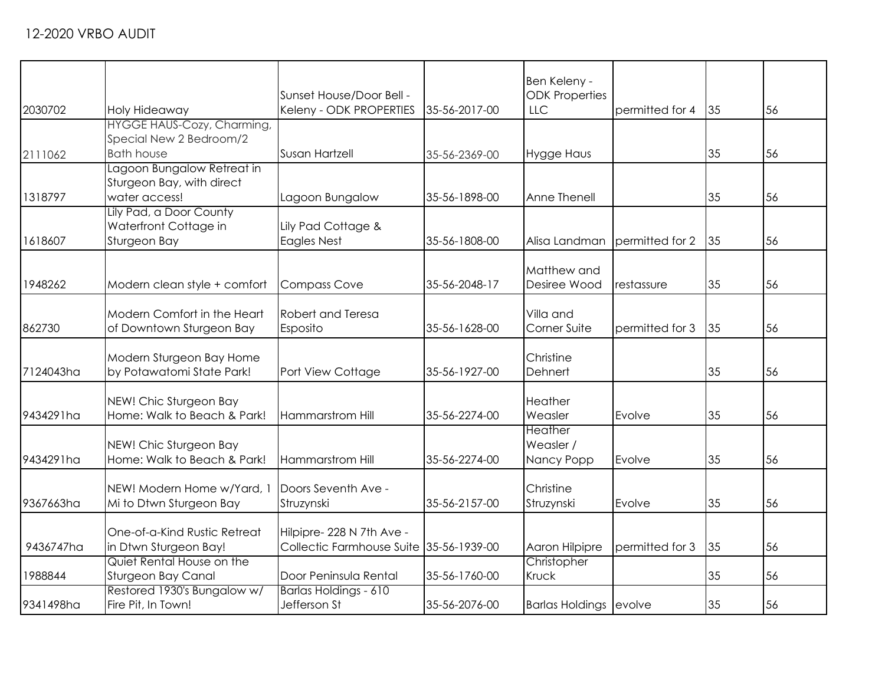|           |                                                       |                                                                      |               | Ben Keleny -                        |                                  |    |    |
|-----------|-------------------------------------------------------|----------------------------------------------------------------------|---------------|-------------------------------------|----------------------------------|----|----|
| 2030702   | Holy Hideaway                                         | Sunset House/Door Bell -<br>Keleny - ODK PROPERTIES                  | 35-56-2017-00 | <b>ODK Properties</b><br><b>LLC</b> | permitted for 4                  | 35 | 56 |
|           | HYGGE HAUS-Cozy, Charming,                            |                                                                      |               |                                     |                                  |    |    |
| 2111062   | Special New 2 Bedroom/2<br><b>Bath house</b>          | Susan Hartzell                                                       | 35-56-2369-00 | <b>Hygge Haus</b>                   |                                  | 35 | 56 |
|           | Lagoon Bungalow Retreat in                            |                                                                      |               |                                     |                                  |    |    |
|           | Sturgeon Bay, with direct                             |                                                                      |               |                                     |                                  |    |    |
| 1318797   | water access!                                         | Lagoon Bungalow                                                      | 35-56-1898-00 | Anne Thenell                        |                                  | 35 | 56 |
|           | Lily Pad, a Door County                               |                                                                      |               |                                     |                                  |    |    |
| 1618607   | Waterfront Cottage in<br>Sturgeon Bay                 | Lily Pad Cottage &<br><b>Eagles Nest</b>                             | 35-56-1808-00 | Alisa Landman                       | permitted for 2                  | 35 | 56 |
|           |                                                       |                                                                      |               |                                     |                                  |    |    |
|           |                                                       |                                                                      |               | Matthew and                         |                                  |    |    |
| 1948262   | Modern clean style + comfort                          | <b>Compass Cove</b>                                                  | 35-56-2048-17 | Desiree Wood                        | <i><u><b>Irestassure</b></u></i> | 35 | 56 |
|           | Modern Comfort in the Heart                           | Robert and Teresa                                                    |               | Villa and                           |                                  |    |    |
| 862730    | of Downtown Sturgeon Bay                              | Esposito                                                             | 35-56-1628-00 | Corner Suite                        | permitted for 3                  | 35 | 56 |
|           |                                                       |                                                                      |               |                                     |                                  |    |    |
|           | Modern Sturgeon Bay Home                              |                                                                      |               | Christine                           |                                  |    |    |
| 7124043ha | by Potawatomi State Park!                             | Port View Cottage                                                    | 35-56-1927-00 | Dehnert                             |                                  | 35 | 56 |
|           | NEW! Chic Sturgeon Bay                                |                                                                      |               | Heather                             |                                  |    |    |
| 9434291ha | Home: Walk to Beach & Park!                           | <b>Hammarstrom Hill</b>                                              | 35-56-2274-00 | Weasler                             | Evolve                           | 35 | 56 |
|           |                                                       |                                                                      |               | <b>Heather</b>                      |                                  |    |    |
|           | NEW! Chic Sturgeon Bay                                |                                                                      |               | Weasler /                           |                                  |    |    |
| 9434291ha | Home: Walk to Beach & Park!                           | Hammarstrom Hill                                                     | 35-56-2274-00 | Nancy Popp                          | Evolve                           | 35 | 56 |
|           | NEW! Modern Home w/Yard, 1                            | Doors Seventh Ave -                                                  |               | Christine                           |                                  |    |    |
| 9367663ha | Mi to Dtwn Sturgeon Bay                               | Struzynski                                                           | 35-56-2157-00 | Struzynski                          | Evolve                           | 35 | 56 |
|           |                                                       |                                                                      |               |                                     |                                  |    |    |
| 9436747ha | One-of-a-Kind Rustic Retreat<br>in Dtwn Sturgeon Bay! | Hilpipre- 228 N 7th Ave -<br>Collectic Farmhouse Suite 35-56-1939-00 |               | Aaron Hilpipre                      | permitted for 3                  | 35 | 56 |
|           | Quiet Rental House on the                             |                                                                      |               | Christopher                         |                                  |    |    |
| 1988844   | Sturgeon Bay Canal                                    | Door Peninsula Rental                                                | 35-56-1760-00 | Kruck                               |                                  | 35 | 56 |
|           | Restored 1930's Bungalow w/                           | Barlas Holdings - 610                                                |               |                                     |                                  |    |    |
| 9341498ha | Fire Pit, In Town!                                    | Jefferson St                                                         | 35-56-2076-00 | Barlas Holdings evolve              |                                  | 35 | 56 |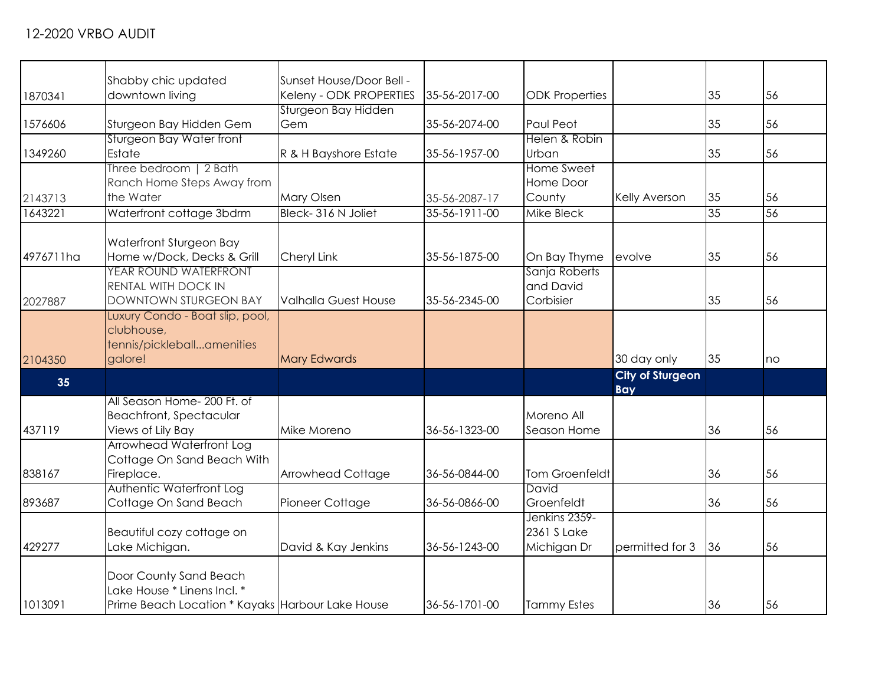|           | Shabby chic updated                              | Sunset House/Door Bell -    |               |                       |                         |    |    |
|-----------|--------------------------------------------------|-----------------------------|---------------|-----------------------|-------------------------|----|----|
| 1870341   | downtown living                                  | Keleny - ODK PROPERTIES     | 35-56-2017-00 | <b>ODK Properties</b> |                         | 35 | 56 |
|           |                                                  | Sturgeon Bay Hidden         |               |                       |                         |    |    |
| 1576606   | Sturgeon Bay Hidden Gem                          | Gem                         | 35-56-2074-00 | Paul Peot             |                         | 35 | 56 |
|           | Sturgeon Bay Water front                         |                             |               | Helen & Robin         |                         |    |    |
| 1349260   | Estate                                           | R & H Bayshore Estate       | 35-56-1957-00 | Urban                 |                         | 35 | 56 |
|           | Three bedroom   2 Bath                           |                             |               | Home Sweet            |                         |    |    |
|           | Ranch Home Steps Away from                       |                             |               | Home Door             |                         |    |    |
| 2143713   | the Water                                        | Mary Olsen                  | 35-56-2087-17 | County                | Kelly Averson           | 35 | 56 |
| 1643221   | Waterfront cottage 3bdrm                         | Bleck-316 N Joliet          | 35-56-1911-00 | Mike Bleck            |                         | 35 | 56 |
|           |                                                  |                             |               |                       |                         |    |    |
|           | Waterfront Sturgeon Bay                          |                             |               |                       |                         |    |    |
| 4976711ha | Home w/Dock, Decks & Grill                       | Cheryl Link                 | 35-56-1875-00 | On Bay Thyme          | evolve                  | 35 | 56 |
|           | YEAR ROUND WATERFRONT                            |                             |               | Sanja Roberts         |                         |    |    |
|           | RENTAL WITH DOCK IN                              |                             |               | and David             |                         |    |    |
| 2027887   | <b>DOWNTOWN STURGEON BAY</b>                     | <b>Valhalla Guest House</b> | 35-56-2345-00 | Corbisier             |                         | 35 | 56 |
|           | Luxury Condo - Boat slip, pool,                  |                             |               |                       |                         |    |    |
|           | clubhouse,                                       |                             |               |                       |                         |    |    |
|           | tennis/pickleballamenities                       |                             |               |                       |                         |    |    |
| 2104350   | galore!                                          | <b>Mary Edwards</b>         |               |                       | 30 day only             | 35 | no |
| 35        |                                                  |                             |               |                       | <b>City of Sturgeon</b> |    |    |
|           |                                                  |                             |               |                       | <b>Bay</b>              |    |    |
|           | All Season Home- 200 Ft. of                      |                             |               |                       |                         |    |    |
|           | <b>Beachfront, Spectacular</b>                   |                             |               | Moreno All            |                         |    |    |
| 437119    | Views of Lily Bay                                | Mike Moreno                 | 36-56-1323-00 | Season Home           |                         | 36 | 56 |
|           | Arrowhead Waterfront Log                         |                             |               |                       |                         |    |    |
|           | Cottage On Sand Beach With                       |                             |               |                       |                         |    |    |
| 838167    | Fireplace.                                       | Arrowhead Cottage           | 36-56-0844-00 | <b>Tom Groenfeldt</b> |                         | 36 | 56 |
|           | Authentic Waterfront Log                         |                             |               | David                 |                         |    |    |
| 893687    | Cottage On Sand Beach                            | Pioneer Cottage             | 36-56-0866-00 | Groenfeldt            |                         | 36 | 56 |
|           |                                                  |                             |               | Jenkins 2359-         |                         |    |    |
|           | Beautiful cozy cottage on                        |                             |               | 2361 S Lake           |                         |    |    |
| 429277    | Lake Michigan.                                   | David & Kay Jenkins         | 36-56-1243-00 | Michigan Dr           | permitted for 3         | 36 | 56 |
|           |                                                  |                             |               |                       |                         |    |    |
|           | Door County Sand Beach                           |                             |               |                       |                         |    |    |
|           | Lake House * Linens Incl. *                      |                             |               |                       |                         |    |    |
| 1013091   | Prime Beach Location * Kayaks Harbour Lake House |                             | 36-56-1701-00 | <b>Tammy Estes</b>    |                         | 36 | 56 |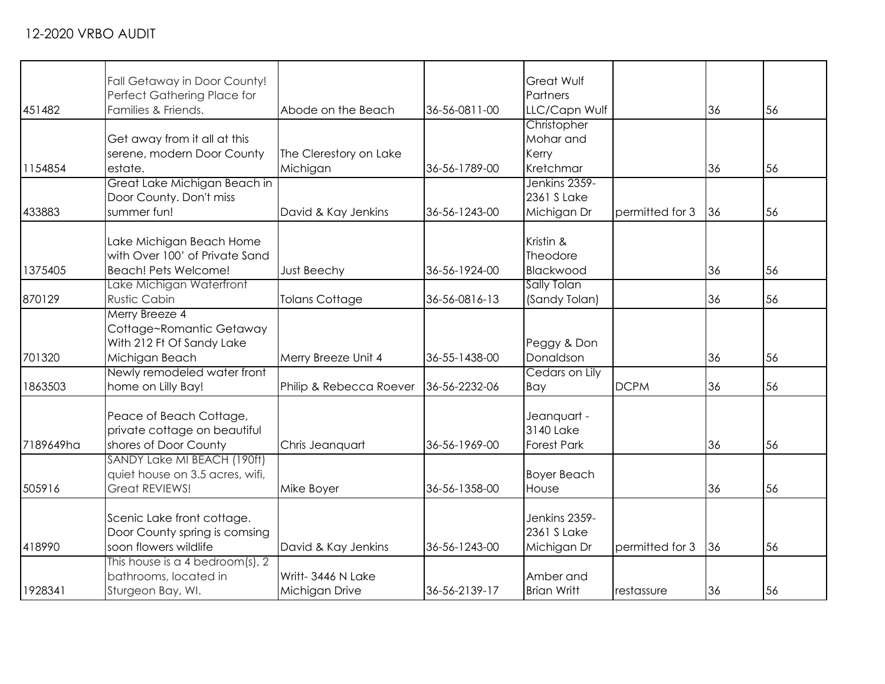| 451482    | Fall Getaway in Door County!<br>Perfect Gathering Place for<br>Families & Friends.        | Abode on the Beach                  | 36-56-0811-00 | Great Wulf<br>Partners<br>LLC/Capn Wulf        |                 | 36 | 56 |
|-----------|-------------------------------------------------------------------------------------------|-------------------------------------|---------------|------------------------------------------------|-----------------|----|----|
| 1154854   | Get away from it all at this<br>serene, modern Door County<br>estate.                     | The Clerestory on Lake<br>Michigan  | 36-56-1789-00 | Christopher<br>Mohar and<br>Kerry<br>Kretchmar |                 | 36 | 56 |
| 433883    | Great Lake Michigan Beach in<br>Door County. Don't miss<br>summer fun!                    | David & Kay Jenkins                 | 36-56-1243-00 | Jenkins 2359-<br>2361 S Lake<br>Michigan Dr    | permitted for 3 | 36 | 56 |
| 1375405   | Lake Michigan Beach Home<br>with Over 100' of Private Sand<br>Beach! Pets Welcome!        | Just Beechy                         | 36-56-1924-00 | Kristin &<br>Theodore<br>Blackwood             |                 | 36 | 56 |
| 870129    | Lake Michigan Waterfront<br><b>Rustic Cabin</b>                                           | <b>Tolans Cottage</b>               | 36-56-0816-13 | Sally Tolan<br>(Sandy Tolan)                   |                 | 36 | 56 |
| 701320    | Merry Breeze 4<br>Cottage~Romantic Getaway<br>With 212 Ft Of Sandy Lake<br>Michigan Beach | Merry Breeze Unit 4                 | 36-55-1438-00 | Peggy & Don<br>Donaldson                       |                 | 36 | 56 |
| 1863503   | Newly remodeled water front<br>home on Lilly Bay!                                         | Philip & Rebecca Roever             | 36-56-2232-06 | Cedars on Lily<br>Bay                          | <b>DCPM</b>     | 36 | 56 |
| 7189649ha | Peace of Beach Cottage,<br>private cottage on beautiful<br>shores of Door County          | Chris Jeanquart                     | 36-56-1969-00 | Jeanquart -<br>3140 Lake<br><b>Forest Park</b> |                 | 36 | 56 |
| 505916    | SANDY Lake MI BEACH (190ft)<br>quiet house on 3.5 acres, wifi,<br><b>Great REVIEWS!</b>   | Mike Boyer                          | 36-56-1358-00 | <b>Boyer Beach</b><br>House                    |                 | 36 | 56 |
| 418990    | Scenic Lake front cottage.<br>Door County spring is comsing<br>soon flowers wildlife      | David & Kay Jenkins                 | 36-56-1243-00 | Jenkins 2359-<br>2361 S Lake<br>Michigan Dr    | permitted for 3 | 36 | 56 |
| 1928341   | This house is a 4 bedroom(s), $2$<br>bathrooms, located in<br>Sturgeon Bay, WI.           | Writt-3446 N Lake<br>Michigan Drive | 36-56-2139-17 | Amber and<br><b>Brian Writt</b>                | restassure      | 36 | 56 |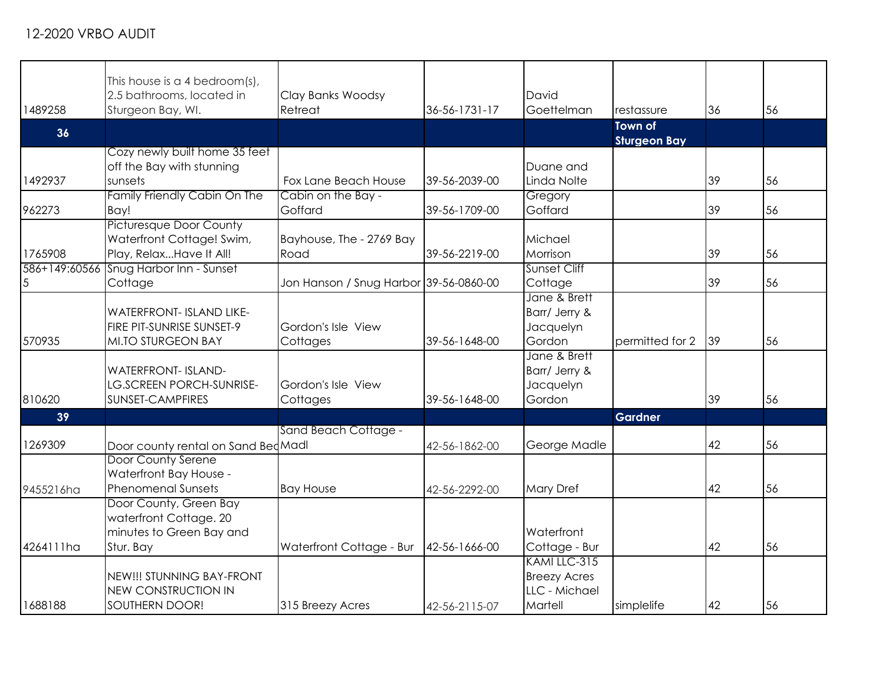| 1489258   | This house is a 4 bedroom(s),<br>2.5 bathrooms, located in<br>Sturgeon Bay, WI.           | Clay Banks Woodsy<br>Retreat           | 36-56-1731-17 | David<br>Goettelman                                  | restassure                            | 36 | 56 |
|-----------|-------------------------------------------------------------------------------------------|----------------------------------------|---------------|------------------------------------------------------|---------------------------------------|----|----|
| 36        |                                                                                           |                                        |               |                                                      | <b>Town of</b><br><b>Sturgeon Bay</b> |    |    |
| 1492937   | Cozy newly built home 35 feet<br>off the Bay with stunning<br>sunsets                     | Fox Lane Beach House                   | 39-56-2039-00 | Duane and<br>Linda Nolte                             |                                       | 39 | 56 |
| 962273    | Family Friendly Cabin On The<br>Bay!                                                      | Cabin on the Bay -<br>Goffard          | 39-56-1709-00 | Gregory<br>Goffard                                   |                                       | 39 | 56 |
| 1765908   | <b>Picturesque Door County</b><br>Waterfront Cottage! Swim,<br>Play, RelaxHave It All!    | Bayhouse, The - 2769 Bay<br>Road       | 39-56-2219-00 | Michael<br>Morrison                                  |                                       | 39 | 56 |
| 5         | 586+149:60566 Snug Harbor Inn - Sunset<br>Cottage                                         | Jon Hanson / Snug Harbor 39-56-0860-00 |               | Sunset Cliff<br>Cottage                              |                                       | 39 | 56 |
| 570935    | <b>WATERFRONT- ISLAND LIKE-</b><br>FIRE PIT-SUNRISE SUNSET-9<br><b>MI.TO STURGEON BAY</b> | Gordon's Isle View<br>Cottages         | 39-56-1648-00 | Jane & Brett<br>Barr/ Jerry &<br>Jacquelyn<br>Gordon | permitted for 2                       | 39 | 56 |
| 810620    | <b>WATERFRONT- ISLAND-</b><br><b>LG.SCREEN PORCH-SUNRISE-</b><br>SUNSET-CAMPFIRES         | Gordon's Isle View<br>Cottages         | 39-56-1648-00 | Jane & Brett<br>Barr/ Jerry &<br>Jacquelyn<br>Gordon |                                       | 39 | 56 |
| 39        |                                                                                           |                                        |               |                                                      | <b>Gardner</b>                        |    |    |
| 1269309   | Door county rental on Sand Bed Madl                                                       | Sand Beach Cottage -                   | 42-56-1862-00 | George Madle                                         |                                       | 42 | 56 |
| 9455216ha | Door County Serene<br>Waterfront Bay House -<br><b>Phenomenal Sunsets</b>                 | <b>Bay House</b>                       | 42-56-2292-00 | <b>Mary Dref</b>                                     |                                       | 42 | 56 |
| 4264111ha | Door County, Green Bay<br>waterfront Cottage. 20<br>minutes to Green Bay and<br>Stur. Bay | Waterfront Cottage - Bur               | 42-56-1666-00 | Waterfront<br>Cottage - Bur                          |                                       | 42 | 56 |
|           | NEW!!! STUNNING BAY-FRONT<br><b>NEW CONSTRUCTION IN</b>                                   |                                        |               | KAMI LLC-315<br><b>Breezy Acres</b><br>LLC - Michael |                                       |    |    |
| 1688188   | SOUTHERN DOOR!                                                                            | 315 Breezy Acres                       | 42-56-2115-07 | Martell                                              | simplelife                            | 42 | 56 |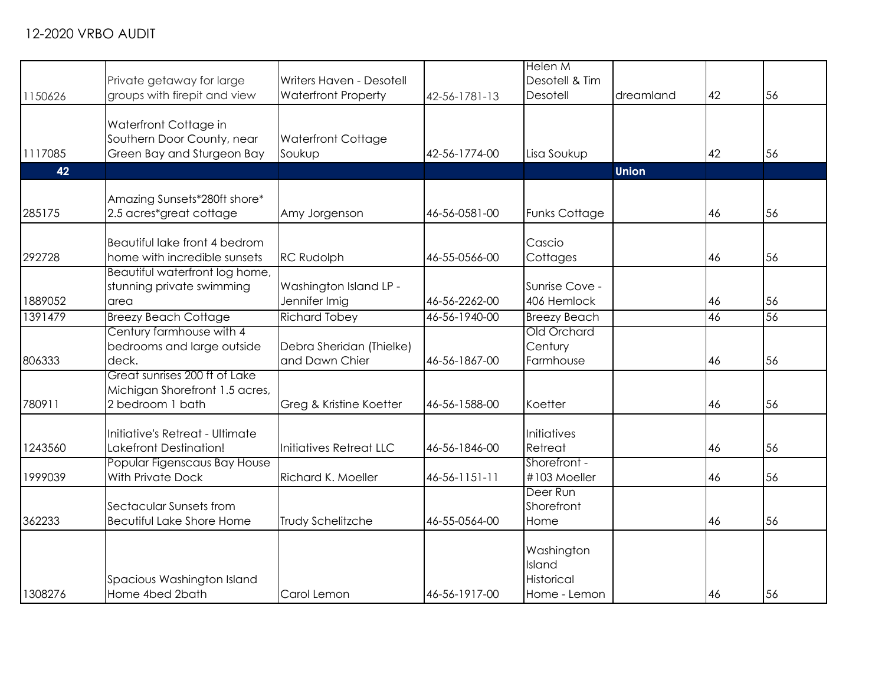|         |                                  |                            |               | <b>Helen M</b>       |              |    |    |
|---------|----------------------------------|----------------------------|---------------|----------------------|--------------|----|----|
|         |                                  |                            |               | Desotell & Tim       |              |    |    |
|         | Private getaway for large        | Writers Haven - Desotell   |               |                      |              |    |    |
| 1150626 | groups with firepit and view     | <b>Waterfront Property</b> | 42-56-1781-13 | Desotell             | dreamland    | 42 | 56 |
|         |                                  |                            |               |                      |              |    |    |
|         | Waterfront Cottage in            |                            |               |                      |              |    |    |
|         | Southern Door County, near       | <b>Waterfront Cottage</b>  |               |                      |              |    |    |
| 1117085 | Green Bay and Sturgeon Bay       | Soukup                     | 42-56-1774-00 | Lisa Soukup          |              | 42 | 56 |
| 42      |                                  |                            |               |                      | <b>Union</b> |    |    |
|         |                                  |                            |               |                      |              |    |    |
|         | Amazing Sunsets*280ft shore*     |                            |               |                      |              |    |    |
| 285175  | 2.5 acres*great cottage          | Amy Jorgenson              | 46-56-0581-00 | <b>Funks Cottage</b> |              | 46 | 56 |
|         |                                  |                            |               |                      |              |    |    |
|         | Beautiful lake front 4 bedrom    |                            |               | Cascio               |              |    |    |
| 292728  | home with incredible sunsets     | <b>RC Rudolph</b>          | 46-55-0566-00 | Cottages             |              | 46 | 56 |
|         | Beautiful waterfront log home,   |                            |               |                      |              |    |    |
|         | stunning private swimming        | Washington Island LP -     |               | Sunrise Cove -       |              |    |    |
|         |                                  |                            |               |                      |              |    |    |
| 1889052 | area                             | Jennifer Imig              | 46-56-2262-00 | 406 Hemlock          |              | 46 | 56 |
| 1391479 | <b>Breezy Beach Cottage</b>      | <b>Richard Tobey</b>       | 46-56-1940-00 | <b>Breezy Beach</b>  |              | 46 | 56 |
|         | Century farmhouse with 4         |                            |               | Old Orchard          |              |    |    |
|         | bedrooms and large outside       | Debra Sheridan (Thielke)   |               | Century              |              |    |    |
| 806333  | deck.                            | and Dawn Chier             | 46-56-1867-00 | Farmhouse            |              | 46 | 56 |
|         | Great sunrises 200 ft of Lake    |                            |               |                      |              |    |    |
|         | Michigan Shorefront 1.5 acres,   |                            |               |                      |              |    |    |
| 780911  | 2 bedroom 1 bath                 | Greg & Kristine Koetter    | 46-56-1588-00 | Koetter              |              | 46 | 56 |
|         |                                  |                            |               |                      |              |    |    |
|         | Initiative's Retreat - Ultimate  |                            |               | Initiatives          |              |    |    |
| 1243560 | <b>Lakefront Destination!</b>    | Initiatives Retreat LLC    | 46-56-1846-00 | Retreat              |              | 46 | 56 |
|         | Popular Figenscaus Bay House     |                            |               | Shorefront -         |              |    |    |
| 1999039 | <b>With Private Dock</b>         | <b>Richard K. Moeller</b>  | 46-56-1151-11 | #103 Moeller         |              | 46 | 56 |
|         |                                  |                            |               | Deer Run             |              |    |    |
|         | Sectacular Sunsets from          |                            |               | Shorefront           |              |    |    |
| 362233  | <b>Becutiful Lake Shore Home</b> | Trudy Schelitzche          | 46-55-0564-00 | Home                 |              | 46 | 56 |
|         |                                  |                            |               |                      |              |    |    |
|         |                                  |                            |               | Washington           |              |    |    |
|         |                                  |                            |               | Island               |              |    |    |
|         |                                  |                            |               | Historical           |              |    |    |
|         | Spacious Washington Island       |                            |               |                      |              |    |    |
| 1308276 | Home 4bed 2bath                  | Carol Lemon                | 46-56-1917-00 | Home - Lemon         |              | 46 | 56 |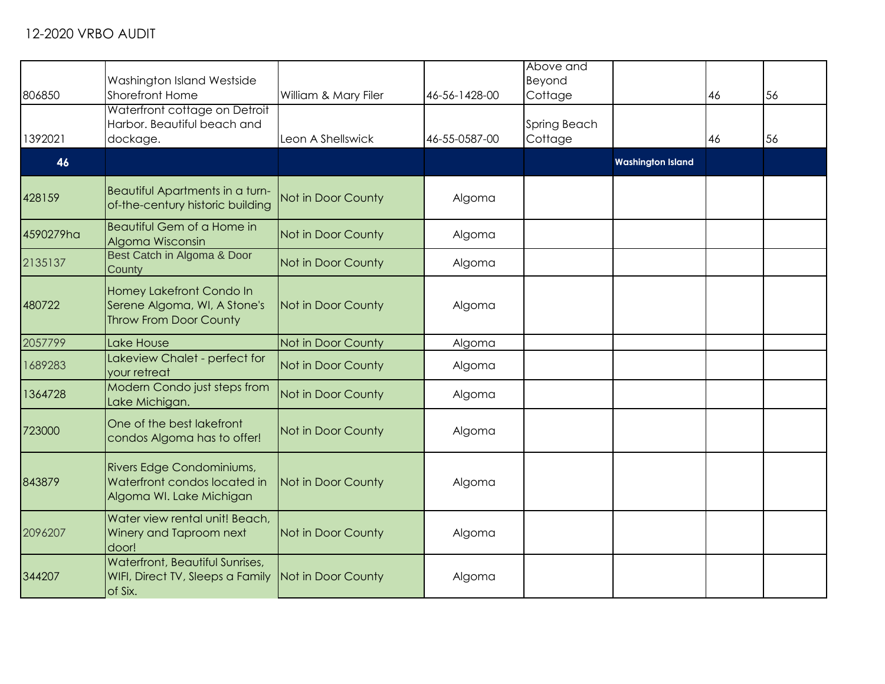|           |                                                                                                   |                      |               | Above and    |                          |    |    |
|-----------|---------------------------------------------------------------------------------------------------|----------------------|---------------|--------------|--------------------------|----|----|
|           |                                                                                                   |                      |               | Beyond       |                          |    |    |
|           | Washington Island Westside                                                                        |                      |               |              |                          |    |    |
| 806850    | Shorefront Home                                                                                   | William & Mary Filer | 46-56-1428-00 | Cottage      |                          | 46 | 56 |
|           | Waterfront cottage on Detroit                                                                     |                      |               |              |                          |    |    |
|           | Harbor. Beautiful beach and                                                                       |                      |               | Spring Beach |                          |    |    |
| 1392021   | dockage.                                                                                          | Leon A Shellswick    | 46-55-0587-00 | Cottage      |                          | 46 | 56 |
|           |                                                                                                   |                      |               |              |                          |    |    |
| 46        |                                                                                                   |                      |               |              | <b>Washington Island</b> |    |    |
| 428159    | Beautiful Apartments in a turn-                                                                   | Not in Door County   | Algoma        |              |                          |    |    |
|           | of-the-century historic building                                                                  |                      |               |              |                          |    |    |
| 4590279ha | Beautiful Gem of a Home in<br>Algoma Wisconsin                                                    | Not in Door County   | Algoma        |              |                          |    |    |
| 2135137   | Best Catch in Algoma & Door<br>County                                                             | Not in Door County   | Algoma        |              |                          |    |    |
| 480722    | Homey Lakefront Condo In<br>Serene Algoma, WI, A Stone's<br><b>Throw From Door County</b>         | Not in Door County   | Algoma        |              |                          |    |    |
| 2057799   | Lake House                                                                                        | Not in Door County   | Algoma        |              |                          |    |    |
| 1689283   | Lakeview Chalet - perfect for<br>your retreat                                                     | Not in Door County   | Algoma        |              |                          |    |    |
| 1364728   | Modern Condo just steps from<br>Lake Michigan.                                                    | Not in Door County   | Algoma        |              |                          |    |    |
| 723000    | One of the best lakefront<br>condos Algoma has to offer!                                          | Not in Door County   | Algoma        |              |                          |    |    |
| 843879    | Rivers Edge Condominiums,<br>Waterfront condos located in<br>Algoma WI. Lake Michigan             | Not in Door County   | Algoma        |              |                          |    |    |
| 2096207   | Water view rental unit! Beach,<br>Winery and Taproom next<br>door!                                | Not in Door County   | Algoma        |              |                          |    |    |
| 344207    | Waterfront, Beautiful Sunrises,<br>WIFI, Direct TV, Sleeps a Family Not in Door County<br>of Six. |                      | Algoma        |              |                          |    |    |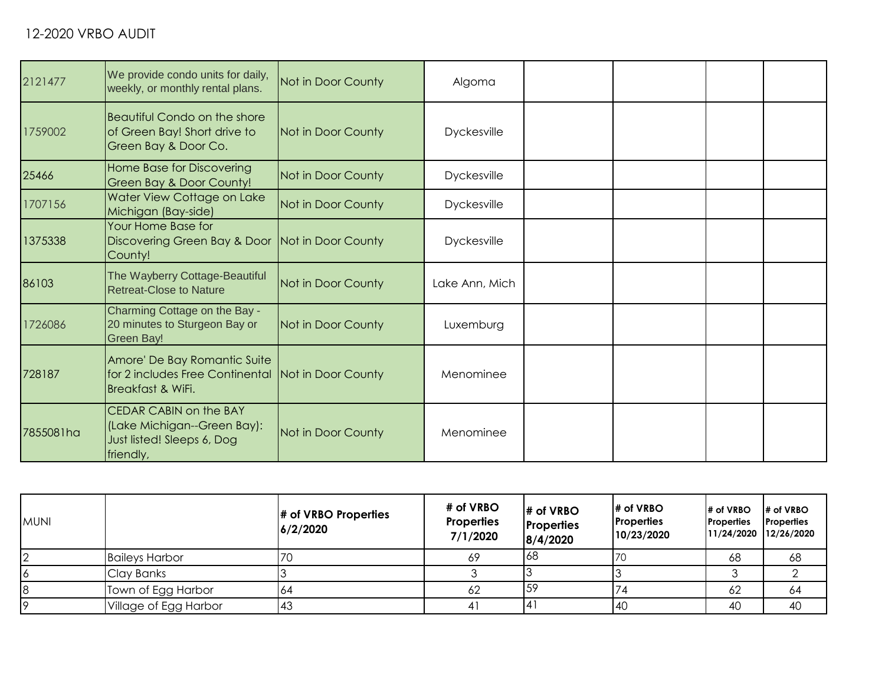| 2121477   | We provide condo units for daily,<br>weekly, or monthly rental plans.                                   | Not in Door County | Algoma             |  |  |
|-----------|---------------------------------------------------------------------------------------------------------|--------------------|--------------------|--|--|
| 1759002   | <b>Beautiful Condo on the shore</b><br>of Green Bay! Short drive to<br>Green Bay & Door Co.             | Not in Door County | Dyckesville        |  |  |
| 25466     | <b>Home Base for Discovering</b><br>Green Bay & Door County!                                            | Not in Door County | <b>Dyckesville</b> |  |  |
| 1707156   | Water View Cottage on Lake<br>Michigan (Bay-side)                                                       | Not in Door County | <b>Dyckesville</b> |  |  |
| 1375338   | Your Home Base for<br>Discovering Green Bay & Door Not in Door County<br>County!                        |                    | <b>Dyckesville</b> |  |  |
| 86103     | The Wayberry Cottage-Beautiful<br><b>Retreat-Close to Nature</b>                                        | Not in Door County | Lake Ann, Mich     |  |  |
| 1726086   | Charming Cottage on the Bay -<br>20 minutes to Sturgeon Bay or<br><b>Green Bay!</b>                     | Not in Door County | Luxemburg          |  |  |
| 728187    | Amore' De Bay Romantic Suite<br>for 2 includes Free Continental Not in Door County<br>Breakfast & WiFi. |                    | Menominee          |  |  |
| 7855081ha | <b>CEDAR CABIN on the BAY</b><br>(Lake Michigan--Green Bay):<br>Just listed! Sleeps 6, Dog<br>friendly, | Not in Door County | Menominee          |  |  |

| <b>MUNI</b> |                       | # of VRBO Properties<br>6/2/2020 | # of VRBO<br><b>Properties</b><br>7/1/2020 | # of VRBO<br><b>Properties</b><br>8/4/2020 | # of VRBO<br><b>Properties</b><br>10/23/2020 | # of VRBO<br><b>Properties</b><br>11/24/2020 12/26/2020 | # of VRBO<br>Properties |
|-------------|-----------------------|----------------------------------|--------------------------------------------|--------------------------------------------|----------------------------------------------|---------------------------------------------------------|-------------------------|
| $\cap$      | <b>Baileys Harbor</b> | 70                               | 69                                         | 68                                         |                                              | 68                                                      | 68                      |
|             | Clay Banks            |                                  |                                            |                                            |                                              |                                                         |                         |
| 8           | Town of Egg Harbor    | 64                               | 62                                         | 59                                         |                                              | 62                                                      | 64                      |
| I O         | Village of Egg Harbor | 43                               | 41                                         | <b>14</b>                                  | 40                                           | 40                                                      | 40                      |